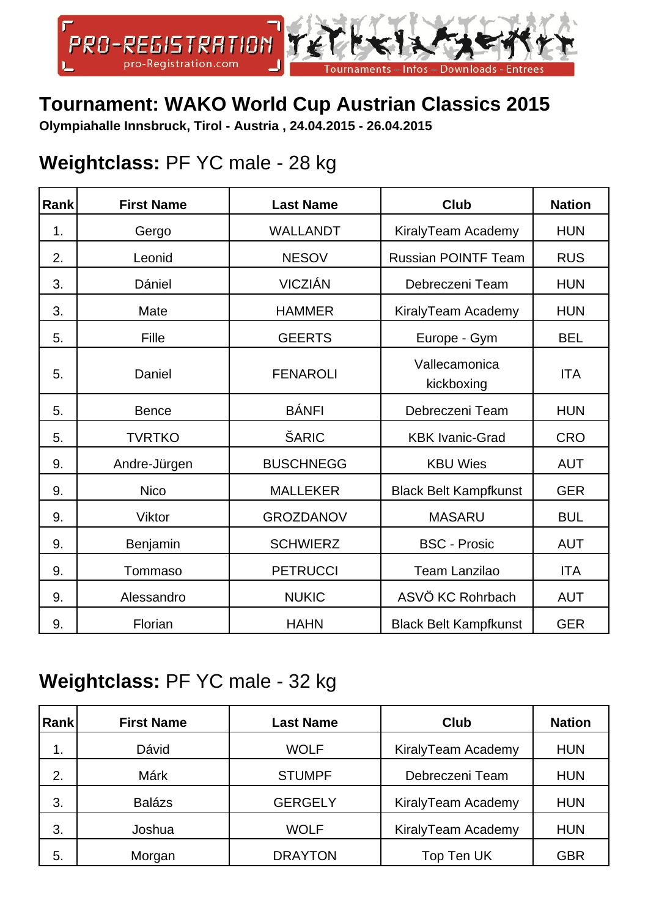

### **Tournament: WAKO World Cup Austrian Classics 2015**

**Olympiahalle Innsbruck, Tirol - Austria , 24.04.2015 - 26.04.2015**

#### **Weightclass:** PF YC male - 28 kg

| Rank | <b>First Name</b> | <b>Last Name</b> | <b>Club</b>                  | <b>Nation</b> |
|------|-------------------|------------------|------------------------------|---------------|
| 1.   | Gergo             | <b>WALLANDT</b>  | KiralyTeam Academy           | <b>HUN</b>    |
| 2.   | Leonid            | <b>NESOV</b>     | <b>Russian POINTF Team</b>   | <b>RUS</b>    |
| 3.   | Dániel            | <b>VICZIÁN</b>   | Debreczeni Team              | <b>HUN</b>    |
| 3.   | Mate              | <b>HAMMER</b>    | KiralyTeam Academy           | <b>HUN</b>    |
| 5.   | Fille             | <b>GEERTS</b>    | Europe - Gym                 | <b>BEL</b>    |
| 5.   | Daniel            | <b>FENAROLI</b>  | Vallecamonica<br>kickboxing  | <b>ITA</b>    |
| 5.   | <b>Bence</b>      | <b>BÁNFI</b>     | Debreczeni Team              | <b>HUN</b>    |
| 5.   | <b>TVRTKO</b>     | ŠARIC            | <b>KBK Ivanic-Grad</b>       | <b>CRO</b>    |
| 9.   | Andre-Jürgen      | <b>BUSCHNEGG</b> | <b>KBU Wies</b>              | <b>AUT</b>    |
| 9.   | <b>Nico</b>       | <b>MALLEKER</b>  | <b>Black Belt Kampfkunst</b> | <b>GER</b>    |
| 9.   | Viktor            | <b>GROZDANOV</b> | <b>MASARU</b>                | <b>BUL</b>    |
| 9.   | Benjamin          | <b>SCHWIERZ</b>  | <b>BSC - Prosic</b>          | <b>AUT</b>    |
| 9.   | Tommaso           | <b>PETRUCCI</b>  | <b>Team Lanzilao</b>         | <b>ITA</b>    |
| 9.   | Alessandro        | <b>NUKIC</b>     | ASVÖ KC Rohrbach             | <b>AUT</b>    |
| 9.   | Florian           | <b>HAHN</b>      | <b>Black Belt Kampfkunst</b> | <b>GER</b>    |

#### **Weightclass:** PF YC male - 32 kg

| <b>Rank</b> | <b>First Name</b> | <b>Last Name</b> | <b>Club</b>        | <b>Nation</b> |
|-------------|-------------------|------------------|--------------------|---------------|
| 1.          | Dávid             | <b>WOLF</b>      | KiralyTeam Academy | <b>HUN</b>    |
| 2.          | Márk              | <b>STUMPF</b>    | Debreczeni Team    | <b>HUN</b>    |
| 3.          | <b>Balázs</b>     | <b>GERGELY</b>   | KiralyTeam Academy | <b>HUN</b>    |
| 3.          | Joshua            | <b>WOLF</b>      | KiralyTeam Academy | <b>HUN</b>    |
| 5.          | Morgan            | <b>DRAYTON</b>   | Top Ten UK         | <b>GBR</b>    |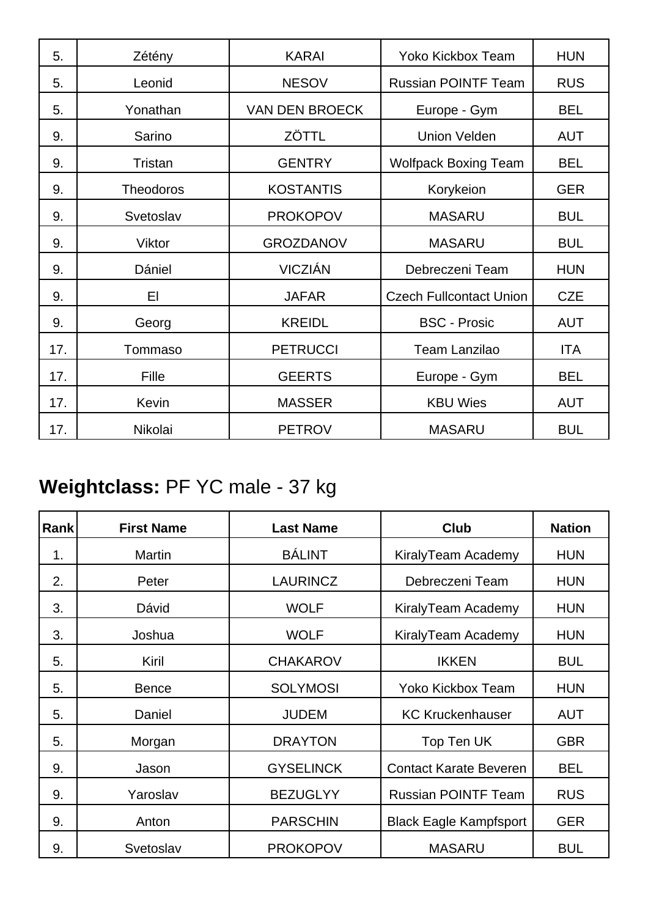| 5.  | Zétény           | <b>KARAI</b>          | <b>Yoko Kickbox Team</b>       | <b>HUN</b> |
|-----|------------------|-----------------------|--------------------------------|------------|
| 5.  | Leonid           | <b>NESOV</b>          | <b>Russian POINTF Team</b>     | <b>RUS</b> |
| 5.  | Yonathan         | <b>VAN DEN BROECK</b> | Europe - Gym                   | <b>BEL</b> |
| 9.  | Sarino           | ZÖTTL                 | <b>Union Velden</b>            | <b>AUT</b> |
| 9.  | Tristan          | <b>GENTRY</b>         | <b>Wolfpack Boxing Team</b>    | <b>BEL</b> |
| 9.  | <b>Theodoros</b> | <b>KOSTANTIS</b>      | Korykeion                      | <b>GER</b> |
| 9.  | Svetoslav        | <b>PROKOPOV</b>       | <b>MASARU</b>                  | <b>BUL</b> |
| 9.  | Viktor           | <b>GROZDANOV</b>      | <b>MASARU</b>                  | <b>BUL</b> |
| 9.  | Dániel           | <b>VICZIÁN</b>        | Debreczeni Team                | <b>HUN</b> |
| 9.  | EI               | <b>JAFAR</b>          | <b>Czech Fullcontact Union</b> | <b>CZE</b> |
| 9.  | Georg            | <b>KREIDL</b>         | <b>BSC - Prosic</b>            | <b>AUT</b> |
| 17. | Tommaso          | <b>PETRUCCI</b>       | <b>Team Lanzilao</b>           | <b>ITA</b> |
| 17. | Fille            | <b>GEERTS</b>         | Europe - Gym                   | <b>BEL</b> |
| 17. | Kevin            | <b>MASSER</b>         | <b>KBU Wies</b>                | <b>AUT</b> |
| 17. | Nikolai          | <b>PETROV</b>         | <b>MASARU</b>                  | <b>BUL</b> |

# **Weightclass:** PF YC male - 37 kg

| Rank | <b>First Name</b> | <b>Last Name</b> | <b>Club</b>                   | <b>Nation</b> |
|------|-------------------|------------------|-------------------------------|---------------|
| 1.   | Martin            | <b>BÁLINT</b>    | KiralyTeam Academy            | <b>HUN</b>    |
| 2.   | Peter             | <b>LAURINCZ</b>  | Debreczeni Team               | <b>HUN</b>    |
| 3.   | Dávid             | <b>WOLF</b>      | KiralyTeam Academy            | <b>HUN</b>    |
| 3.   | Joshua            | <b>WOLF</b>      | KiralyTeam Academy            | <b>HUN</b>    |
| 5.   | Kiril             | <b>CHAKAROV</b>  | <b>IKKEN</b>                  | <b>BUL</b>    |
| 5.   | <b>Bence</b>      | <b>SOLYMOSI</b>  | <b>Yoko Kickbox Team</b>      | <b>HUN</b>    |
| 5.   | Daniel            | <b>JUDEM</b>     | <b>KC Kruckenhauser</b>       | <b>AUT</b>    |
| 5.   | Morgan            | <b>DRAYTON</b>   | Top Ten UK                    | <b>GBR</b>    |
| 9.   | Jason             | <b>GYSELINCK</b> | <b>Contact Karate Beveren</b> | <b>BEL</b>    |
| 9.   | Yaroslav          | <b>BEZUGLYY</b>  | <b>Russian POINTF Team</b>    | <b>RUS</b>    |
| 9.   | Anton             | <b>PARSCHIN</b>  | <b>Black Eagle Kampfsport</b> | <b>GER</b>    |
| 9.   | Svetoslav         | <b>PROKOPOV</b>  | <b>MASARU</b>                 | <b>BUL</b>    |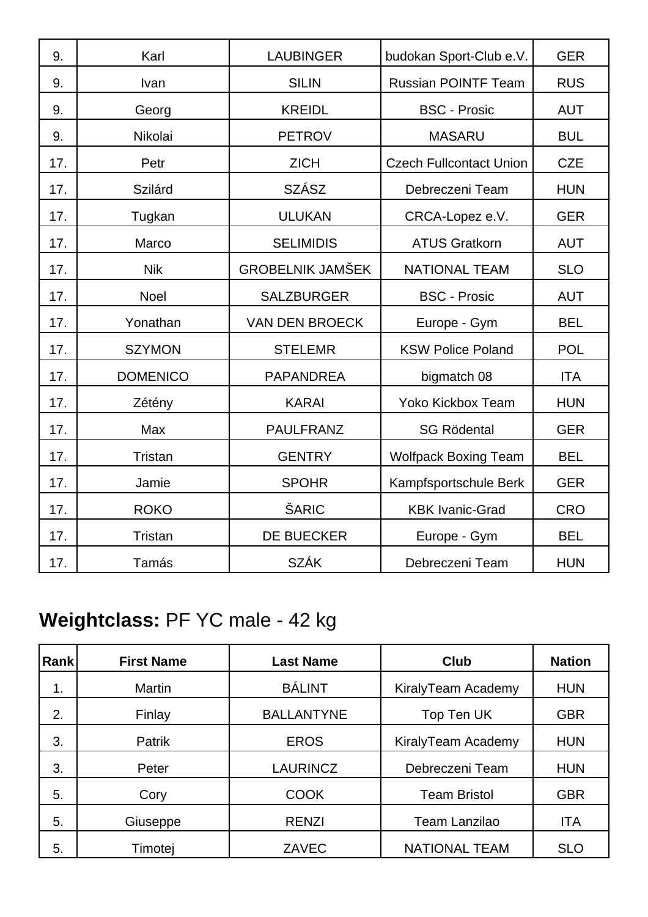| 9.  | Karl            | <b>LAUBINGER</b>        | budokan Sport-Club e.V.        | <b>GER</b> |
|-----|-----------------|-------------------------|--------------------------------|------------|
| 9.  | Ivan            | <b>SILIN</b>            | <b>Russian POINTF Team</b>     | <b>RUS</b> |
| 9.  | Georg           | <b>KREIDL</b>           | <b>BSC - Prosic</b>            | <b>AUT</b> |
| 9.  | Nikolai         | <b>PETROV</b>           | <b>MASARU</b>                  | <b>BUL</b> |
| 17. | Petr            | <b>ZICH</b>             | <b>Czech Fullcontact Union</b> | <b>CZE</b> |
| 17. | Szilárd         | <b>SZÁSZ</b>            | Debreczeni Team                | <b>HUN</b> |
| 17. | Tugkan          | <b>ULUKAN</b>           | CRCA-Lopez e.V.                | <b>GER</b> |
| 17. | Marco           | <b>SELIMIDIS</b>        | <b>ATUS Gratkorn</b>           | <b>AUT</b> |
| 17. | <b>Nik</b>      | <b>GROBELNIK JAMŠEK</b> | <b>NATIONAL TEAM</b>           | <b>SLO</b> |
| 17. | Noel            | <b>SALZBURGER</b>       | <b>BSC - Prosic</b>            | <b>AUT</b> |
| 17. | Yonathan        | <b>VAN DEN BROECK</b>   | Europe - Gym                   | <b>BEL</b> |
| 17. | <b>SZYMON</b>   | <b>STELEMR</b>          | <b>KSW Police Poland</b>       | <b>POL</b> |
| 17. | <b>DOMENICO</b> | <b>PAPANDREA</b>        | bigmatch 08                    | <b>ITA</b> |
| 17. | Zétény          | <b>KARAI</b>            | <b>Yoko Kickbox Team</b>       | <b>HUN</b> |
| 17. | Max             | <b>PAULFRANZ</b>        | <b>SG Rödental</b>             | <b>GER</b> |
| 17. | Tristan         | <b>GENTRY</b>           | <b>Wolfpack Boxing Team</b>    | <b>BEL</b> |
| 17. | Jamie           | <b>SPOHR</b>            | Kampfsportschule Berk          | <b>GER</b> |
| 17. | <b>ROKO</b>     | ŠARIC                   | <b>KBK Ivanic-Grad</b>         | <b>CRO</b> |
| 17. | Tristan         | <b>DE BUECKER</b>       | Europe - Gym                   | <b>BEL</b> |
| 17. | Tamás           | <b>SZÁK</b>             | Debreczeni Team                | <b>HUN</b> |

## **Weightclass:** PF YC male - 42 kg

| Rank | <b>First Name</b> | <b>Last Name</b>  | <b>Club</b>          | <b>Nation</b> |
|------|-------------------|-------------------|----------------------|---------------|
| 1.   | <b>Martin</b>     | <b>BÁLINT</b>     | KiralyTeam Academy   | <b>HUN</b>    |
| 2.   | Finlay            | <b>BALLANTYNE</b> | Top Ten UK           | <b>GBR</b>    |
| 3.   | Patrik            | <b>EROS</b>       | KiralyTeam Academy   | <b>HUN</b>    |
| 3.   | Peter             | <b>LAURINCZ</b>   | Debreczeni Team      | <b>HUN</b>    |
| 5.   | Cory              | <b>COOK</b>       | <b>Team Bristol</b>  | <b>GBR</b>    |
| 5.   | Giuseppe          | <b>RENZI</b>      | Team Lanzilao        | <b>ITA</b>    |
| 5.   | Timotej           | ZAVEC             | <b>NATIONAL TEAM</b> | <b>SLO</b>    |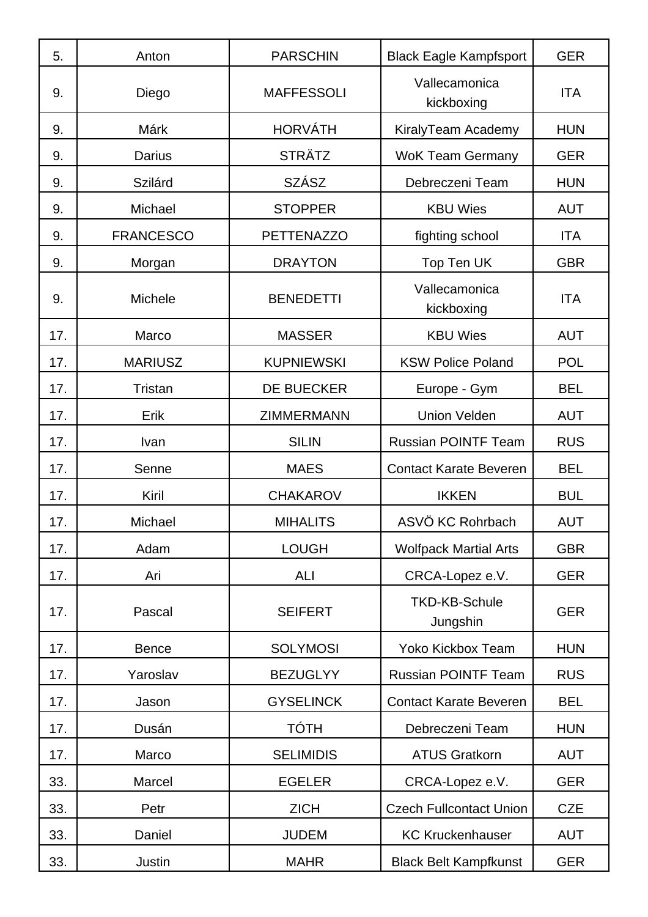| 5.  | Anton            | <b>PARSCHIN</b>   | <b>Black Eagle Kampfsport</b>    | <b>GER</b> |
|-----|------------------|-------------------|----------------------------------|------------|
| 9.  | Diego            | <b>MAFFESSOLI</b> | Vallecamonica<br>kickboxing      | <b>ITA</b> |
| 9.  | Márk             | <b>HORVÁTH</b>    | KiralyTeam Academy               | <b>HUN</b> |
| 9.  | <b>Darius</b>    | <b>STRÄTZ</b>     | <b>WoK Team Germany</b>          | <b>GER</b> |
| 9.  | Szilárd          | <b>SZÁSZ</b>      | Debreczeni Team                  | <b>HUN</b> |
| 9.  | Michael          | <b>STOPPER</b>    | <b>KBU Wies</b>                  | <b>AUT</b> |
| 9.  | <b>FRANCESCO</b> | <b>PETTENAZZO</b> | fighting school                  | <b>ITA</b> |
| 9.  | Morgan           | <b>DRAYTON</b>    | Top Ten UK                       | <b>GBR</b> |
| 9.  | Michele          | <b>BENEDETTI</b>  | Vallecamonica<br>kickboxing      | <b>ITA</b> |
| 17. | Marco            | <b>MASSER</b>     | <b>KBU Wies</b>                  | <b>AUT</b> |
| 17. | <b>MARIUSZ</b>   | <b>KUPNIEWSKI</b> | <b>KSW Police Poland</b>         | <b>POL</b> |
| 17. | Tristan          | <b>DE BUECKER</b> | Europe - Gym                     | <b>BEL</b> |
| 17. | Erik             | <b>ZIMMERMANN</b> | <b>Union Velden</b>              | <b>AUT</b> |
| 17. | Ivan             | <b>SILIN</b>      | <b>Russian POINTF Team</b>       | <b>RUS</b> |
| 17. | Senne            | <b>MAES</b>       | <b>Contact Karate Beveren</b>    | <b>BEL</b> |
| 17. | Kiril            | <b>CHAKAROV</b>   | <b>IKKEN</b>                     | <b>BUL</b> |
| 17. | Michael          | <b>MIHALITS</b>   | ASVÖ KC Rohrbach                 | <b>AUT</b> |
| 17. | Adam             | <b>LOUGH</b>      | <b>Wolfpack Martial Arts</b>     | <b>GBR</b> |
| 17. | Ari              | <b>ALI</b>        | CRCA-Lopez e.V.                  | <b>GER</b> |
| 17. | Pascal           | <b>SEIFERT</b>    | <b>TKD-KB-Schule</b><br>Jungshin | <b>GER</b> |
| 17. | <b>Bence</b>     | <b>SOLYMOSI</b>   | <b>Yoko Kickbox Team</b>         | <b>HUN</b> |
| 17. | Yaroslav         | <b>BEZUGLYY</b>   | <b>Russian POINTF Team</b>       | <b>RUS</b> |
| 17. | Jason            | <b>GYSELINCK</b>  | <b>Contact Karate Beveren</b>    | <b>BEL</b> |
| 17. | Dusán            | <b>TÓTH</b>       | Debreczeni Team                  | <b>HUN</b> |
| 17. | Marco            | <b>SELIMIDIS</b>  | <b>ATUS Gratkorn</b>             | <b>AUT</b> |
| 33. | Marcel           | <b>EGELER</b>     | CRCA-Lopez e.V.                  | <b>GER</b> |
| 33. | Petr             | <b>ZICH</b>       | <b>Czech Fullcontact Union</b>   | <b>CZE</b> |
| 33. | Daniel           | <b>JUDEM</b>      | <b>KC Kruckenhauser</b>          | <b>AUT</b> |
| 33. | Justin           | <b>MAHR</b>       | <b>Black Belt Kampfkunst</b>     | <b>GER</b> |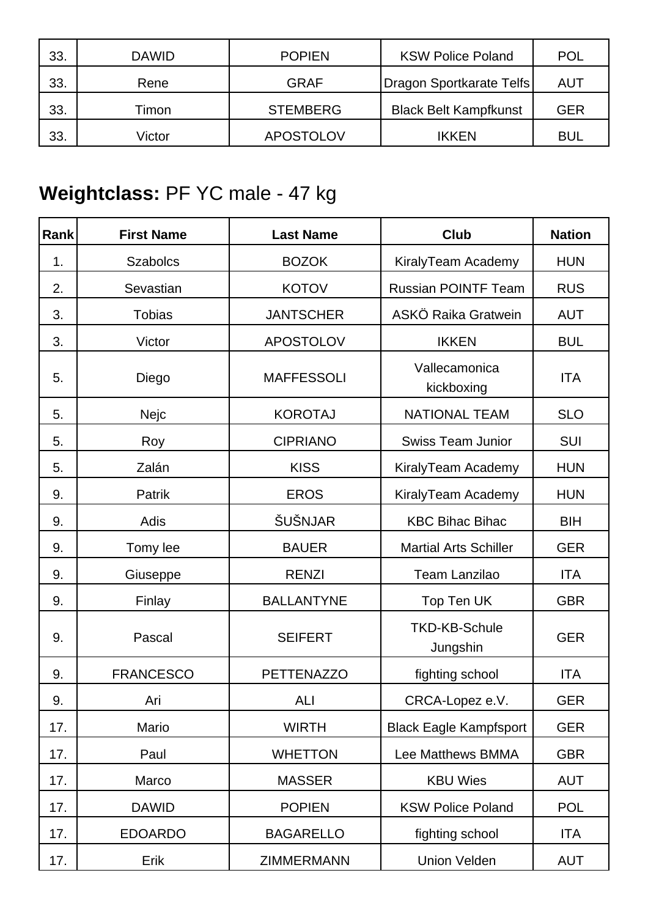| 33. | <b>DAWID</b> | <b>POPIEN</b>    | <b>KSW Police Poland</b>     | POL |
|-----|--------------|------------------|------------------------------|-----|
| 33. | Rene         | <b>GRAF</b>      | Dragon Sportkarate Telfs     | AUT |
| 33. | Timon        | <b>STEMBERG</b>  | <b>Black Belt Kampfkunst</b> | GER |
| 33. | Victor       | <b>APOSTOLOV</b> | <b>IKKEN</b>                 | BUI |

## **Weightclass:** PF YC male - 47 kg

| Rank | <b>First Name</b> | <b>Last Name</b>  | <b>Club</b>                      | <b>Nation</b> |
|------|-------------------|-------------------|----------------------------------|---------------|
| 1.   | <b>Szabolcs</b>   | <b>BOZOK</b>      | KiralyTeam Academy               | <b>HUN</b>    |
| 2.   | Sevastian         | <b>KOTOV</b>      | <b>Russian POINTF Team</b>       | <b>RUS</b>    |
| 3.   | <b>Tobias</b>     | <b>JANTSCHER</b>  | ASKÖ Raika Gratwein              | <b>AUT</b>    |
| 3.   | Victor            | <b>APOSTOLOV</b>  | <b>IKKEN</b>                     | <b>BUL</b>    |
| 5.   | Diego             | <b>MAFFESSOLI</b> | Vallecamonica<br>kickboxing      | <b>ITA</b>    |
| 5.   | Nejc              | <b>KOROTAJ</b>    | <b>NATIONAL TEAM</b>             | <b>SLO</b>    |
| 5.   | Roy               | <b>CIPRIANO</b>   | <b>Swiss Team Junior</b>         | SUI           |
| 5.   | Zalán             | <b>KISS</b>       | KiralyTeam Academy               | <b>HUN</b>    |
| 9.   | Patrik            | <b>EROS</b>       | KiralyTeam Academy               | <b>HUN</b>    |
| 9.   | Adis              | ŠUŠNJAR           | <b>KBC Bihac Bihac</b>           | <b>BIH</b>    |
| 9.   | Tomy lee          | <b>BAUER</b>      | <b>Martial Arts Schiller</b>     | <b>GER</b>    |
| 9.   | Giuseppe          | <b>RENZI</b>      | <b>Team Lanzilao</b>             | <b>ITA</b>    |
| 9.   | Finlay            | <b>BALLANTYNE</b> | Top Ten UK                       | <b>GBR</b>    |
| 9.   | Pascal            | <b>SEIFERT</b>    | <b>TKD-KB-Schule</b><br>Jungshin | <b>GER</b>    |
| 9.   | <b>FRANCESCO</b>  | <b>PETTENAZZO</b> | fighting school                  | <b>ITA</b>    |
| 9.   | Ari               | ALI               | CRCA-Lopez e.V.                  | <b>GER</b>    |
| 17.  | Mario             | <b>WIRTH</b>      | <b>Black Eagle Kampfsport</b>    | <b>GER</b>    |
| 17.  | Paul              | <b>WHETTON</b>    | Lee Matthews BMMA                | <b>GBR</b>    |
| 17.  | Marco             | <b>MASSER</b>     | <b>KBU Wies</b>                  | <b>AUT</b>    |
| 17.  | <b>DAWID</b>      | <b>POPIEN</b>     | <b>KSW Police Poland</b>         | <b>POL</b>    |
| 17.  | <b>EDOARDO</b>    | <b>BAGARELLO</b>  | fighting school                  | <b>ITA</b>    |
| 17.  | Erik              | <b>ZIMMERMANN</b> | <b>Union Velden</b>              | <b>AUT</b>    |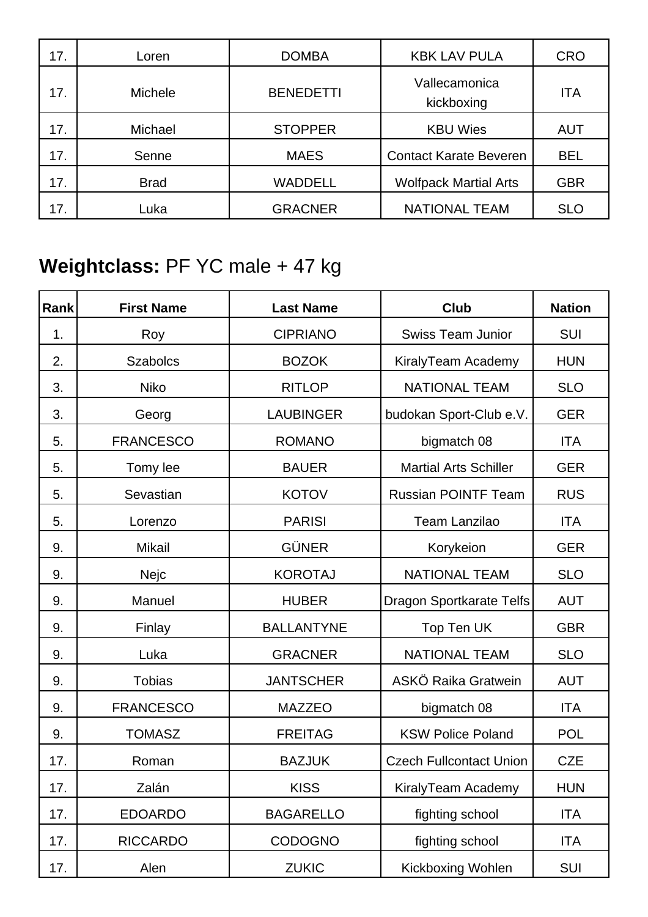| 17. | Loren          | <b>DOMBA</b>     | <b>KBK LAV PULA</b>           | <b>CRO</b> |
|-----|----------------|------------------|-------------------------------|------------|
| 17. | <b>Michele</b> | <b>BENEDETTI</b> | Vallecamonica<br>kickboxing   | <b>ITA</b> |
| 17. | Michael        | <b>STOPPER</b>   | <b>KBU Wies</b>               | <b>AUT</b> |
| 17. | Senne          | <b>MAES</b>      | <b>Contact Karate Beveren</b> | <b>BEL</b> |
| 17. | <b>Brad</b>    | <b>WADDELL</b>   | <b>Wolfpack Martial Arts</b>  | <b>GBR</b> |
| 17. | Luka           | <b>GRACNER</b>   | <b>NATIONAL TEAM</b>          | <b>SLO</b> |

## **Weightclass:** PF YC male + 47 kg

| Rank | <b>First Name</b> | <b>Last Name</b>  | <b>Club</b>                     | <b>Nation</b> |
|------|-------------------|-------------------|---------------------------------|---------------|
| 1.   | Roy               | <b>CIPRIANO</b>   | <b>Swiss Team Junior</b>        | <b>SUI</b>    |
| 2.   | <b>Szabolcs</b>   | <b>BOZOK</b>      | KiralyTeam Academy              | <b>HUN</b>    |
| 3.   | <b>Niko</b>       | <b>RITLOP</b>     | <b>NATIONAL TEAM</b>            | <b>SLO</b>    |
| 3.   | Georg             | <b>LAUBINGER</b>  | budokan Sport-Club e.V.         | <b>GER</b>    |
| 5.   | <b>FRANCESCO</b>  | <b>ROMANO</b>     | bigmatch 08                     | <b>ITA</b>    |
| 5.   | Tomy lee          | <b>BAUER</b>      | <b>Martial Arts Schiller</b>    | <b>GER</b>    |
| 5.   | Sevastian         | <b>KOTOV</b>      | <b>Russian POINTF Team</b>      | <b>RUS</b>    |
| 5.   | Lorenzo           | <b>PARISI</b>     | <b>Team Lanzilao</b>            | <b>ITA</b>    |
| 9.   | <b>Mikail</b>     | <b>GÜNER</b>      | Korykeion                       | <b>GER</b>    |
| 9.   | Nejc              | <b>KOROTAJ</b>    | <b>NATIONAL TEAM</b>            | <b>SLO</b>    |
| 9.   | Manuel            | <b>HUBER</b>      | <b>Dragon Sportkarate Telfs</b> | <b>AUT</b>    |
| 9.   | Finlay            | <b>BALLANTYNE</b> | Top Ten UK                      | <b>GBR</b>    |
| 9.   | Luka              | <b>GRACNER</b>    | <b>NATIONAL TEAM</b>            | <b>SLO</b>    |
| 9.   | <b>Tobias</b>     | <b>JANTSCHER</b>  | ASKÖ Raika Gratwein             | <b>AUT</b>    |
| 9.   | <b>FRANCESCO</b>  | <b>MAZZEO</b>     | bigmatch 08                     | <b>ITA</b>    |
| 9.   | <b>TOMASZ</b>     | <b>FREITAG</b>    | <b>KSW Police Poland</b>        | <b>POL</b>    |
| 17.  | Roman             | <b>BAZJUK</b>     | <b>Czech Fullcontact Union</b>  | <b>CZE</b>    |
| 17.  | Zalán             | <b>KISS</b>       | KiralyTeam Academy              | <b>HUN</b>    |
| 17.  | <b>EDOARDO</b>    | <b>BAGARELLO</b>  | fighting school                 | <b>ITA</b>    |
| 17.  | <b>RICCARDO</b>   | <b>CODOGNO</b>    | fighting school                 | <b>ITA</b>    |
| 17.  | Alen              | <b>ZUKIC</b>      | Kickboxing Wohlen               | <b>SUI</b>    |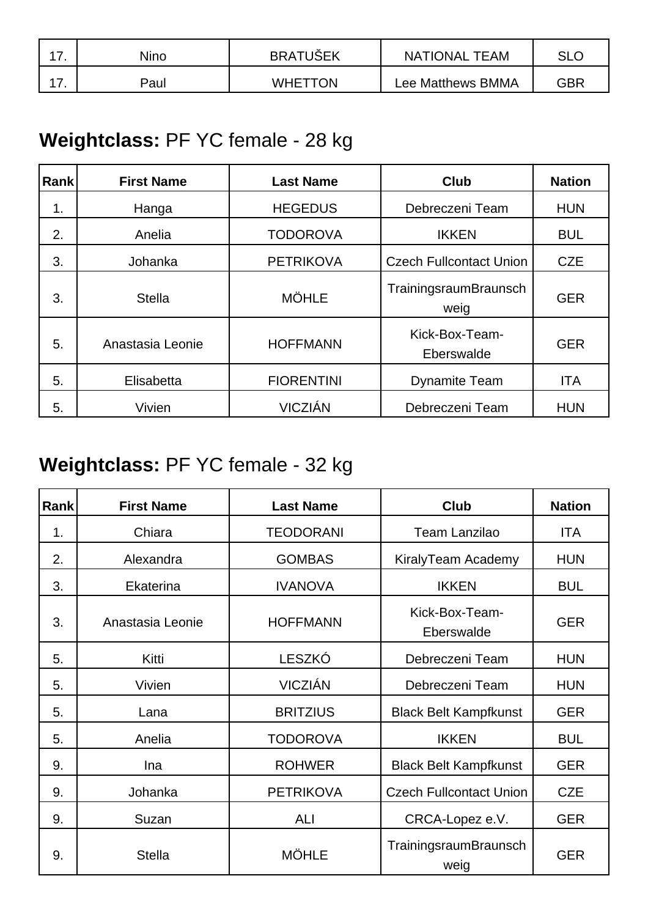| - | Nino | <b>BRATUSEK</b> | <b>NATIONAL TEAM</b> | SLC |
|---|------|-----------------|----------------------|-----|
| - | Paul | <b>WHETTON</b>  | Lee Matthews BMMA    | GBR |

### **Weightclass:** PF YC female - 28 kg

| <b>Rank</b> | <b>First Name</b> | <b>Last Name</b>  | <b>Club</b>                    | <b>Nation</b> |
|-------------|-------------------|-------------------|--------------------------------|---------------|
| 1.          | Hanga             | <b>HEGEDUS</b>    | Debreczeni Team                | <b>HUN</b>    |
| 2.          | Anelia            | <b>TODOROVA</b>   | <b>IKKEN</b>                   | <b>BUL</b>    |
| 3.          | Johanka           | <b>PETRIKOVA</b>  | <b>Czech Fullcontact Union</b> | <b>CZE</b>    |
| 3.          | <b>Stella</b>     | <b>MÖHLE</b>      | TrainingsraumBraunsch<br>weig  | <b>GER</b>    |
| 5.          | Anastasia Leonie  | <b>HOFFMANN</b>   | Kick-Box-Team-<br>Eberswalde   | <b>GER</b>    |
| 5.          | Elisabetta        | <b>FIORENTINI</b> | <b>Dynamite Team</b>           | <b>ITA</b>    |
| 5.          | Vivien            | <b>VICZIÁN</b>    | Debreczeni Team                | <b>HUN</b>    |

### **Weightclass:** PF YC female - 32 kg

| <b>Rank</b> | <b>First Name</b> | <b>Last Name</b> | Club                           | <b>Nation</b> |
|-------------|-------------------|------------------|--------------------------------|---------------|
| 1.          | Chiara            | <b>TEODORANI</b> | <b>Team Lanzilao</b>           | ITA           |
| 2.          | Alexandra         | <b>GOMBAS</b>    | KiralyTeam Academy             | <b>HUN</b>    |
| 3.          | Ekaterina         | <b>IVANOVA</b>   | <b>IKKEN</b>                   | <b>BUL</b>    |
| 3.          | Anastasia Leonie  | <b>HOFFMANN</b>  | Kick-Box-Team-<br>Eberswalde   | <b>GER</b>    |
| 5.          | Kitti             | LESZKÓ           | Debreczeni Team                | <b>HUN</b>    |
| 5.          | Vivien            | <b>VICZIÁN</b>   | Debreczeni Team                | <b>HUN</b>    |
| 5.          | Lana              | <b>BRITZIUS</b>  | <b>Black Belt Kampfkunst</b>   | <b>GER</b>    |
| 5.          | Anelia            | <b>TODOROVA</b>  | <b>IKKEN</b>                   | <b>BUL</b>    |
| 9.          | Ina               | <b>ROHWER</b>    | <b>Black Belt Kampfkunst</b>   | <b>GER</b>    |
| 9.          | Johanka           | <b>PETRIKOVA</b> | <b>Czech Fullcontact Union</b> | <b>CZE</b>    |
| 9.          | Suzan             | ALI              | CRCA-Lopez e.V.                | <b>GER</b>    |
| 9.          | <b>Stella</b>     | <b>MÖHLE</b>     | TrainingsraumBraunsch<br>weig  | <b>GER</b>    |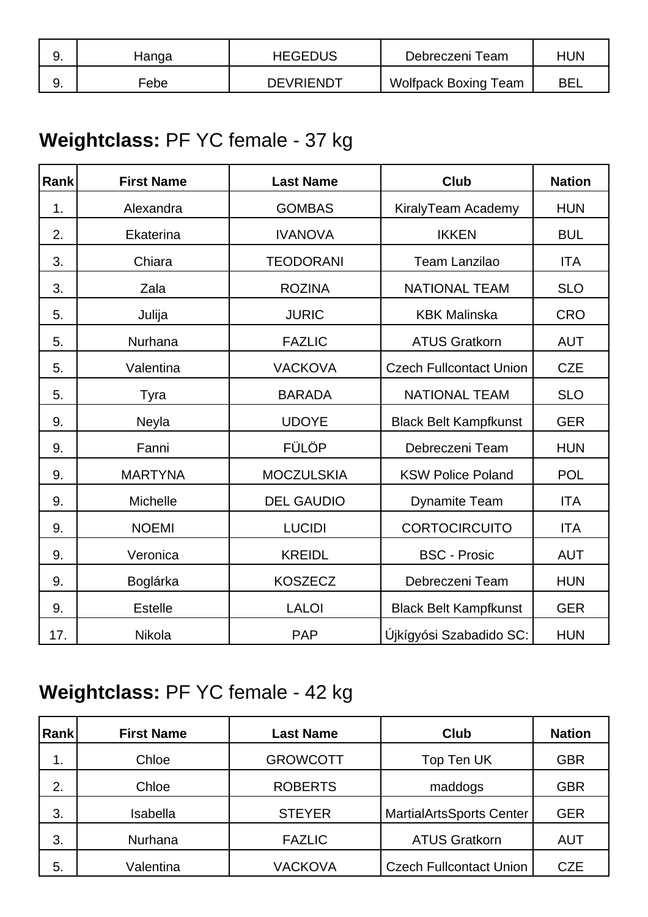| <u>. </u> | Hanga | <b>HEGEDUS</b>   | Debreczeni Team             | <b>HUN</b> |
|-----------|-------|------------------|-----------------------------|------------|
| J.        | Febe  | <b>DEVRIENDT</b> | <b>Wolfpack Boxing Team</b> | BEI        |

### **Weightclass:** PF YC female - 37 kg

| Rank | <b>First Name</b> | <b>Last Name</b>  | <b>Club</b>                    | <b>Nation</b> |
|------|-------------------|-------------------|--------------------------------|---------------|
| 1.   | Alexandra         | <b>GOMBAS</b>     | KiralyTeam Academy             | <b>HUN</b>    |
| 2.   | Ekaterina         | <b>IVANOVA</b>    | <b>IKKEN</b>                   | <b>BUL</b>    |
| 3.   | Chiara            | <b>TEODORANI</b>  | <b>Team Lanzilao</b>           | <b>ITA</b>    |
| 3.   | Zala              | <b>ROZINA</b>     | <b>NATIONAL TEAM</b>           | <b>SLO</b>    |
| 5.   | Julija            | <b>JURIC</b>      | <b>KBK Malinska</b>            | <b>CRO</b>    |
| 5.   | Nurhana           | <b>FAZLIC</b>     | <b>ATUS Gratkorn</b>           | <b>AUT</b>    |
| 5.   | Valentina         | <b>VACKOVA</b>    | <b>Czech Fullcontact Union</b> | <b>CZE</b>    |
| 5.   | Tyra              | <b>BARADA</b>     | <b>NATIONAL TEAM</b>           | <b>SLO</b>    |
| 9.   | Neyla             | <b>UDOYE</b>      | <b>Black Belt Kampfkunst</b>   | <b>GER</b>    |
| 9.   | Fanni             | <b>FÜLÖP</b>      | Debreczeni Team                | <b>HUN</b>    |
| 9.   | <b>MARTYNA</b>    | <b>MOCZULSKIA</b> | <b>KSW Police Poland</b>       | <b>POL</b>    |
| 9.   | Michelle          | <b>DEL GAUDIO</b> | <b>Dynamite Team</b>           | <b>ITA</b>    |
| 9.   | <b>NOEMI</b>      | <b>LUCIDI</b>     | <b>CORTOCIRCUITO</b>           | <b>ITA</b>    |
| 9.   | Veronica          | <b>KREIDL</b>     | <b>BSC - Prosic</b>            | <b>AUT</b>    |
| 9.   | Boglárka          | <b>KOSZECZ</b>    | Debreczeni Team                | <b>HUN</b>    |
| 9.   | <b>Estelle</b>    | <b>LALOI</b>      | <b>Black Belt Kampfkunst</b>   | <b>GER</b>    |
| 17.  | Nikola            | <b>PAP</b>        | Újkígyósi Szabadido SC:        | <b>HUN</b>    |

## **Weightclass:** PF YC female - 42 kg

| Rank | <b>First Name</b> | <b>Last Name</b> | <b>Club</b>                     | <b>Nation</b> |
|------|-------------------|------------------|---------------------------------|---------------|
| 1.   | Chloe             | <b>GROWCOTT</b>  | Top Ten UK                      | <b>GBR</b>    |
| 2.   | Chloe             | <b>ROBERTS</b>   | maddogs                         | GBR           |
| 3.   | Isabella          | <b>STEYER</b>    | <b>MartialArtsSports Center</b> | <b>GER</b>    |
| 3.   | Nurhana           | <b>FAZLIC</b>    | <b>ATUS Gratkorn</b>            | <b>AUT</b>    |
| 5.   | Valentina         | <b>VACKOVA</b>   | <b>Czech Fullcontact Union</b>  | <b>CZE</b>    |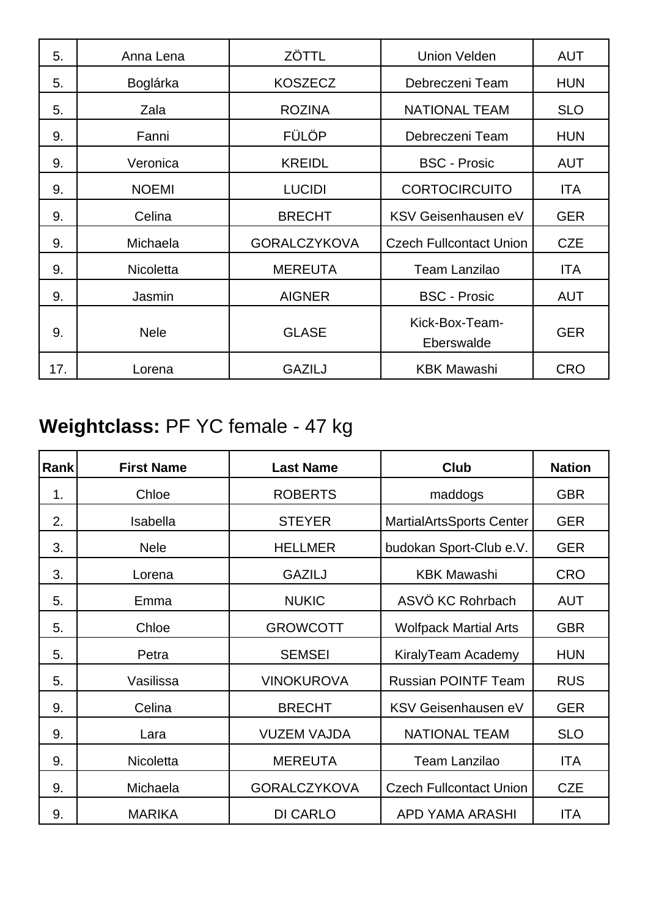| 5.  | Anna Lena    | ZÖTTL               | <b>Union Velden</b>            | <b>AUT</b> |
|-----|--------------|---------------------|--------------------------------|------------|
| 5.  | Boglárka     | <b>KOSZECZ</b>      | Debreczeni Team                | <b>HUN</b> |
| 5.  | Zala         | <b>ROZINA</b>       | <b>NATIONAL TEAM</b>           | <b>SLO</b> |
| 9.  | Fanni        | <b>FÜLÖP</b>        | Debreczeni Team                | <b>HUN</b> |
| 9.  | Veronica     | <b>KREIDL</b>       | <b>BSC - Prosic</b>            | <b>AUT</b> |
| 9.  | <b>NOEMI</b> | <b>LUCIDI</b>       | <b>CORTOCIRCUITO</b>           | <b>ITA</b> |
| 9.  | Celina       | <b>BRECHT</b>       | KSV Geisenhausen eV            | <b>GER</b> |
| 9.  | Michaela     | <b>GORALCZYKOVA</b> | <b>Czech Fullcontact Union</b> | <b>CZE</b> |
| 9.  | Nicoletta    | <b>MEREUTA</b>      | <b>Team Lanzilao</b>           | <b>ITA</b> |
| 9.  | Jasmin       | <b>AIGNER</b>       | <b>BSC - Prosic</b>            | <b>AUT</b> |
| 9.  | <b>Nele</b>  | <b>GLASE</b>        | Kick-Box-Team-<br>Eberswalde   | <b>GER</b> |
| 17. | Lorena       | <b>GAZILJ</b>       | <b>KBK Mawashi</b>             | <b>CRO</b> |

## **Weightclass:** PF YC female - 47 kg

| Rank | <b>First Name</b> | <b>Last Name</b>    | <b>Club</b>                     | <b>Nation</b> |
|------|-------------------|---------------------|---------------------------------|---------------|
| 1.   | Chloe             | <b>ROBERTS</b>      | maddogs                         | <b>GBR</b>    |
| 2.   | <b>Isabella</b>   | <b>STEYER</b>       | <b>MartialArtsSports Center</b> | <b>GER</b>    |
| 3.   | <b>Nele</b>       | <b>HELLMER</b>      | budokan Sport-Club e.V.         | <b>GER</b>    |
| 3.   | Lorena            | <b>GAZILJ</b>       | <b>KBK Mawashi</b>              | <b>CRO</b>    |
| 5.   | Emma              | <b>NUKIC</b>        | ASVÖ KC Rohrbach                | <b>AUT</b>    |
| 5.   | Chloe             | <b>GROWCOTT</b>     | <b>Wolfpack Martial Arts</b>    | <b>GBR</b>    |
| 5.   | Petra             | <b>SEMSEI</b>       | KiralyTeam Academy              | <b>HUN</b>    |
| 5.   | Vasilissa         | <b>VINOKUROVA</b>   | <b>Russian POINTF Team</b>      | <b>RUS</b>    |
| 9.   | Celina            | <b>BRECHT</b>       | KSV Geisenhausen eV             | <b>GER</b>    |
| 9.   | Lara              | <b>VUZEM VAJDA</b>  | <b>NATIONAL TEAM</b>            | <b>SLO</b>    |
| 9.   | <b>Nicoletta</b>  | <b>MEREUTA</b>      | <b>Team Lanzilao</b>            | <b>ITA</b>    |
| 9.   | Michaela          | <b>GORALCZYKOVA</b> | <b>Czech Fullcontact Union</b>  | <b>CZE</b>    |
| 9.   | <b>MARIKA</b>     | <b>DI CARLO</b>     | APD YAMA ARASHI                 | <b>ITA</b>    |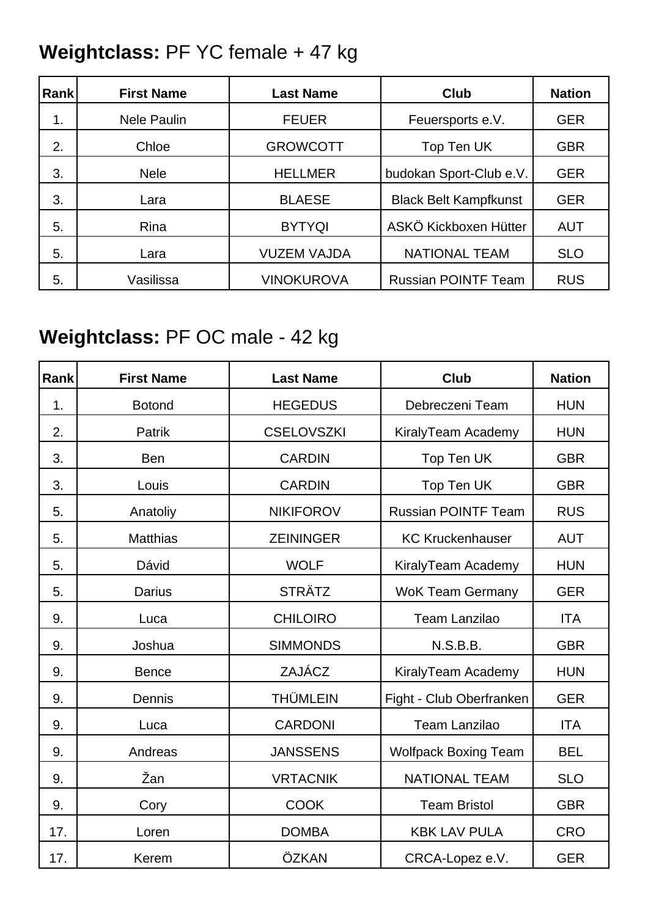### **Weightclass:** PF YC female + 47 kg

| Rank | <b>First Name</b>  | <b>Last Name</b>   | <b>Club</b>                  | <b>Nation</b> |
|------|--------------------|--------------------|------------------------------|---------------|
| 1.   | <b>Nele Paulin</b> | <b>FEUER</b>       | Feuersports e.V.             | <b>GER</b>    |
| 2.   | Chloe              | <b>GROWCOTT</b>    | Top Ten UK                   | <b>GBR</b>    |
| 3.   | <b>Nele</b>        | <b>HELLMER</b>     | budokan Sport-Club e.V.      | <b>GER</b>    |
| 3.   | Lara               | <b>BLAESE</b>      | <b>Black Belt Kampfkunst</b> | <b>GER</b>    |
| 5.   | Rina               | <b>BYTYQI</b>      | ASKÖ Kickboxen Hütter        | <b>AUT</b>    |
| 5.   | Lara               | <b>VUZEM VAJDA</b> | <b>NATIONAL TEAM</b>         | <b>SLO</b>    |
| 5.   | Vasilissa          | <b>VINOKUROVA</b>  | <b>Russian POINTF Team</b>   | <b>RUS</b>    |

## **Weightclass:** PF OC male - 42 kg

| Rank | <b>First Name</b> | <b>Last Name</b>  | <b>Club</b>                 | <b>Nation</b> |
|------|-------------------|-------------------|-----------------------------|---------------|
| 1.   | <b>Botond</b>     | <b>HEGEDUS</b>    | Debreczeni Team             | <b>HUN</b>    |
| 2.   | Patrik            | <b>CSELOVSZKI</b> | KiralyTeam Academy          | <b>HUN</b>    |
| 3.   | <b>Ben</b>        | <b>CARDIN</b>     | Top Ten UK                  | <b>GBR</b>    |
| 3.   | Louis             | <b>CARDIN</b>     | Top Ten UK                  | <b>GBR</b>    |
| 5.   | Anatoliy          | <b>NIKIFOROV</b>  | <b>Russian POINTF Team</b>  | <b>RUS</b>    |
| 5.   | <b>Matthias</b>   | <b>ZEININGER</b>  | <b>KC Kruckenhauser</b>     | <b>AUT</b>    |
| 5.   | Dávid             | <b>WOLF</b>       | KiralyTeam Academy          | <b>HUN</b>    |
| 5.   | <b>Darius</b>     | <b>STRÄTZ</b>     | <b>WoK Team Germany</b>     | <b>GER</b>    |
| 9.   | Luca              | <b>CHILOIRO</b>   | <b>Team Lanzilao</b>        | <b>ITA</b>    |
| 9.   | Joshua            | <b>SIMMONDS</b>   | N.S.B.B.                    | <b>GBR</b>    |
| 9.   | <b>Bence</b>      | ZAJÁCZ            | KiralyTeam Academy          | <b>HUN</b>    |
| 9.   | Dennis            | <b>THÜMLEIN</b>   | Fight - Club Oberfranken    | <b>GER</b>    |
| 9.   | Luca              | <b>CARDONI</b>    | <b>Team Lanzilao</b>        | <b>ITA</b>    |
| 9.   | Andreas           | <b>JANSSENS</b>   | <b>Wolfpack Boxing Team</b> | <b>BEL</b>    |
| 9.   | Žan               | <b>VRTACNIK</b>   | <b>NATIONAL TEAM</b>        | <b>SLO</b>    |
| 9.   | Cory              | <b>COOK</b>       | <b>Team Bristol</b>         | <b>GBR</b>    |
| 17.  | Loren             | <b>DOMBA</b>      | <b>KBK LAV PULA</b>         | <b>CRO</b>    |
| 17.  | Kerem             | ÖZKAN             | CRCA-Lopez e.V.             | <b>GER</b>    |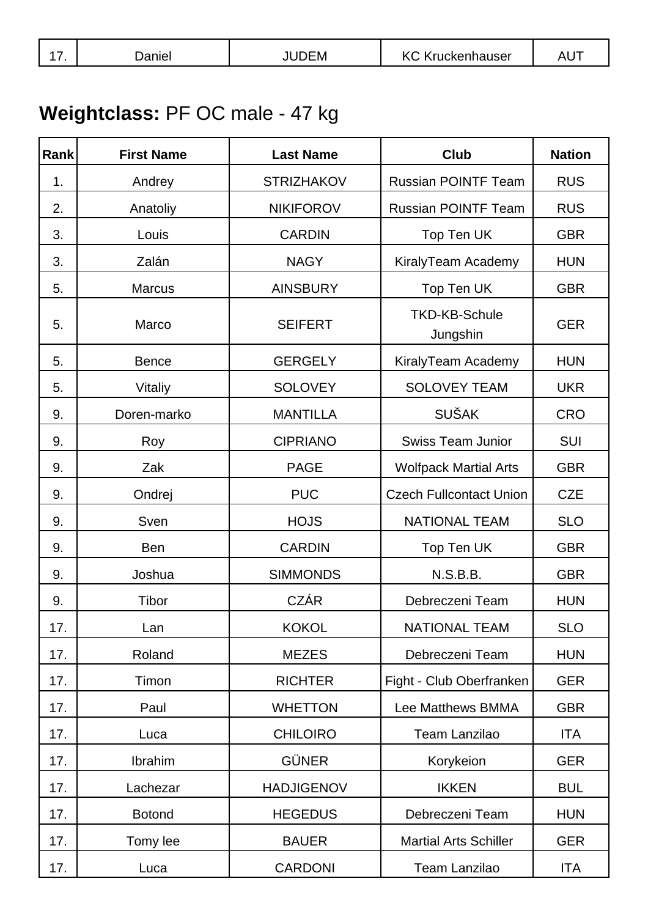# **Weightclass:** PF OC male - 47 kg

| Rank | <b>First Name</b> | <b>Last Name</b>  | <b>Club</b>                      | <b>Nation</b> |
|------|-------------------|-------------------|----------------------------------|---------------|
| 1.   | Andrey            | <b>STRIZHAKOV</b> | <b>Russian POINTF Team</b>       | <b>RUS</b>    |
| 2.   | Anatoliy          | <b>NIKIFOROV</b>  | <b>Russian POINTF Team</b>       | <b>RUS</b>    |
| 3.   | Louis             | <b>CARDIN</b>     | Top Ten UK                       | <b>GBR</b>    |
| 3.   | Zalán             | <b>NAGY</b>       | KiralyTeam Academy               | <b>HUN</b>    |
| 5.   | <b>Marcus</b>     | <b>AINSBURY</b>   | Top Ten UK                       | <b>GBR</b>    |
| 5.   | Marco             | <b>SEIFERT</b>    | <b>TKD-KB-Schule</b><br>Jungshin | <b>GER</b>    |
| 5.   | <b>Bence</b>      | <b>GERGELY</b>    | KiralyTeam Academy               | <b>HUN</b>    |
| 5.   | Vitaliy           | <b>SOLOVEY</b>    | <b>SOLOVEY TEAM</b>              | <b>UKR</b>    |
| 9.   | Doren-marko       | <b>MANTILLA</b>   | <b>SUŠAK</b>                     | <b>CRO</b>    |
| 9.   | Roy               | <b>CIPRIANO</b>   | <b>Swiss Team Junior</b>         | <b>SUI</b>    |
| 9.   | Zak               | <b>PAGE</b>       | <b>Wolfpack Martial Arts</b>     | <b>GBR</b>    |
| 9.   | Ondrej            | <b>PUC</b>        | <b>Czech Fullcontact Union</b>   | <b>CZE</b>    |
| 9.   | Sven              | <b>HOJS</b>       | <b>NATIONAL TEAM</b>             | <b>SLO</b>    |
| 9.   | <b>Ben</b>        | <b>CARDIN</b>     | Top Ten UK                       | <b>GBR</b>    |
| 9.   | Joshua            | <b>SIMMONDS</b>   | N.S.B.B.                         | <b>GBR</b>    |
| 9.   | Tibor             | <b>CZÁR</b>       | Debreczeni Team                  | <b>HUN</b>    |
| 17.  | Lan               | <b>KOKOL</b>      | NATIONAL TEAM                    | <b>SLO</b>    |
| 17.  | Roland            | <b>MEZES</b>      | Debreczeni Team                  | <b>HUN</b>    |
| 17.  | Timon             | <b>RICHTER</b>    | Fight - Club Oberfranken         | <b>GER</b>    |
| 17.  | Paul              | <b>WHETTON</b>    | Lee Matthews BMMA                | <b>GBR</b>    |
| 17.  | Luca              | <b>CHILOIRO</b>   | Team Lanzilao                    | <b>ITA</b>    |
| 17.  | Ibrahim           | <b>GÜNER</b>      | Korykeion                        | <b>GER</b>    |
| 17.  | Lachezar          | <b>HADJIGENOV</b> | <b>IKKEN</b>                     | <b>BUL</b>    |
| 17.  | <b>Botond</b>     | <b>HEGEDUS</b>    | Debreczeni Team                  | <b>HUN</b>    |
| 17.  | Tomy lee          | <b>BAUER</b>      | <b>Martial Arts Schiller</b>     | <b>GER</b>    |
| 17.  | Luca              | <b>CARDONI</b>    | Team Lanzilao                    | <b>ITA</b>    |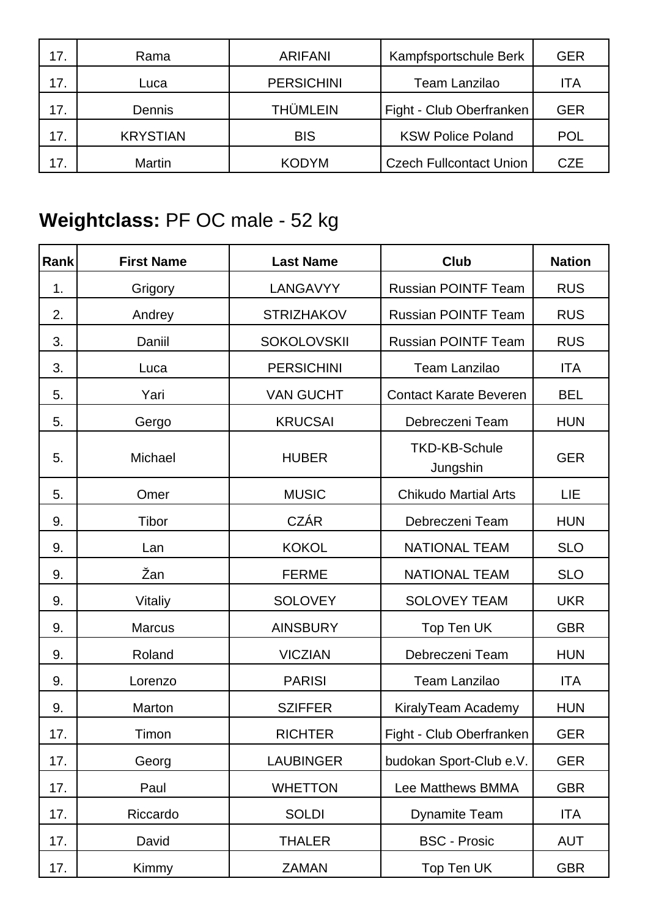| 17. | Rama            | <b>ARIFANI</b>    | Kampfsportschule Berk          | <b>GER</b> |
|-----|-----------------|-------------------|--------------------------------|------------|
| 17. | Luca            | <b>PERSICHINI</b> | <b>Team Lanzilao</b>           | ITA        |
| 17. | <b>Dennis</b>   | <b>THÜMLEIN</b>   | Fight - Club Oberfranken       | <b>GER</b> |
| 17. | <b>KRYSTIAN</b> | <b>BIS</b>        | <b>KSW Police Poland</b>       | <b>POL</b> |
| 17. | Martin          | <b>KODYM</b>      | <b>Czech Fullcontact Union</b> | <b>CZE</b> |

## **Weightclass:** PF OC male - 52 kg

| Rank | <b>First Name</b> | <b>Last Name</b>   | <b>Club</b>                      | <b>Nation</b> |
|------|-------------------|--------------------|----------------------------------|---------------|
| 1.   | Grigory           | LANGAVYY           | <b>Russian POINTF Team</b>       | <b>RUS</b>    |
| 2.   | Andrey            | <b>STRIZHAKOV</b>  | <b>Russian POINTF Team</b>       | <b>RUS</b>    |
| 3.   | Daniil            | <b>SOKOLOVSKII</b> | <b>Russian POINTF Team</b>       | <b>RUS</b>    |
| 3.   | Luca              | <b>PERSICHINI</b>  | <b>Team Lanzilao</b>             | <b>ITA</b>    |
| 5.   | Yari              | <b>VAN GUCHT</b>   | <b>Contact Karate Beveren</b>    | <b>BEL</b>    |
| 5.   | Gergo             | <b>KRUCSAI</b>     | Debreczeni Team                  | <b>HUN</b>    |
| 5.   | Michael           | <b>HUBER</b>       | <b>TKD-KB-Schule</b><br>Jungshin | <b>GER</b>    |
| 5.   | Omer              | <b>MUSIC</b>       | <b>Chikudo Martial Arts</b>      | LIE           |
| 9.   | Tibor             | <b>CZÁR</b>        | Debreczeni Team                  | <b>HUN</b>    |
| 9.   | Lan               | <b>KOKOL</b>       | <b>NATIONAL TEAM</b>             | <b>SLO</b>    |
| 9.   | Žan               | <b>FERME</b>       | <b>NATIONAL TEAM</b>             | <b>SLO</b>    |
| 9.   | Vitaliy           | <b>SOLOVEY</b>     | <b>SOLOVEY TEAM</b>              | <b>UKR</b>    |
| 9.   | <b>Marcus</b>     | <b>AINSBURY</b>    | Top Ten UK                       | <b>GBR</b>    |
| 9.   | Roland            | <b>VICZIAN</b>     | Debreczeni Team                  | <b>HUN</b>    |
| 9.   | Lorenzo           | <b>PARISI</b>      | <b>Team Lanzilao</b>             | <b>ITA</b>    |
| 9.   | Marton            | <b>SZIFFER</b>     | KiralyTeam Academy               | <b>HUN</b>    |
| 17.  | Timon             | <b>RICHTER</b>     | Fight - Club Oberfranken         | <b>GER</b>    |
| 17.  | Georg             | <b>LAUBINGER</b>   | budokan Sport-Club e.V.          | <b>GER</b>    |
| 17.  | Paul              | <b>WHETTON</b>     | Lee Matthews BMMA                | <b>GBR</b>    |
| 17.  | Riccardo          | <b>SOLDI</b>       | <b>Dynamite Team</b>             | <b>ITA</b>    |
| 17.  | David             | <b>THALER</b>      | <b>BSC - Prosic</b>              | <b>AUT</b>    |
| 17.  | Kimmy             | <b>ZAMAN</b>       | Top Ten UK                       | <b>GBR</b>    |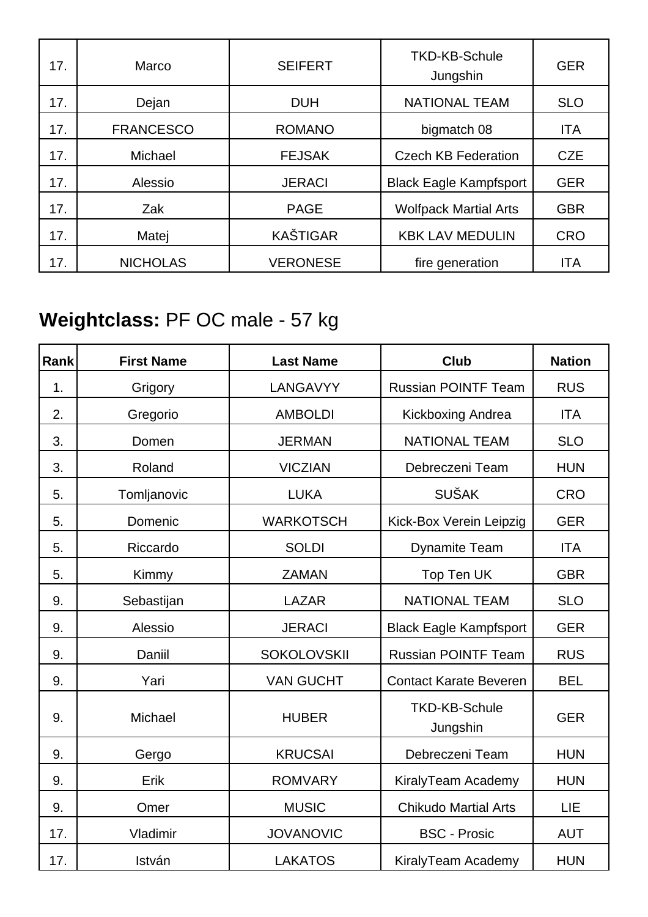| 17. | Marco            | <b>SEIFERT</b>  | <b>TKD-KB-Schule</b><br>Jungshin | <b>GER</b> |
|-----|------------------|-----------------|----------------------------------|------------|
| 17. | Dejan            | <b>DUH</b>      | <b>NATIONAL TEAM</b>             | <b>SLO</b> |
| 17. | <b>FRANCESCO</b> | <b>ROMANO</b>   | bigmatch 08                      | <b>ITA</b> |
| 17. | Michael          | <b>FEJSAK</b>   | <b>Czech KB Federation</b>       | <b>CZE</b> |
| 17. | Alessio          | <b>JERACI</b>   | <b>Black Eagle Kampfsport</b>    | <b>GER</b> |
| 17. | Zak              | <b>PAGE</b>     | <b>Wolfpack Martial Arts</b>     | <b>GBR</b> |
| 17. | Matej            | <b>KAŠTIGAR</b> | <b>KBK LAV MEDULIN</b>           | <b>CRO</b> |
| 17. | <b>NICHOLAS</b>  | <b>VERONESE</b> | fire generation                  | <b>ITA</b> |

## **Weightclass:** PF OC male - 57 kg

| Rank | <b>First Name</b> | <b>Last Name</b>   | <b>Club</b>                      | <b>Nation</b> |
|------|-------------------|--------------------|----------------------------------|---------------|
| 1.   | Grigory           | LANGAVYY           | <b>Russian POINTF Team</b>       | <b>RUS</b>    |
| 2.   | Gregorio          | <b>AMBOLDI</b>     | Kickboxing Andrea                | <b>ITA</b>    |
| 3.   | Domen             | <b>JERMAN</b>      | <b>NATIONAL TEAM</b>             | <b>SLO</b>    |
| 3.   | Roland            | <b>VICZIAN</b>     | Debreczeni Team                  | <b>HUN</b>    |
| 5.   | Tomljanovic       | <b>LUKA</b>        | <b>SUŠAK</b>                     | <b>CRO</b>    |
| 5.   | Domenic           | <b>WARKOTSCH</b>   | Kick-Box Verein Leipzig          | <b>GER</b>    |
| 5.   | Riccardo          | <b>SOLDI</b>       | <b>Dynamite Team</b>             | <b>ITA</b>    |
| 5.   | Kimmy             | <b>ZAMAN</b>       | Top Ten UK                       | <b>GBR</b>    |
| 9.   | Sebastijan        | <b>LAZAR</b>       | <b>NATIONAL TEAM</b>             | <b>SLO</b>    |
| 9.   | Alessio           | <b>JERACI</b>      | <b>Black Eagle Kampfsport</b>    | <b>GER</b>    |
| 9.   | Daniil            | <b>SOKOLOVSKII</b> | <b>Russian POINTF Team</b>       | <b>RUS</b>    |
| 9.   | Yari              | <b>VAN GUCHT</b>   | <b>Contact Karate Beveren</b>    | <b>BEL</b>    |
| 9.   | Michael           | <b>HUBER</b>       | <b>TKD-KB-Schule</b><br>Jungshin | <b>GER</b>    |
| 9.   | Gergo             | <b>KRUCSAI</b>     | Debreczeni Team                  | <b>HUN</b>    |
| 9.   | Erik              | <b>ROMVARY</b>     | KiralyTeam Academy               | <b>HUN</b>    |
| 9.   | Omer              | <b>MUSIC</b>       | <b>Chikudo Martial Arts</b>      | LIE           |
| 17.  | Vladimir          | <b>JOVANOVIC</b>   | <b>BSC - Prosic</b>              | <b>AUT</b>    |
| 17.  | István            | <b>LAKATOS</b>     | KiralyTeam Academy               | <b>HUN</b>    |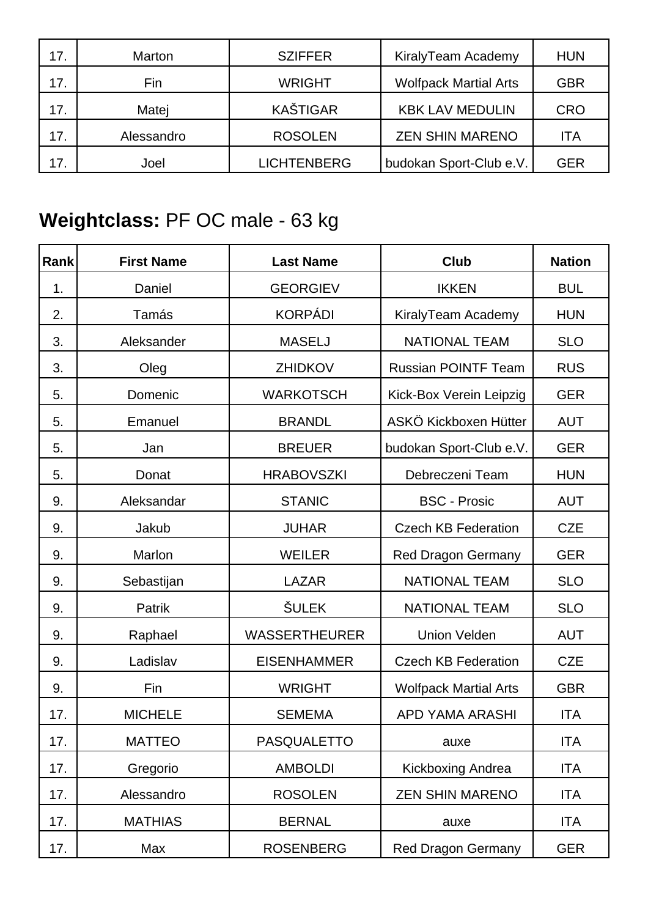| 17. | Marton     | <b>SZIFFER</b>     | KiralyTeam Academy           | <b>HUN</b> |
|-----|------------|--------------------|------------------------------|------------|
| 17. | Fin        | <b>WRIGHT</b>      | <b>Wolfpack Martial Arts</b> | GBR        |
| 17. | Matej      | <b>KAŠTIGAR</b>    | <b>KBK LAV MEDULIN</b>       | <b>CRO</b> |
| 17. | Alessandro | <b>ROSOLEN</b>     | <b>ZEN SHIN MARENO</b>       | ITA        |
| 17. | Joel       | <b>LICHTENBERG</b> | budokan Sport-Club e.V.      | GER        |

## **Weightclass:** PF OC male - 63 kg

| Rank | <b>First Name</b> | <b>Last Name</b>     | <b>Club</b>                  | <b>Nation</b> |
|------|-------------------|----------------------|------------------------------|---------------|
| 1.   | Daniel            | <b>GEORGIEV</b>      | <b>IKKEN</b>                 | <b>BUL</b>    |
| 2.   | Tamás             | <b>KORPÁDI</b>       | KiralyTeam Academy           | <b>HUN</b>    |
| 3.   | Aleksander        | <b>MASELJ</b>        | <b>NATIONAL TEAM</b>         | <b>SLO</b>    |
| 3.   | Oleg              | ZHIDKOV              | <b>Russian POINTF Team</b>   | <b>RUS</b>    |
| 5.   | Domenic           | <b>WARKOTSCH</b>     | Kick-Box Verein Leipzig      | <b>GER</b>    |
| 5.   | Emanuel           | <b>BRANDL</b>        | ASKÖ Kickboxen Hütter        | <b>AUT</b>    |
| 5.   | Jan               | <b>BREUER</b>        | budokan Sport-Club e.V.      | <b>GER</b>    |
| 5.   | Donat             | <b>HRABOVSZKI</b>    | Debreczeni Team              | <b>HUN</b>    |
| 9.   | Aleksandar        | <b>STANIC</b>        | <b>BSC - Prosic</b>          | <b>AUT</b>    |
| 9.   | Jakub             | <b>JUHAR</b>         | <b>Czech KB Federation</b>   | <b>CZE</b>    |
| 9.   | Marlon            | <b>WEILER</b>        | <b>Red Dragon Germany</b>    | <b>GER</b>    |
| 9.   | Sebastijan        | <b>LAZAR</b>         | <b>NATIONAL TEAM</b>         | <b>SLO</b>    |
| 9.   | Patrik            | <b>ŠULEK</b>         | <b>NATIONAL TEAM</b>         | <b>SLO</b>    |
| 9.   | Raphael           | <b>WASSERTHEURER</b> | <b>Union Velden</b>          | <b>AUT</b>    |
| 9.   | Ladislav          | <b>EISENHAMMER</b>   | <b>Czech KB Federation</b>   | <b>CZE</b>    |
| 9.   | Fin               | <b>WRIGHT</b>        | <b>Wolfpack Martial Arts</b> | <b>GBR</b>    |
| 17.  | <b>MICHELE</b>    | <b>SEMEMA</b>        | <b>APD YAMA ARASHI</b>       | <b>ITA</b>    |
| 17.  | <b>MATTEO</b>     | PASQUALETTO          | auxe                         | <b>ITA</b>    |
| 17.  | Gregorio          | <b>AMBOLDI</b>       | Kickboxing Andrea            | <b>ITA</b>    |
| 17.  | Alessandro        | <b>ROSOLEN</b>       | <b>ZEN SHIN MARENO</b>       | <b>ITA</b>    |
| 17.  | <b>MATHIAS</b>    | <b>BERNAL</b>        | auxe                         | <b>ITA</b>    |
| 17.  | Max               | <b>ROSENBERG</b>     | Red Dragon Germany           | <b>GER</b>    |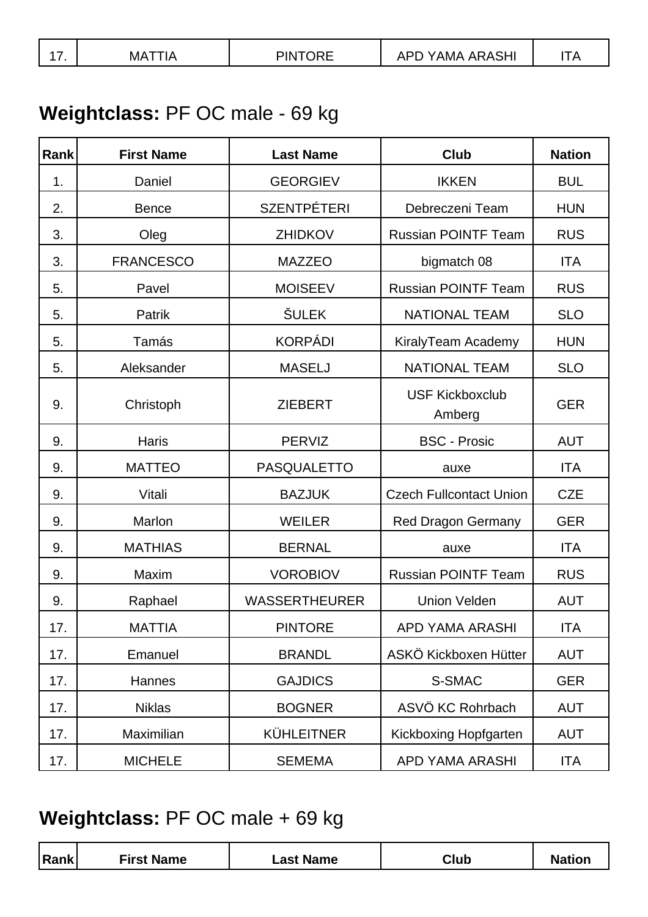| <b>Contract Contract Contract</b><br>1 I K<br>MA<br>.<br>w<br>. <i>.</i><br> | -- |
|------------------------------------------------------------------------------|----|
|------------------------------------------------------------------------------|----|

## **Weightclass:** PF OC male - 69 kg

| Rank | <b>First Name</b> | <b>Last Name</b>     | <b>Club</b>                      | <b>Nation</b> |
|------|-------------------|----------------------|----------------------------------|---------------|
| 1.   | Daniel            | <b>GEORGIEV</b>      | <b>IKKEN</b>                     | <b>BUL</b>    |
| 2.   | <b>Bence</b>      | <b>SZENTPÉTERI</b>   | Debreczeni Team                  | <b>HUN</b>    |
| 3.   | Oleg              | <b>ZHIDKOV</b>       | <b>Russian POINTF Team</b>       | <b>RUS</b>    |
| 3.   | <b>FRANCESCO</b>  | <b>MAZZEO</b>        | bigmatch 08                      | <b>ITA</b>    |
| 5.   | Pavel             | <b>MOISEEV</b>       | <b>Russian POINTF Team</b>       | <b>RUS</b>    |
| 5.   | Patrik            | <b>ŠULEK</b>         | <b>NATIONAL TEAM</b>             | <b>SLO</b>    |
| 5.   | Tamás             | <b>KORPÁDI</b>       | KiralyTeam Academy               | <b>HUN</b>    |
| 5.   | Aleksander        | <b>MASELJ</b>        | <b>NATIONAL TEAM</b>             | <b>SLO</b>    |
| 9.   | Christoph         | <b>ZIEBERT</b>       | <b>USF Kickboxclub</b><br>Amberg | <b>GER</b>    |
| 9.   | Haris             | <b>PERVIZ</b>        | <b>BSC - Prosic</b>              | <b>AUT</b>    |
| 9.   | <b>MATTEO</b>     | <b>PASQUALETTO</b>   | auxe                             | <b>ITA</b>    |
| 9.   | Vitali            | <b>BAZJUK</b>        | <b>Czech Fullcontact Union</b>   | <b>CZE</b>    |
| 9.   | Marlon            | <b>WEILER</b>        | <b>Red Dragon Germany</b>        | <b>GER</b>    |
| 9.   | <b>MATHIAS</b>    | <b>BERNAL</b>        | auxe                             | <b>ITA</b>    |
| 9.   | Maxim             | <b>VOROBIOV</b>      | <b>Russian POINTF Team</b>       | <b>RUS</b>    |
| 9.   | Raphael           | <b>WASSERTHEURER</b> | <b>Union Velden</b>              | <b>AUT</b>    |
| 17.  | <b>MATTIA</b>     | <b>PINTORE</b>       | APD YAMA ARASHI                  | <b>ITA</b>    |
| 17.  | Emanuel           | <b>BRANDL</b>        | ASKÖ Kickboxen Hütter            | <b>AUT</b>    |
| 17.  | Hannes            | <b>GAJDICS</b>       | S-SMAC                           | <b>GER</b>    |
| 17.  | <b>Niklas</b>     | <b>BOGNER</b>        | ASVÖ KC Rohrbach                 | <b>AUT</b>    |
| 17.  | Maximilian        | <b>KÜHLEITNER</b>    | Kickboxing Hopfgarten            | <b>AUT</b>    |
| 17.  | <b>MICHELE</b>    | <b>SEMEMA</b>        | <b>APD YAMA ARASHI</b>           | <b>ITA</b>    |

## **Weightclass:** PF OC male + 69 kg

|  | Rank | <b>First Name</b> | <b>Name</b><br>-ast | Club |  |
|--|------|-------------------|---------------------|------|--|
|--|------|-------------------|---------------------|------|--|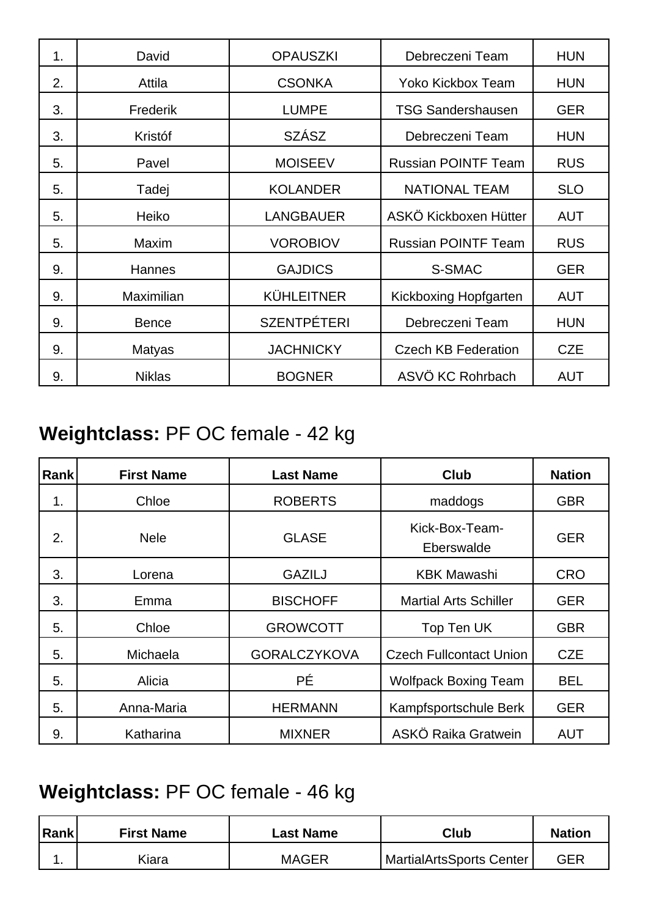| 1. | David           | <b>OPAUSZKI</b>    | Debreczeni Team            | <b>HUN</b> |
|----|-----------------|--------------------|----------------------------|------------|
| 2. | Attila          | <b>CSONKA</b>      | Yoko Kickbox Team          | <b>HUN</b> |
| 3. | <b>Frederik</b> | <b>LUMPE</b>       | <b>TSG Sandershausen</b>   | <b>GER</b> |
| 3. | Kristóf         | <b>SZÁSZ</b>       | Debreczeni Team            | <b>HUN</b> |
| 5. | Pavel           | <b>MOISEEV</b>     | <b>Russian POINTF Team</b> | <b>RUS</b> |
| 5. | Tadej           | <b>KOLANDER</b>    | <b>NATIONAL TEAM</b>       | <b>SLO</b> |
| 5. | Heiko           | <b>LANGBAUER</b>   | ASKÖ Kickboxen Hütter      | <b>AUT</b> |
| 5. | <b>Maxim</b>    | <b>VOROBIOV</b>    | <b>Russian POINTF Team</b> | <b>RUS</b> |
| 9. | <b>Hannes</b>   | <b>GAJDICS</b>     | S-SMAC                     | <b>GER</b> |
| 9. | Maximilian      | <b>KÜHLEITNER</b>  | Kickboxing Hopfgarten      | <b>AUT</b> |
| 9. | <b>Bence</b>    | <b>SZENTPÉTERI</b> | Debreczeni Team            | <b>HUN</b> |
| 9. | <b>Matyas</b>   | <b>JACHNICKY</b>   | <b>Czech KB Federation</b> | <b>CZE</b> |
| 9. | <b>Niklas</b>   | <b>BOGNER</b>      | ASVÖ KC Rohrbach           | <b>AUT</b> |

## **Weightclass:** PF OC female - 42 kg

| Rank | <b>First Name</b> | <b>Last Name</b>    | <b>Club</b>                    | <b>Nation</b> |
|------|-------------------|---------------------|--------------------------------|---------------|
| 1.   | Chloe             | <b>ROBERTS</b>      | maddogs                        | <b>GBR</b>    |
| 2.   | <b>Nele</b>       | <b>GLASE</b>        | Kick-Box-Team-<br>Eberswalde   | <b>GER</b>    |
| 3.   | Lorena            | <b>GAZILJ</b>       | <b>KBK Mawashi</b>             | <b>CRO</b>    |
| 3.   | Emma              | <b>BISCHOFF</b>     | <b>Martial Arts Schiller</b>   | <b>GER</b>    |
| 5.   | Chloe             | <b>GROWCOTT</b>     | Top Ten UK                     | <b>GBR</b>    |
| 5.   | Michaela          | <b>GORALCZYKOVA</b> | <b>Czech Fullcontact Union</b> | <b>CZE</b>    |
| 5.   | Alicia            | PÉ                  | <b>Wolfpack Boxing Team</b>    | <b>BEL</b>    |
| 5.   | Anna-Maria        | <b>HERMANN</b>      | Kampfsportschule Berk          | <b>GER</b>    |
| 9.   | Katharina         | <b>MIXNER</b>       | ASKÖ Raika Gratwein            | <b>AUT</b>    |

### **Weightclass:** PF OC female - 46 kg

| Rank | <b>First Name</b> | Last Name    | Club                     | <b>Nation</b> |
|------|-------------------|--------------|--------------------------|---------------|
|      | Kiara             | <b>MAGER</b> | MartialArtsSports Center | GER           |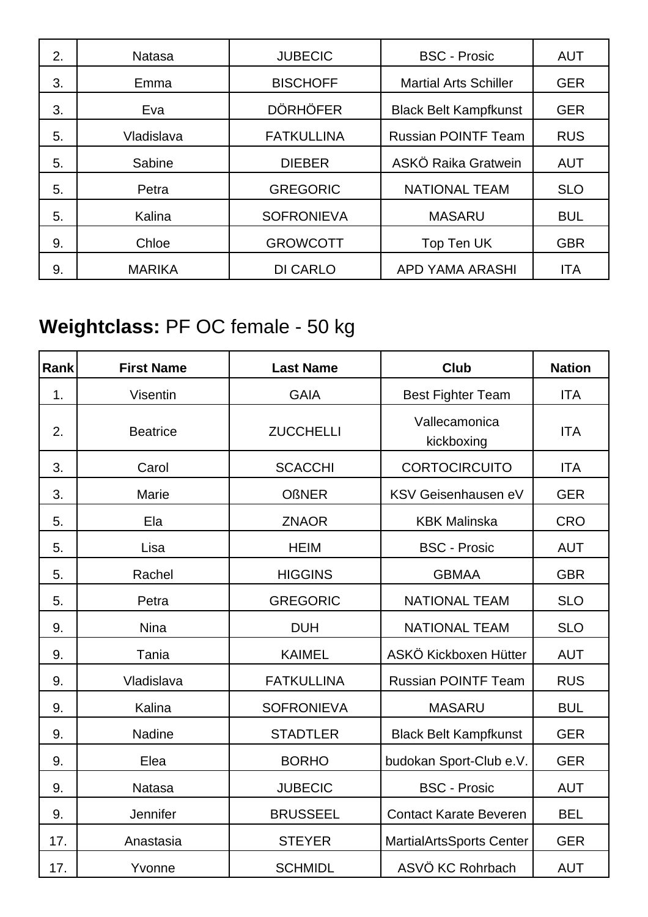| 2. | <b>Natasa</b> | <b>JUBECIC</b>    | <b>BSC - Prosic</b>          | <b>AUT</b> |
|----|---------------|-------------------|------------------------------|------------|
| 3. | Emma          | <b>BISCHOFF</b>   | <b>Martial Arts Schiller</b> | <b>GER</b> |
| 3. | Eva           | <b>DÖRHÖFER</b>   | <b>Black Belt Kampfkunst</b> | <b>GER</b> |
| 5. | Vladislava    | <b>FATKULLINA</b> | <b>Russian POINTF Team</b>   | <b>RUS</b> |
| 5. | Sabine        | <b>DIEBER</b>     | ASKÖ Raika Gratwein          | <b>AUT</b> |
| 5. | Petra         | <b>GREGORIC</b>   | <b>NATIONAL TEAM</b>         | <b>SLO</b> |
| 5. | Kalina        | <b>SOFRONIEVA</b> | <b>MASARU</b>                | <b>BUL</b> |
| 9. | Chloe         | <b>GROWCOTT</b>   | Top Ten UK                   | <b>GBR</b> |
| 9. | <b>MARIKA</b> | <b>DI CARLO</b>   | <b>APD YAMA ARASHI</b>       | <b>ITA</b> |

## **Weightclass:** PF OC female - 50 kg

| Rank | <b>First Name</b> | <b>Last Name</b>  | <b>Club</b>                   | <b>Nation</b> |
|------|-------------------|-------------------|-------------------------------|---------------|
| 1.   | Visentin          | <b>GAIA</b>       | <b>Best Fighter Team</b>      | <b>ITA</b>    |
| 2.   | <b>Beatrice</b>   | <b>ZUCCHELLI</b>  | Vallecamonica<br>kickboxing   | <b>ITA</b>    |
| 3.   | Carol             | <b>SCACCHI</b>    | <b>CORTOCIRCUITO</b>          | <b>ITA</b>    |
| 3.   | <b>Marie</b>      | <b>OßNER</b>      | KSV Geisenhausen eV           | <b>GER</b>    |
| 5.   | Ela               | <b>ZNAOR</b>      | <b>KBK Malinska</b>           | <b>CRO</b>    |
| 5.   | Lisa              | <b>HEIM</b>       | <b>BSC - Prosic</b>           | <b>AUT</b>    |
| 5.   | Rachel            | <b>HIGGINS</b>    | <b>GBMAA</b>                  | <b>GBR</b>    |
| 5.   | Petra             | <b>GREGORIC</b>   | <b>NATIONAL TEAM</b>          | <b>SLO</b>    |
| 9.   | <b>Nina</b>       | <b>DUH</b>        | <b>NATIONAL TEAM</b>          | <b>SLO</b>    |
| 9.   | Tania             | <b>KAIMEL</b>     | ASKÖ Kickboxen Hütter         | <b>AUT</b>    |
| 9.   | Vladislava        | <b>FATKULLINA</b> | <b>Russian POINTF Team</b>    | <b>RUS</b>    |
| 9.   | Kalina            | <b>SOFRONIEVA</b> | <b>MASARU</b>                 | <b>BUL</b>    |
| 9.   | <b>Nadine</b>     | <b>STADTLER</b>   | <b>Black Belt Kampfkunst</b>  | <b>GER</b>    |
| 9.   | Elea              | <b>BORHO</b>      | budokan Sport-Club e.V.       | <b>GER</b>    |
| 9.   | <b>Natasa</b>     | <b>JUBECIC</b>    | <b>BSC - Prosic</b>           | <b>AUT</b>    |
| 9.   | Jennifer          | <b>BRUSSEEL</b>   | <b>Contact Karate Beveren</b> | <b>BEL</b>    |
| 17.  | Anastasia         | <b>STEYER</b>     | MartialArtsSports Center      | <b>GER</b>    |
| 17.  | Yvonne            | <b>SCHMIDL</b>    | ASVÖ KC Rohrbach              | <b>AUT</b>    |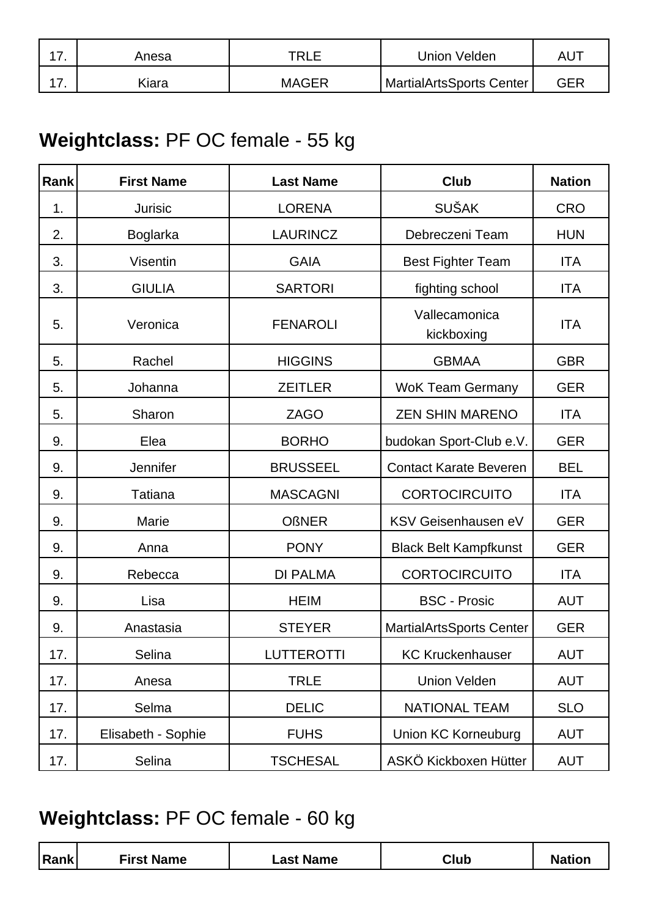| - | Anesa | TRI   | Union Velden             | AU  |
|---|-------|-------|--------------------------|-----|
| - | .iara | MAGER | MartialArtsSports Center | GER |

### **Weightclass:** PF OC female - 55 kg

| Rank | <b>First Name</b>  | <b>Last Name</b>  | <b>Club</b>                     | <b>Nation</b> |
|------|--------------------|-------------------|---------------------------------|---------------|
| 1.   | Jurisic            | <b>LORENA</b>     | <b>SUŠAK</b>                    | <b>CRO</b>    |
| 2.   | Boglarka           | <b>LAURINCZ</b>   | Debreczeni Team                 | <b>HUN</b>    |
| 3.   | Visentin           | <b>GAIA</b>       | <b>Best Fighter Team</b>        | <b>ITA</b>    |
| 3.   | <b>GIULIA</b>      | <b>SARTORI</b>    | fighting school                 | <b>ITA</b>    |
| 5.   | Veronica           | <b>FENAROLI</b>   | Vallecamonica<br>kickboxing     | <b>ITA</b>    |
| 5.   | Rachel             | <b>HIGGINS</b>    | <b>GBMAA</b>                    | <b>GBR</b>    |
| 5.   | Johanna            | <b>ZEITLER</b>    | <b>WoK Team Germany</b>         | <b>GER</b>    |
| 5.   | Sharon             | <b>ZAGO</b>       | <b>ZEN SHIN MARENO</b>          | <b>ITA</b>    |
| 9.   | Elea               | <b>BORHO</b>      | budokan Sport-Club e.V.         | <b>GER</b>    |
| 9.   | Jennifer           | <b>BRUSSEEL</b>   | <b>Contact Karate Beveren</b>   | <b>BEL</b>    |
| 9.   | <b>Tatiana</b>     | <b>MASCAGNI</b>   | <b>CORTOCIRCUITO</b>            | <b>ITA</b>    |
| 9.   | Marie              | <b>OßNER</b>      | KSV Geisenhausen eV             | <b>GER</b>    |
| 9.   | Anna               | <b>PONY</b>       | <b>Black Belt Kampfkunst</b>    | <b>GER</b>    |
| 9.   | Rebecca            | <b>DI PALMA</b>   | <b>CORTOCIRCUITO</b>            | <b>ITA</b>    |
| 9.   | Lisa               | <b>HEIM</b>       | <b>BSC - Prosic</b>             | <b>AUT</b>    |
| 9.   | Anastasia          | <b>STEYER</b>     | <b>MartialArtsSports Center</b> | <b>GER</b>    |
| 17.  | Selina             | <b>LUTTEROTTI</b> | <b>KC Kruckenhauser</b>         | <b>AUT</b>    |
| 17.  | Anesa              | <b>TRLE</b>       | <b>Union Velden</b>             | <b>AUT</b>    |
| 17.  | Selma              | <b>DELIC</b>      | <b>NATIONAL TEAM</b>            | <b>SLO</b>    |
| 17.  | Elisabeth - Sophie | <b>FUHS</b>       | <b>Union KC Korneuburg</b>      | <b>AUT</b>    |
| 17.  | Selina             | <b>TSCHESAL</b>   | ASKÖ Kickboxen Hütter           | <b>AUT</b>    |

### **Weightclass:** PF OC female - 60 kg

|  | Rank | <b>First Name</b> | <b>Name</b><br>-ast | Club | $-1$ ian |
|--|------|-------------------|---------------------|------|----------|
|--|------|-------------------|---------------------|------|----------|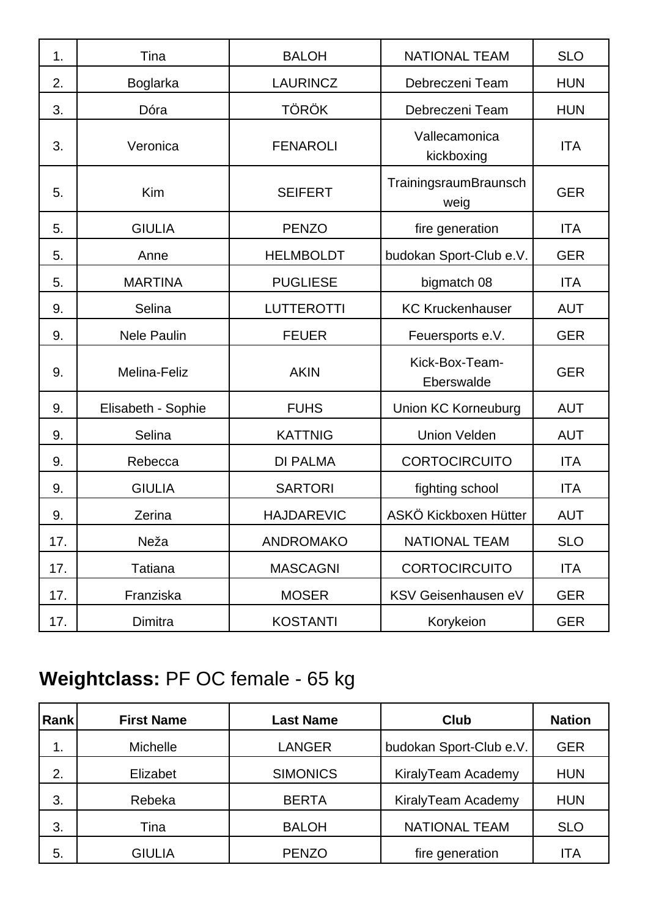| 1.  | Tina               | <b>BALOH</b>      | <b>NATIONAL TEAM</b>          | <b>SLO</b> |
|-----|--------------------|-------------------|-------------------------------|------------|
| 2.  | <b>Boglarka</b>    | <b>LAURINCZ</b>   | Debreczeni Team               | <b>HUN</b> |
| 3.  | Dóra               | <b>TÖRÖK</b>      | Debreczeni Team               | <b>HUN</b> |
| 3.  | Veronica           | <b>FENAROLI</b>   | Vallecamonica<br>kickboxing   | <b>ITA</b> |
| 5.  | Kim                | <b>SEIFERT</b>    | TrainingsraumBraunsch<br>weig | <b>GER</b> |
| 5.  | <b>GIULIA</b>      | <b>PENZO</b>      | fire generation               | <b>ITA</b> |
| 5.  | Anne               | <b>HELMBOLDT</b>  | budokan Sport-Club e.V.       | <b>GER</b> |
| 5.  | <b>MARTINA</b>     | <b>PUGLIESE</b>   | bigmatch 08                   | <b>ITA</b> |
| 9.  | Selina             | <b>LUTTEROTTI</b> | <b>KC Kruckenhauser</b>       | <b>AUT</b> |
| 9.  | <b>Nele Paulin</b> | <b>FEUER</b>      | Feuersports e.V.              | <b>GER</b> |
| 9.  | Melina-Feliz       | <b>AKIN</b>       | Kick-Box-Team-<br>Eberswalde  | <b>GER</b> |
| 9.  | Elisabeth - Sophie | <b>FUHS</b>       | <b>Union KC Korneuburg</b>    | <b>AUT</b> |
| 9.  | Selina             | <b>KATTNIG</b>    | <b>Union Velden</b>           | <b>AUT</b> |
| 9.  | Rebecca            | <b>DI PALMA</b>   | <b>CORTOCIRCUITO</b>          | <b>ITA</b> |
| 9.  | <b>GIULIA</b>      | <b>SARTORI</b>    | fighting school               | <b>ITA</b> |
| 9.  | Zerina             | <b>HAJDAREVIC</b> | ASKÖ Kickboxen Hütter         | <b>AUT</b> |
| 17. | Neža               | <b>ANDROMAKO</b>  | <b>NATIONAL TEAM</b>          | <b>SLO</b> |
| 17. | <b>Tatiana</b>     | <b>MASCAGNI</b>   | <b>CORTOCIRCUITO</b>          | <b>ITA</b> |
| 17. | Franziska          | <b>MOSER</b>      | KSV Geisenhausen eV           | <b>GER</b> |
| 17. | Dimitra            | <b>KOSTANTI</b>   | Korykeion                     | <b>GER</b> |

# **Weightclass:** PF OC female - 65 kg

| Rank | <b>First Name</b> | <b>Last Name</b> | <b>Club</b>             | <b>Nation</b> |
|------|-------------------|------------------|-------------------------|---------------|
| 1.   | Michelle          | <b>LANGER</b>    | budokan Sport-Club e.V. | <b>GER</b>    |
| 2.   | Elizabet          | <b>SIMONICS</b>  | KiralyTeam Academy      | <b>HUN</b>    |
| 3.   | Rebeka            | <b>BERTA</b>     | KiralyTeam Academy      | <b>HUN</b>    |
| 3.   | Tina              | <b>BALOH</b>     | <b>NATIONAL TEAM</b>    | <b>SLO</b>    |
| 5.   | <b>GIULIA</b>     | <b>PENZO</b>     | fire generation         | ITA           |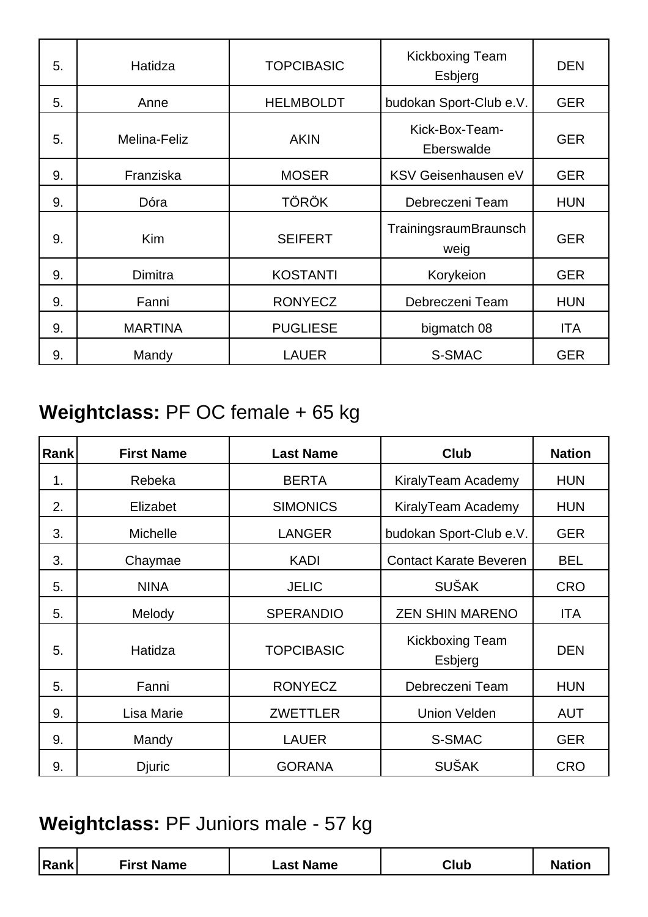| 5. | Hatidza        | <b>TOPCIBASIC</b> | <b>Kickboxing Team</b><br>Esbjerg | <b>DEN</b> |
|----|----------------|-------------------|-----------------------------------|------------|
| 5. | Anne           | <b>HELMBOLDT</b>  | budokan Sport-Club e.V.           | <b>GER</b> |
| 5. | Melina-Feliz   | <b>AKIN</b>       | Kick-Box-Team-<br>Eberswalde      | <b>GER</b> |
| 9. | Franziska      | <b>MOSER</b>      | KSV Geisenhausen eV               | <b>GER</b> |
| 9. | Dóra           | <b>TÖRÖK</b>      | Debreczeni Team                   | <b>HUN</b> |
| 9. | <b>Kim</b>     | <b>SEIFERT</b>    | TrainingsraumBraunsch<br>weig     | <b>GER</b> |
| 9. | Dimitra        | <b>KOSTANTI</b>   | Korykeion                         | <b>GER</b> |
| 9. | Fanni          | <b>RONYECZ</b>    | Debreczeni Team                   | <b>HUN</b> |
| 9. | <b>MARTINA</b> | <b>PUGLIESE</b>   | bigmatch 08                       | <b>ITA</b> |
| 9. | Mandy          | <b>LAUER</b>      | S-SMAC                            | <b>GER</b> |

## **Weightclass:** PF OC female + 65 kg

| <b>Rank</b> | <b>First Name</b> | <b>Last Name</b>  | <b>Club</b>                   | <b>Nation</b> |
|-------------|-------------------|-------------------|-------------------------------|---------------|
| 1.          | Rebeka            | <b>BERTA</b>      | KiralyTeam Academy            | <b>HUN</b>    |
| 2.          | Elizabet          | <b>SIMONICS</b>   | KiralyTeam Academy            | <b>HUN</b>    |
| 3.          | Michelle          | <b>LANGER</b>     | budokan Sport-Club e.V.       | <b>GER</b>    |
| 3.          | Chaymae           | <b>KADI</b>       | <b>Contact Karate Beveren</b> | <b>BEL</b>    |
| 5.          | <b>NINA</b>       | <b>JELIC</b>      | <b>SUŠAK</b>                  | <b>CRO</b>    |
| 5.          | Melody            | <b>SPERANDIO</b>  | <b>ZEN SHIN MARENO</b>        | <b>ITA</b>    |
| 5.          | Hatidza           | <b>TOPCIBASIC</b> | Kickboxing Team<br>Esbjerg    | <b>DEN</b>    |
| 5.          | Fanni             | <b>RONYECZ</b>    | Debreczeni Team               | <b>HUN</b>    |
| 9.          | Lisa Marie        | <b>ZWETTLER</b>   | <b>Union Velden</b>           | <b>AUT</b>    |
| 9.          | Mandy             | <b>LAUER</b>      | S-SMAC                        | <b>GER</b>    |
| 9.          | Djuric            | <b>GORANA</b>     | <b>SUŠAK</b>                  | <b>CRO</b>    |

## **Weightclass:** PF Juniors male - 57 kg

| Rank | First Name | <b>Name</b><br>_ast ′ | Club | .454<br>vation |
|------|------------|-----------------------|------|----------------|
|      |            |                       |      |                |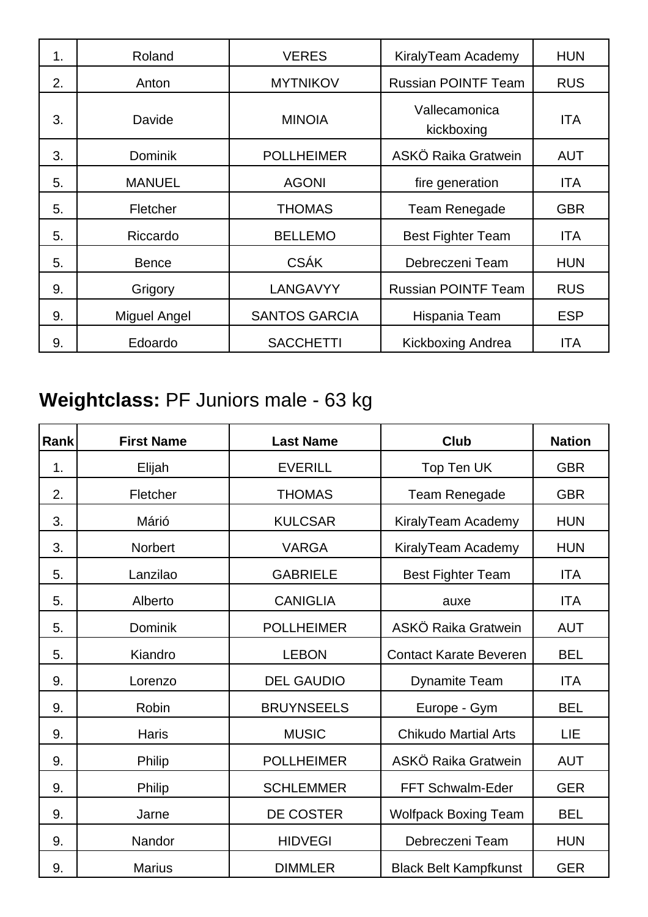| 1. | Roland         | <b>VERES</b>         | KiralyTeam Academy          | <b>HUN</b> |
|----|----------------|----------------------|-----------------------------|------------|
| 2. | Anton          | <b>MYTNIKOV</b>      | <b>Russian POINTF Team</b>  | <b>RUS</b> |
| 3. | Davide         | <b>MINOIA</b>        | Vallecamonica<br>kickboxing | <b>ITA</b> |
| 3. | <b>Dominik</b> | <b>POLLHEIMER</b>    | ASKÖ Raika Gratwein         | <b>AUT</b> |
| 5. | <b>MANUEL</b>  | <b>AGONI</b>         | fire generation             | <b>ITA</b> |
| 5. | Fletcher       | <b>THOMAS</b>        | Team Renegade               | <b>GBR</b> |
| 5. | Riccardo       | <b>BELLEMO</b>       | <b>Best Fighter Team</b>    | <b>ITA</b> |
| 5. | <b>Bence</b>   | <b>CSÁK</b>          | Debreczeni Team             | <b>HUN</b> |
| 9. | Grigory        | LANGAVYY             | <b>Russian POINTF Team</b>  | <b>RUS</b> |
| 9. | Miguel Angel   | <b>SANTOS GARCIA</b> | Hispania Team               | <b>ESP</b> |
| 9. | Edoardo        | <b>SACCHETTI</b>     | <b>Kickboxing Andrea</b>    | <b>ITA</b> |

## **Weightclass:** PF Juniors male - 63 kg

| Rank | <b>First Name</b> | <b>Last Name</b>  | <b>Club</b>                   | <b>Nation</b> |
|------|-------------------|-------------------|-------------------------------|---------------|
| 1.   | Elijah            | <b>EVERILL</b>    | Top Ten UK                    | <b>GBR</b>    |
| 2.   | Fletcher          | <b>THOMAS</b>     | Team Renegade                 | <b>GBR</b>    |
| 3.   | Márió             | <b>KULCSAR</b>    | KiralyTeam Academy            | <b>HUN</b>    |
| 3.   | <b>Norbert</b>    | <b>VARGA</b>      | KiralyTeam Academy            | <b>HUN</b>    |
| 5.   | Lanzilao          | <b>GABRIELE</b>   | <b>Best Fighter Team</b>      | <b>ITA</b>    |
| 5.   | Alberto           | <b>CANIGLIA</b>   | auxe                          | <b>ITA</b>    |
| 5.   | Dominik           | <b>POLLHEIMER</b> | ASKÖ Raika Gratwein           | <b>AUT</b>    |
| 5.   | Kiandro           | <b>LEBON</b>      | <b>Contact Karate Beveren</b> | <b>BEL</b>    |
| 9.   | Lorenzo           | <b>DEL GAUDIO</b> | <b>Dynamite Team</b>          | <b>ITA</b>    |
| 9.   | Robin             | <b>BRUYNSEELS</b> | Europe - Gym                  | <b>BEL</b>    |
| 9.   | <b>Haris</b>      | <b>MUSIC</b>      | <b>Chikudo Martial Arts</b>   | LIE           |
| 9.   | Philip            | <b>POLLHEIMER</b> | ASKÖ Raika Gratwein           | <b>AUT</b>    |
| 9.   | Philip            | <b>SCHLEMMER</b>  | FFT Schwalm-Eder              | <b>GER</b>    |
| 9.   | Jarne             | DE COSTER         | <b>Wolfpack Boxing Team</b>   | <b>BEL</b>    |
| 9.   | Nandor            | <b>HIDVEGI</b>    | Debreczeni Team               | <b>HUN</b>    |
| 9.   | <b>Marius</b>     | <b>DIMMLER</b>    | <b>Black Belt Kampfkunst</b>  | <b>GER</b>    |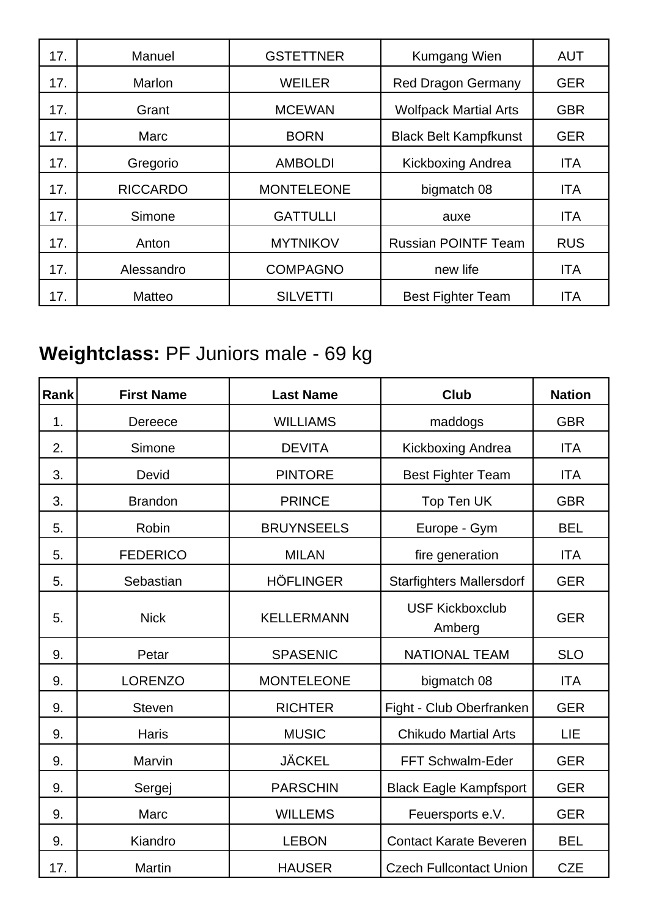| 17. | Manuel          | <b>GSTETTNER</b>  | Kumgang Wien                 | <b>AUT</b> |
|-----|-----------------|-------------------|------------------------------|------------|
| 17. | Marlon          | <b>WEILER</b>     | <b>Red Dragon Germany</b>    | <b>GER</b> |
| 17. | Grant           | <b>MCEWAN</b>     | <b>Wolfpack Martial Arts</b> | <b>GBR</b> |
| 17. | Marc            | <b>BORN</b>       | <b>Black Belt Kampfkunst</b> | <b>GER</b> |
| 17. | Gregorio        | <b>AMBOLDI</b>    | Kickboxing Andrea            | ITA        |
| 17. | <b>RICCARDO</b> | <b>MONTELEONE</b> | bigmatch 08                  | <b>ITA</b> |
| 17. | Simone          | <b>GATTULLI</b>   | auxe                         | <b>ITA</b> |
| 17. | Anton           | <b>MYTNIKOV</b>   | <b>Russian POINTF Team</b>   | <b>RUS</b> |
| 17. | Alessandro      | <b>COMPAGNO</b>   | new life                     | <b>ITA</b> |
| 17. | Matteo          | <b>SILVETTI</b>   | <b>Best Fighter Team</b>     | <b>ITA</b> |

## **Weightclass:** PF Juniors male - 69 kg

| Rank | <b>First Name</b> | <b>Last Name</b>  | <b>Club</b>                      | <b>Nation</b> |
|------|-------------------|-------------------|----------------------------------|---------------|
| 1.   | Dereece           | <b>WILLIAMS</b>   | maddogs                          | <b>GBR</b>    |
| 2.   | Simone            | <b>DEVITA</b>     | Kickboxing Andrea                | <b>ITA</b>    |
| 3.   | Devid             | <b>PINTORE</b>    | <b>Best Fighter Team</b>         | <b>ITA</b>    |
| 3.   | <b>Brandon</b>    | <b>PRINCE</b>     | Top Ten UK                       | <b>GBR</b>    |
| 5.   | Robin             | <b>BRUYNSEELS</b> | Europe - Gym                     | <b>BEL</b>    |
| 5.   | <b>FEDERICO</b>   | <b>MILAN</b>      | fire generation                  | <b>ITA</b>    |
| 5.   | Sebastian         | <b>HÖFLINGER</b>  | <b>Starfighters Mallersdorf</b>  | <b>GER</b>    |
| 5.   | <b>Nick</b>       | <b>KELLERMANN</b> | <b>USF Kickboxclub</b><br>Amberg | <b>GER</b>    |
| 9.   | Petar             | <b>SPASENIC</b>   | <b>NATIONAL TEAM</b>             | <b>SLO</b>    |
| 9.   | <b>LORENZO</b>    | <b>MONTELEONE</b> | bigmatch 08                      | <b>ITA</b>    |
| 9.   | <b>Steven</b>     | <b>RICHTER</b>    | Fight - Club Oberfranken         | <b>GER</b>    |
| 9.   | <b>Haris</b>      | <b>MUSIC</b>      | <b>Chikudo Martial Arts</b>      | LIE           |
| 9.   | Marvin            | <b>JÄCKEL</b>     | FFT Schwalm-Eder                 | <b>GER</b>    |
| 9.   | Sergej            | <b>PARSCHIN</b>   | <b>Black Eagle Kampfsport</b>    | <b>GER</b>    |
| 9.   | Marc              | <b>WILLEMS</b>    | Feuersports e.V.                 | <b>GER</b>    |
| 9.   | Kiandro           | <b>LEBON</b>      | <b>Contact Karate Beveren</b>    | <b>BEL</b>    |
| 17.  | Martin            | <b>HAUSER</b>     | <b>Czech Fullcontact Union</b>   | <b>CZE</b>    |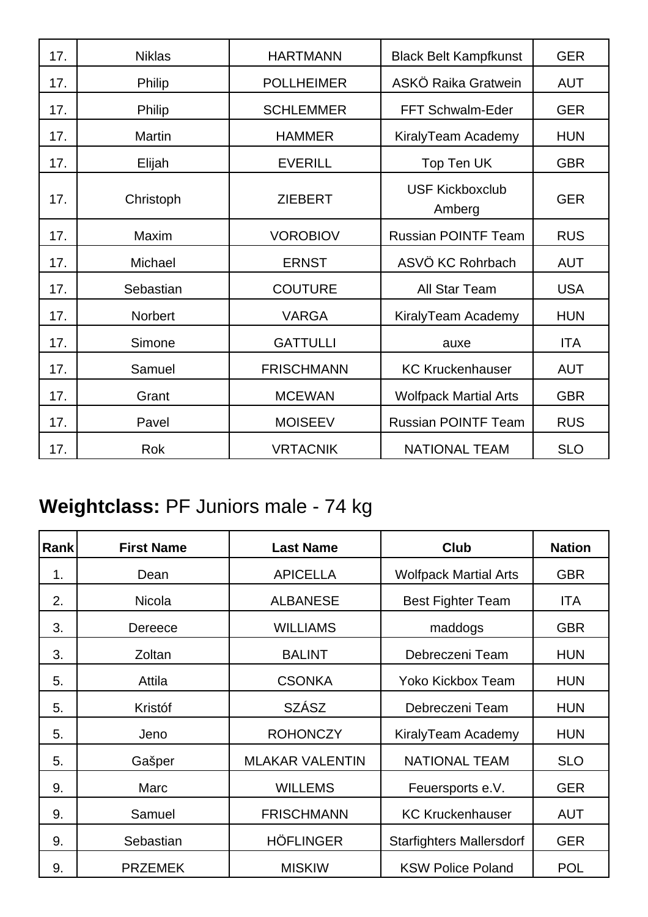| 17. | <b>Niklas</b>  | <b>HARTMANN</b>   | <b>Black Belt Kampfkunst</b>     | <b>GER</b> |
|-----|----------------|-------------------|----------------------------------|------------|
| 17. | Philip         | <b>POLLHEIMER</b> | ASKÖ Raika Gratwein              | <b>AUT</b> |
| 17. | <b>Philip</b>  | <b>SCHLEMMER</b>  | <b>FFT Schwalm-Eder</b>          | <b>GER</b> |
| 17. | <b>Martin</b>  | <b>HAMMER</b>     | KiralyTeam Academy               | <b>HUN</b> |
| 17. | Elijah         | <b>EVERILL</b>    | Top Ten UK                       | <b>GBR</b> |
| 17. | Christoph      | <b>ZIEBERT</b>    | <b>USF Kickboxclub</b><br>Amberg | <b>GER</b> |
| 17. | Maxim          | <b>VOROBIOV</b>   | <b>Russian POINTF Team</b>       | <b>RUS</b> |
| 17. | Michael        | <b>ERNST</b>      | ASVÖ KC Rohrbach                 | <b>AUT</b> |
| 17. | Sebastian      | <b>COUTURE</b>    | <b>All Star Team</b>             | <b>USA</b> |
| 17. | <b>Norbert</b> | <b>VARGA</b>      | KiralyTeam Academy               | <b>HUN</b> |
| 17. | Simone         | <b>GATTULLI</b>   | auxe                             | <b>ITA</b> |
| 17. | Samuel         | <b>FRISCHMANN</b> | <b>KC Kruckenhauser</b>          | <b>AUT</b> |
| 17. | Grant          | <b>MCEWAN</b>     | <b>Wolfpack Martial Arts</b>     | <b>GBR</b> |
| 17. | Pavel          | <b>MOISEEV</b>    | <b>Russian POINTF Team</b>       | <b>RUS</b> |
| 17. | <b>Rok</b>     | <b>VRTACNIK</b>   | <b>NATIONAL TEAM</b>             | <b>SLO</b> |

## **Weightclass:** PF Juniors male - 74 kg

| Rank | <b>First Name</b> | <b>Last Name</b>       | <b>Club</b>                     | <b>Nation</b> |
|------|-------------------|------------------------|---------------------------------|---------------|
| 1.   | Dean              | <b>APICELLA</b>        | <b>Wolfpack Martial Arts</b>    | <b>GBR</b>    |
| 2.   | <b>Nicola</b>     | <b>ALBANESE</b>        | <b>Best Fighter Team</b>        | <b>ITA</b>    |
| 3.   | Dereece           | <b>WILLIAMS</b>        | maddogs                         | <b>GBR</b>    |
| 3.   | Zoltan            | <b>BALINT</b>          | Debreczeni Team                 | <b>HUN</b>    |
| 5.   | Attila            | <b>CSONKA</b>          | Yoko Kickbox Team               | <b>HUN</b>    |
| 5.   | Kristóf           | <b>SZÁSZ</b>           | Debreczeni Team                 | <b>HUN</b>    |
| 5.   | Jeno              | <b>ROHONCZY</b>        | KiralyTeam Academy              | <b>HUN</b>    |
| 5.   | Gašper            | <b>MLAKAR VALENTIN</b> | <b>NATIONAL TEAM</b>            | <b>SLO</b>    |
| 9.   | Marc              | <b>WILLEMS</b>         | Feuersports e.V.                | <b>GER</b>    |
| 9.   | Samuel            | <b>FRISCHMANN</b>      | <b>KC Kruckenhauser</b>         | <b>AUT</b>    |
| 9.   | Sebastian         | <b>HÖFLINGER</b>       | <b>Starfighters Mallersdorf</b> | <b>GER</b>    |
| 9.   | <b>PRZEMEK</b>    | <b>MISKIW</b>          | <b>KSW Police Poland</b>        | <b>POL</b>    |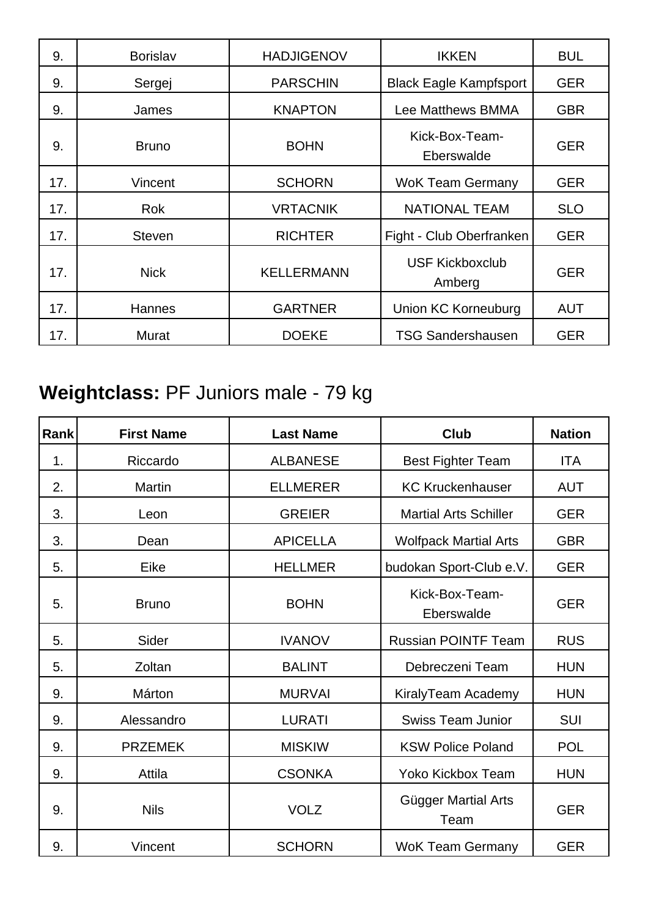| 9.  | <b>Borislav</b> | <b>HADJIGENOV</b> | <b>IKKEN</b>                     | <b>BUL</b> |
|-----|-----------------|-------------------|----------------------------------|------------|
| 9.  | Sergej          | <b>PARSCHIN</b>   | <b>Black Eagle Kampfsport</b>    | <b>GER</b> |
| 9.  | James           | <b>KNAPTON</b>    | <b>Lee Matthews BMMA</b>         | <b>GBR</b> |
| 9.  | <b>Bruno</b>    | <b>BOHN</b>       | Kick-Box-Team-<br>Eberswalde     | <b>GER</b> |
| 17. | Vincent         | <b>SCHORN</b>     | <b>WoK Team Germany</b>          | <b>GER</b> |
| 17. | <b>Rok</b>      | <b>VRTACNIK</b>   | <b>NATIONAL TEAM</b>             | <b>SLO</b> |
| 17. | <b>Steven</b>   | <b>RICHTER</b>    | Fight - Club Oberfranken         | <b>GER</b> |
| 17. | <b>Nick</b>     | <b>KELLERMANN</b> | <b>USF Kickboxclub</b><br>Amberg | <b>GER</b> |
| 17. | Hannes          | <b>GARTNER</b>    | Union KC Korneuburg              | <b>AUT</b> |
| 17. | Murat           | <b>DOEKE</b>      | <b>TSG Sandershausen</b>         | <b>GER</b> |

## **Weightclass:** PF Juniors male - 79 kg

| <b>Rank</b> | <b>First Name</b> | <b>Last Name</b> | Club                         | <b>Nation</b> |
|-------------|-------------------|------------------|------------------------------|---------------|
| 1.          | Riccardo          | <b>ALBANESE</b>  | <b>Best Fighter Team</b>     | <b>ITA</b>    |
| 2.          | <b>Martin</b>     | <b>ELLMERER</b>  | <b>KC Kruckenhauser</b>      | <b>AUT</b>    |
| 3.          | Leon              | <b>GREIER</b>    | <b>Martial Arts Schiller</b> | <b>GER</b>    |
| 3.          | Dean              | <b>APICELLA</b>  | <b>Wolfpack Martial Arts</b> | <b>GBR</b>    |
| 5.          | Eike              | <b>HELLMER</b>   | budokan Sport-Club e.V.      | <b>GER</b>    |
| 5.          | <b>Bruno</b>      | <b>BOHN</b>      | Kick-Box-Team-<br>Eberswalde | <b>GER</b>    |
| 5.          | Sider             | <b>IVANOV</b>    | <b>Russian POINTF Team</b>   | <b>RUS</b>    |
| 5.          | Zoltan            | <b>BALINT</b>    | Debreczeni Team              | <b>HUN</b>    |
| 9.          | Márton            | <b>MURVAI</b>    | KiralyTeam Academy           | <b>HUN</b>    |
| 9.          | Alessandro        | <b>LURATI</b>    | <b>Swiss Team Junior</b>     | <b>SUI</b>    |
| 9.          | <b>PRZEMEK</b>    | <b>MISKIW</b>    | <b>KSW Police Poland</b>     | <b>POL</b>    |
| 9.          | Attila            | <b>CSONKA</b>    | Yoko Kickbox Team            | <b>HUN</b>    |
| 9.          | <b>Nils</b>       | <b>VOLZ</b>      | Gügger Martial Arts<br>Team  | <b>GER</b>    |
| 9.          | Vincent           | <b>SCHORN</b>    | <b>WoK Team Germany</b>      | <b>GER</b>    |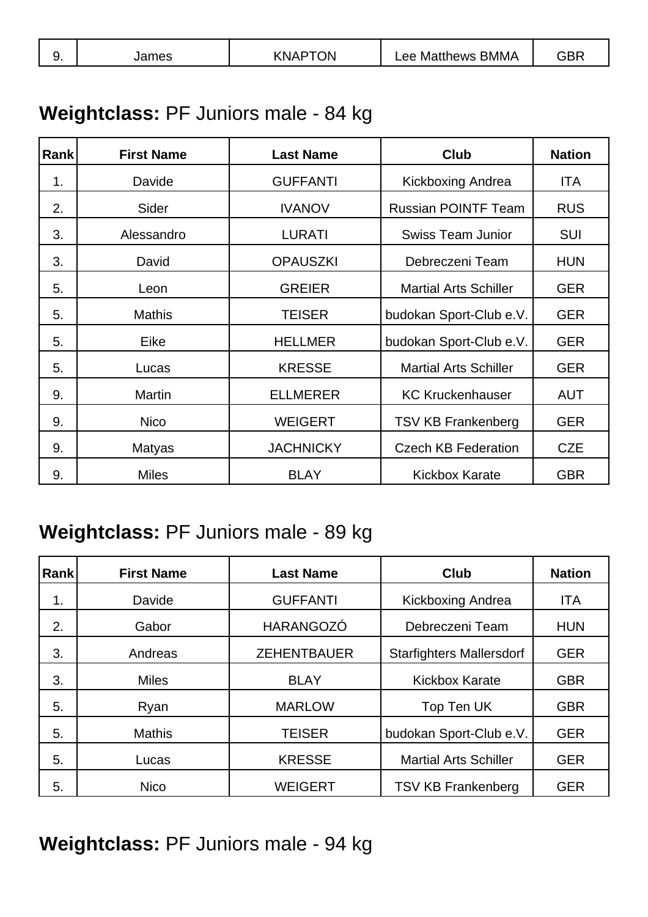| <b>BMMA</b><br>$\cdot$ DF<br>ЭN<br>Matthews<br>ames<br>$\Theta$<br>.NP<br>. |  |
|-----------------------------------------------------------------------------|--|
|-----------------------------------------------------------------------------|--|

## **Weightclass:** PF Juniors male - 84 kg

| Rank | <b>First Name</b> | <b>Last Name</b> | <b>Club</b>                  | <b>Nation</b> |
|------|-------------------|------------------|------------------------------|---------------|
| 1.   | Davide            | <b>GUFFANTI</b>  | Kickboxing Andrea            | <b>ITA</b>    |
| 2.   | Sider             | <b>IVANOV</b>    | <b>Russian POINTF Team</b>   | <b>RUS</b>    |
| 3.   | Alessandro        | <b>LURATI</b>    | <b>Swiss Team Junior</b>     | <b>SUI</b>    |
| 3.   | David             | <b>OPAUSZKI</b>  | Debreczeni Team              | <b>HUN</b>    |
| 5.   | Leon              | <b>GREIER</b>    | <b>Martial Arts Schiller</b> | <b>GER</b>    |
| 5.   | <b>Mathis</b>     | <b>TEISER</b>    | budokan Sport-Club e.V.      | <b>GER</b>    |
| 5.   | Eike              | <b>HELLMER</b>   | budokan Sport-Club e.V.      | <b>GER</b>    |
| 5.   | Lucas             | <b>KRESSE</b>    | <b>Martial Arts Schiller</b> | <b>GER</b>    |
| 9.   | <b>Martin</b>     | <b>ELLMERER</b>  | <b>KC Kruckenhauser</b>      | <b>AUT</b>    |
| 9.   | <b>Nico</b>       | <b>WEIGERT</b>   | <b>TSV KB Frankenberg</b>    | <b>GER</b>    |
| 9.   | <b>Matyas</b>     | <b>JACHNICKY</b> | <b>Czech KB Federation</b>   | <b>CZE</b>    |
| 9.   | <b>Miles</b>      | <b>BLAY</b>      | <b>Kickbox Karate</b>        | <b>GBR</b>    |

#### **Weightclass:** PF Juniors male - 89 kg

| <b>Rank</b> | <b>First Name</b> | <b>Last Name</b>   | <b>Club</b>                     | <b>Nation</b> |
|-------------|-------------------|--------------------|---------------------------------|---------------|
| 1.          | Davide            | <b>GUFFANTI</b>    | Kickboxing Andrea               | <b>ITA</b>    |
| 2.          | Gabor             | <b>HARANGOZÓ</b>   | Debreczeni Team                 | <b>HUN</b>    |
| 3.          | Andreas           | <b>ZEHENTBAUER</b> | <b>Starfighters Mallersdorf</b> | <b>GER</b>    |
| 3.          | <b>Miles</b>      | <b>BLAY</b>        | <b>Kickbox Karate</b>           | <b>GBR</b>    |
| 5.          | Ryan              | <b>MARLOW</b>      | Top Ten UK                      | <b>GBR</b>    |
| 5.          | <b>Mathis</b>     | <b>TEISER</b>      | budokan Sport-Club e.V.         | <b>GER</b>    |
| 5.          | Lucas             | <b>KRESSE</b>      | <b>Martial Arts Schiller</b>    | <b>GER</b>    |
| 5.          | <b>Nico</b>       | <b>WEIGERT</b>     | <b>TSV KB Frankenberg</b>       | <b>GER</b>    |

**Weightclass:** PF Juniors male - 94 kg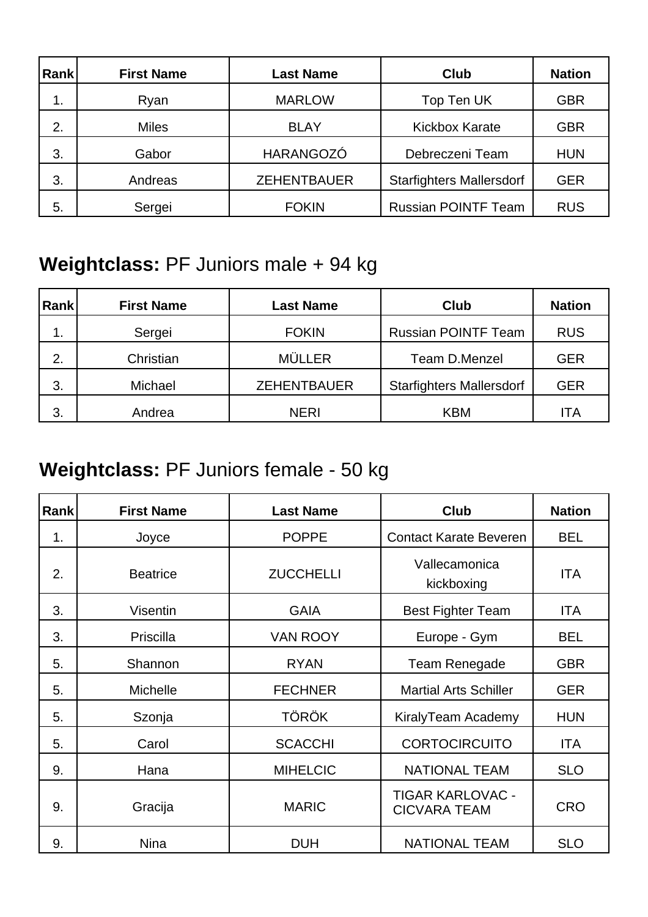| Rank | <b>First Name</b> | <b>Last Name</b>   | <b>Club</b>                     | <b>Nation</b> |
|------|-------------------|--------------------|---------------------------------|---------------|
| 1.   | Ryan              | <b>MARLOW</b>      | Top Ten UK                      | <b>GBR</b>    |
| 2.   | <b>Miles</b>      | <b>BLAY</b>        | <b>Kickbox Karate</b>           | <b>GBR</b>    |
| 3.   | Gabor             | HARANGOZÓ          | Debreczeni Team                 | <b>HUN</b>    |
| 3.   | Andreas           | <b>ZEHENTBAUER</b> | <b>Starfighters Mallersdorf</b> | <b>GER</b>    |
| 5.   | Sergei            | <b>FOKIN</b>       | <b>Russian POINTF Team</b>      | <b>RUS</b>    |

### **Weightclass:** PF Juniors male + 94 kg

| Rank | <b>First Name</b> | <b>Last Name</b>   | <b>Club</b>                     | <b>Nation</b> |
|------|-------------------|--------------------|---------------------------------|---------------|
| 1.   | Sergei            | <b>FOKIN</b>       | <b>Russian POINTF Team</b>      | <b>RUS</b>    |
| 2.   | Christian         | <b>MÜLLER</b>      | Team D.Menzel                   | <b>GER</b>    |
| 3.   | Michael           | <b>ZEHENTBAUER</b> | <b>Starfighters Mallersdorf</b> | <b>GER</b>    |
| 3.   | Andrea            | <b>NERI</b>        | <b>KBM</b>                      | ITA           |

### **Weightclass:** PF Juniors female - 50 kg

| Rank | <b>First Name</b> | <b>Last Name</b> | <b>Club</b>                                    | <b>Nation</b> |
|------|-------------------|------------------|------------------------------------------------|---------------|
| 1.   | Joyce             | <b>POPPE</b>     | <b>Contact Karate Beveren</b>                  | <b>BEL</b>    |
| 2.   | <b>Beatrice</b>   | <b>ZUCCHELLI</b> | Vallecamonica<br>kickboxing                    | ITA           |
| 3.   | <b>Visentin</b>   | <b>GAIA</b>      | <b>Best Fighter Team</b>                       | ITA           |
| 3.   | Priscilla         | <b>VAN ROOY</b>  | Europe - Gym                                   | <b>BEL</b>    |
| 5.   | Shannon           | <b>RYAN</b>      | Team Renegade                                  | <b>GBR</b>    |
| 5.   | <b>Michelle</b>   | <b>FECHNER</b>   | <b>Martial Arts Schiller</b>                   | <b>GER</b>    |
| 5.   | Szonja            | <b>TÖRÖK</b>     | KiralyTeam Academy                             | <b>HUN</b>    |
| 5.   | Carol             | <b>SCACCHI</b>   | <b>CORTOCIRCUITO</b>                           | ITA           |
| 9.   | Hana              | <b>MIHELCIC</b>  | <b>NATIONAL TEAM</b>                           | <b>SLO</b>    |
| 9.   | Gracija           | <b>MARIC</b>     | <b>TIGAR KARLOVAC -</b><br><b>CICVARA TEAM</b> | <b>CRO</b>    |
| 9.   | <b>Nina</b>       | <b>DUH</b>       | <b>NATIONAL TEAM</b>                           | <b>SLO</b>    |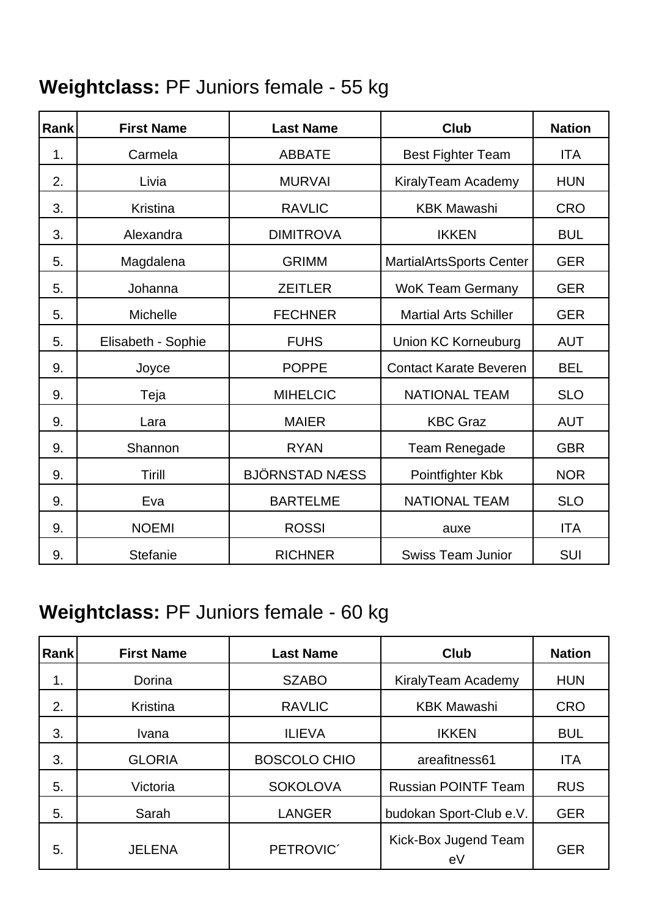### **Weightclass:** PF Juniors female - 55 kg

| Rank | <b>First Name</b>  | <b>Last Name</b>      | <b>Club</b>                     | <b>Nation</b> |
|------|--------------------|-----------------------|---------------------------------|---------------|
| 1.   | Carmela            | <b>ABBATE</b>         | <b>Best Fighter Team</b>        | <b>ITA</b>    |
| 2.   | Livia              | <b>MURVAI</b>         | KiralyTeam Academy              | <b>HUN</b>    |
| 3.   | <b>Kristina</b>    | <b>RAVLIC</b>         | <b>KBK Mawashi</b>              | <b>CRO</b>    |
| 3.   | Alexandra          | <b>DIMITROVA</b>      | <b>IKKEN</b>                    | <b>BUL</b>    |
| 5.   | Magdalena          | <b>GRIMM</b>          | <b>MartialArtsSports Center</b> | <b>GER</b>    |
| 5.   | Johanna            | <b>ZEITLER</b>        | <b>WoK Team Germany</b>         | <b>GER</b>    |
| 5.   | Michelle           | <b>FECHNER</b>        | <b>Martial Arts Schiller</b>    | <b>GER</b>    |
| 5.   | Elisabeth - Sophie | <b>FUHS</b>           | <b>Union KC Korneuburg</b>      | <b>AUT</b>    |
| 9.   | Joyce              | <b>POPPE</b>          | <b>Contact Karate Beveren</b>   | <b>BEL</b>    |
| 9.   | Teja               | <b>MIHELCIC</b>       | <b>NATIONAL TEAM</b>            | <b>SLO</b>    |
| 9.   | Lara               | <b>MAIER</b>          | <b>KBC Graz</b>                 | <b>AUT</b>    |
| 9.   | Shannon            | <b>RYAN</b>           | Team Renegade                   | <b>GBR</b>    |
| 9.   | Tirill             | <b>BJÖRNSTAD NÆSS</b> | Pointfighter Kbk                | <b>NOR</b>    |
| 9.   | Eva                | <b>BARTELME</b>       | <b>NATIONAL TEAM</b>            | <b>SLO</b>    |
| 9.   | <b>NOEMI</b>       | <b>ROSSI</b>          | auxe                            | <b>ITA</b>    |
| 9.   | Stefanie           | <b>RICHNER</b>        | <b>Swiss Team Junior</b>        | <b>SUI</b>    |

### **Weightclass:** PF Juniors female - 60 kg

| Rank | <b>First Name</b> | <b>Last Name</b>    | <b>Club</b>                | <b>Nation</b> |
|------|-------------------|---------------------|----------------------------|---------------|
| 1.   | Dorina            | <b>SZABO</b>        | KiralyTeam Academy         | <b>HUN</b>    |
| 2.   | Kristina          | <b>RAVLIC</b>       | <b>KBK Mawashi</b>         | <b>CRO</b>    |
| 3.   | Ivana             | <b>ILIEVA</b>       | <b>IKKEN</b>               | <b>BUL</b>    |
| 3.   | <b>GLORIA</b>     | <b>BOSCOLO CHIO</b> | areafitness61              | <b>ITA</b>    |
| 5.   | Victoria          | <b>SOKOLOVA</b>     | <b>Russian POINTF Team</b> | <b>RUS</b>    |
| 5.   | Sarah             | <b>LANGER</b>       | budokan Sport-Club e.V.    | <b>GER</b>    |
| 5.   | <b>JELENA</b>     | PETROVIC'           | Kick-Box Jugend Team<br>eV | <b>GER</b>    |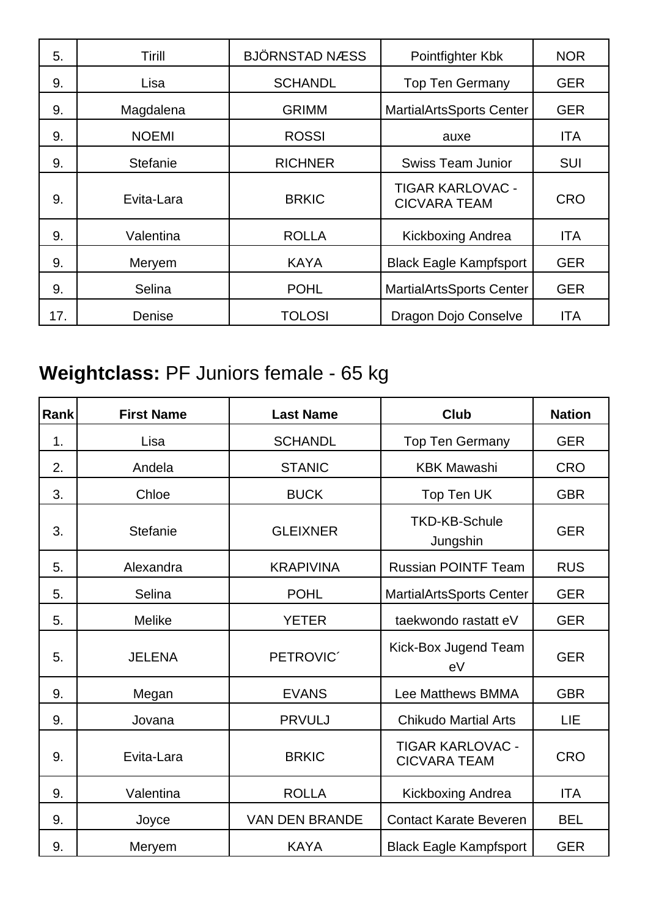| 5.  | Tirill          | <b>BJÖRNSTAD NÆSS</b> | Pointfighter Kbk                               | <b>NOR</b> |
|-----|-----------------|-----------------------|------------------------------------------------|------------|
| 9.  | Lisa            | <b>SCHANDL</b>        | <b>Top Ten Germany</b>                         | <b>GER</b> |
| 9.  | Magdalena       | <b>GRIMM</b>          | <b>MartialArtsSports Center</b>                | <b>GER</b> |
| 9.  | <b>NOEMI</b>    | <b>ROSSI</b>          | auxe                                           | <b>ITA</b> |
| 9.  | <b>Stefanie</b> | <b>RICHNER</b>        | <b>Swiss Team Junior</b>                       | <b>SUI</b> |
| 9.  | Evita-Lara      | <b>BRKIC</b>          | <b>TIGAR KARLOVAC -</b><br><b>CICVARA TEAM</b> | <b>CRO</b> |
| 9.  | Valentina       | <b>ROLLA</b>          | <b>Kickboxing Andrea</b>                       | <b>ITA</b> |
| 9.  | Meryem          | <b>KAYA</b>           | <b>Black Eagle Kampfsport</b>                  | <b>GER</b> |
| 9.  | Selina          | <b>POHL</b>           | <b>MartialArtsSports Center</b>                | <b>GER</b> |
| 17. | Denise          | <b>TOLOSI</b>         | Dragon Dojo Conselve                           | <b>ITA</b> |

## **Weightclass:** PF Juniors female - 65 kg

| <b>Rank</b> | <b>First Name</b> | <b>Last Name</b>      | Club                                           | <b>Nation</b> |
|-------------|-------------------|-----------------------|------------------------------------------------|---------------|
| 1.          | Lisa              | <b>SCHANDL</b>        | <b>Top Ten Germany</b>                         | <b>GER</b>    |
| 2.          | Andela            | <b>STANIC</b>         | <b>KBK Mawashi</b>                             | <b>CRO</b>    |
| 3.          | Chloe             | <b>BUCK</b>           | Top Ten UK                                     | <b>GBR</b>    |
| 3.          | <b>Stefanie</b>   | <b>GLEIXNER</b>       | <b>TKD-KB-Schule</b><br>Jungshin               | <b>GER</b>    |
| 5.          | Alexandra         | <b>KRAPIVINA</b>      | Russian POINTF Team                            | <b>RUS</b>    |
| 5.          | Selina            | <b>POHL</b>           | MartialArtsSports Center                       | <b>GER</b>    |
| 5.          | <b>Melike</b>     | <b>YETER</b>          | taekwondo rastatt eV                           | <b>GER</b>    |
| 5.          | <b>JELENA</b>     | PETROVIC <sup>®</sup> | Kick-Box Jugend Team<br>eV                     | <b>GER</b>    |
| 9.          | Megan             | <b>EVANS</b>          | Lee Matthews BMMA                              | <b>GBR</b>    |
| 9.          | Jovana            | <b>PRVULJ</b>         | <b>Chikudo Martial Arts</b>                    | LIE           |
| 9.          | Evita-Lara        | <b>BRKIC</b>          | <b>TIGAR KARLOVAC -</b><br><b>CICVARA TEAM</b> | <b>CRO</b>    |
| 9.          | Valentina         | <b>ROLLA</b>          | Kickboxing Andrea                              | <b>ITA</b>    |
| 9.          | Joyce             | <b>VAN DEN BRANDE</b> | <b>Contact Karate Beveren</b>                  | <b>BEL</b>    |
| 9.          | Meryem            | <b>KAYA</b>           | <b>Black Eagle Kampfsport</b>                  | <b>GER</b>    |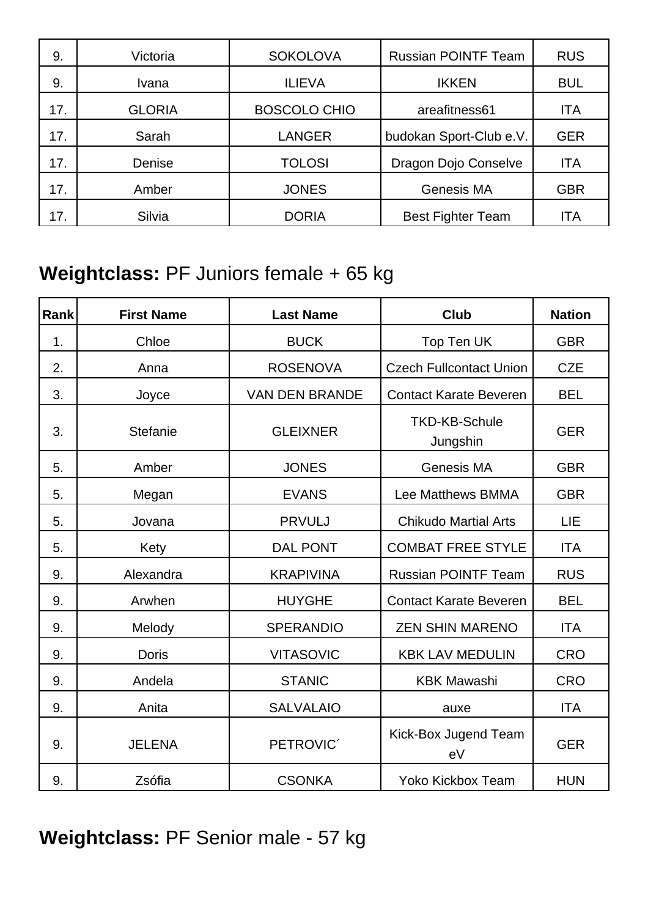| 9.  | Victoria      | <b>SOKOLOVA</b>     | <b>Russian POINTF Team</b> | <b>RUS</b> |
|-----|---------------|---------------------|----------------------------|------------|
| 9.  | Ivana         | <b>ILIEVA</b>       | <b>IKKEN</b>               | <b>BUL</b> |
| 17. | <b>GLORIA</b> | <b>BOSCOLO CHIO</b> | areafitness61              | ITA        |
| 17. | Sarah         | <b>LANGER</b>       | budokan Sport-Club e.V.    | <b>GER</b> |
| 17. | Denise        | <b>TOLOSI</b>       | Dragon Dojo Conselve       | ITA        |
| 17. | Amber         | <b>JONES</b>        | Genesis MA                 | <b>GBR</b> |
| 17. | Silvia        | <b>DORIA</b>        | <b>Best Fighter Team</b>   | ITA        |

### **Weightclass:** PF Juniors female + 65 kg

| Rank | <b>First Name</b> | <b>Last Name</b>      | <b>Club</b>                      | <b>Nation</b> |
|------|-------------------|-----------------------|----------------------------------|---------------|
| 1.   | Chloe             | <b>BUCK</b>           | Top Ten UK                       | <b>GBR</b>    |
| 2.   | Anna              | <b>ROSENOVA</b>       | <b>Czech Fullcontact Union</b>   | <b>CZE</b>    |
| 3.   | Joyce             | <b>VAN DEN BRANDE</b> | <b>Contact Karate Beveren</b>    | <b>BEL</b>    |
| 3.   | Stefanie          | <b>GLEIXNER</b>       | <b>TKD-KB-Schule</b><br>Jungshin | <b>GER</b>    |
| 5.   | Amber             | <b>JONES</b>          | Genesis MA                       | <b>GBR</b>    |
| 5.   | Megan             | <b>EVANS</b>          | Lee Matthews BMMA                | <b>GBR</b>    |
| 5.   | Jovana            | <b>PRVULJ</b>         | <b>Chikudo Martial Arts</b>      | LIE           |
| 5.   | Kety              | <b>DAL PONT</b>       | <b>COMBAT FREE STYLE</b>         | <b>ITA</b>    |
| 9.   | Alexandra         | <b>KRAPIVINA</b>      | <b>Russian POINTF Team</b>       | <b>RUS</b>    |
| 9.   | Arwhen            | <b>HUYGHE</b>         | <b>Contact Karate Beveren</b>    | <b>BEL</b>    |
| 9.   | Melody            | <b>SPERANDIO</b>      | <b>ZEN SHIN MARENO</b>           | <b>ITA</b>    |
| 9.   | <b>Doris</b>      | <b>VITASOVIC</b>      | <b>KBK LAV MEDULIN</b>           | <b>CRO</b>    |
| 9.   | Andela            | <b>STANIC</b>         | <b>KBK Mawashi</b>               | <b>CRO</b>    |
| 9.   | Anita             | <b>SALVALAIO</b>      | auxe                             | <b>ITA</b>    |
| 9.   | <b>JELENA</b>     | PETROVIC <sup>®</sup> | Kick-Box Jugend Team<br>eV       | <b>GER</b>    |
| 9.   | Zsófia            | <b>CSONKA</b>         | <b>Yoko Kickbox Team</b>         | <b>HUN</b>    |

**Weightclass:** PF Senior male - 57 kg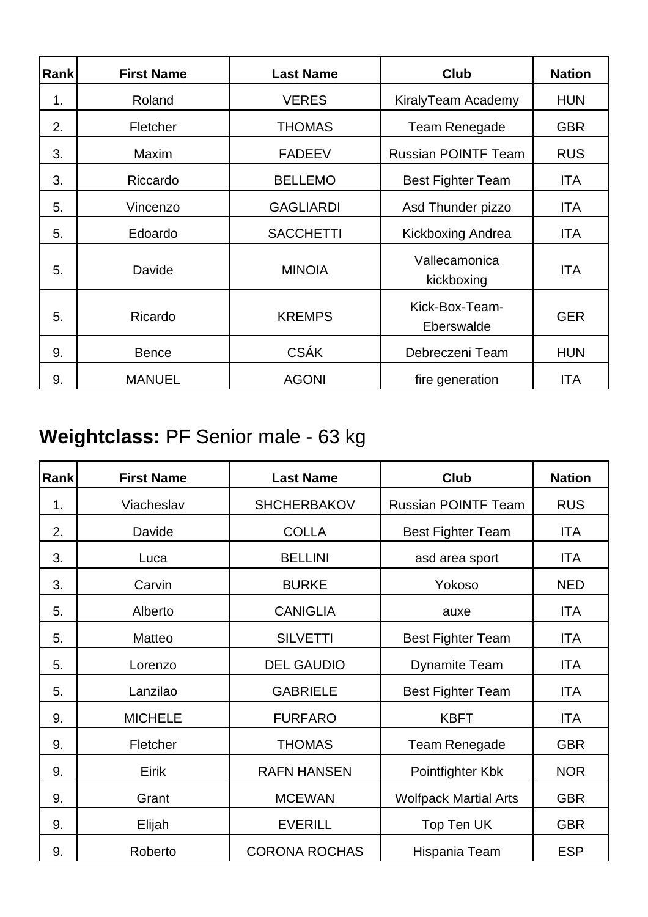| Rank | <b>First Name</b> | <b>Last Name</b> | <b>Club</b>                  | <b>Nation</b> |
|------|-------------------|------------------|------------------------------|---------------|
| 1.   | Roland            | <b>VERES</b>     | KiralyTeam Academy           | <b>HUN</b>    |
| 2.   | Fletcher          | <b>THOMAS</b>    | <b>Team Renegade</b>         | <b>GBR</b>    |
| 3.   | <b>Maxim</b>      | <b>FADEEV</b>    | <b>Russian POINTF Team</b>   | <b>RUS</b>    |
| 3.   | Riccardo          | <b>BELLEMO</b>   | <b>Best Fighter Team</b>     | <b>ITA</b>    |
| 5.   | Vincenzo          | <b>GAGLIARDI</b> | Asd Thunder pizzo            | <b>ITA</b>    |
| 5.   | Edoardo           | <b>SACCHETTI</b> | Kickboxing Andrea            | <b>ITA</b>    |
| 5.   | Davide            | <b>MINOIA</b>    | Vallecamonica<br>kickboxing  | <b>ITA</b>    |
| 5.   | Ricardo           | <b>KREMPS</b>    | Kick-Box-Team-<br>Eberswalde | <b>GER</b>    |
| 9.   | <b>Bence</b>      | <b>CSÁK</b>      | Debreczeni Team              | <b>HUN</b>    |
| 9.   | <b>MANUEL</b>     | <b>AGONI</b>     | fire generation              | <b>ITA</b>    |

## **Weightclass:** PF Senior male - 63 kg

| Rank | <b>First Name</b> | <b>Last Name</b>     | <b>Club</b>                  | <b>Nation</b> |
|------|-------------------|----------------------|------------------------------|---------------|
| 1.   | Viacheslav        | <b>SHCHERBAKOV</b>   | <b>Russian POINTF Team</b>   | <b>RUS</b>    |
| 2.   | Davide            | <b>COLLA</b>         | <b>Best Fighter Team</b>     | <b>ITA</b>    |
| 3.   | Luca              | <b>BELLINI</b>       | asd area sport               | <b>ITA</b>    |
| 3.   | Carvin            | <b>BURKE</b>         | Yokoso                       | <b>NED</b>    |
| 5.   | Alberto           | <b>CANIGLIA</b>      | auxe                         | <b>ITA</b>    |
| 5.   | Matteo            | <b>SILVETTI</b>      | <b>Best Fighter Team</b>     | <b>ITA</b>    |
| 5.   | Lorenzo           | <b>DEL GAUDIO</b>    | <b>Dynamite Team</b>         | <b>ITA</b>    |
| 5.   | Lanzilao          | <b>GABRIELE</b>      | <b>Best Fighter Team</b>     | <b>ITA</b>    |
| 9.   | <b>MICHELE</b>    | <b>FURFARO</b>       | <b>KBFT</b>                  | <b>ITA</b>    |
| 9.   | Fletcher          | <b>THOMAS</b>        | Team Renegade                | <b>GBR</b>    |
| 9.   | Eirik             | <b>RAFN HANSEN</b>   | Pointfighter Kbk             | <b>NOR</b>    |
| 9.   | Grant             | <b>MCEWAN</b>        | <b>Wolfpack Martial Arts</b> | <b>GBR</b>    |
| 9.   | Elijah            | <b>EVERILL</b>       | Top Ten UK                   | <b>GBR</b>    |
| 9.   | Roberto           | <b>CORONA ROCHAS</b> | Hispania Team                | <b>ESP</b>    |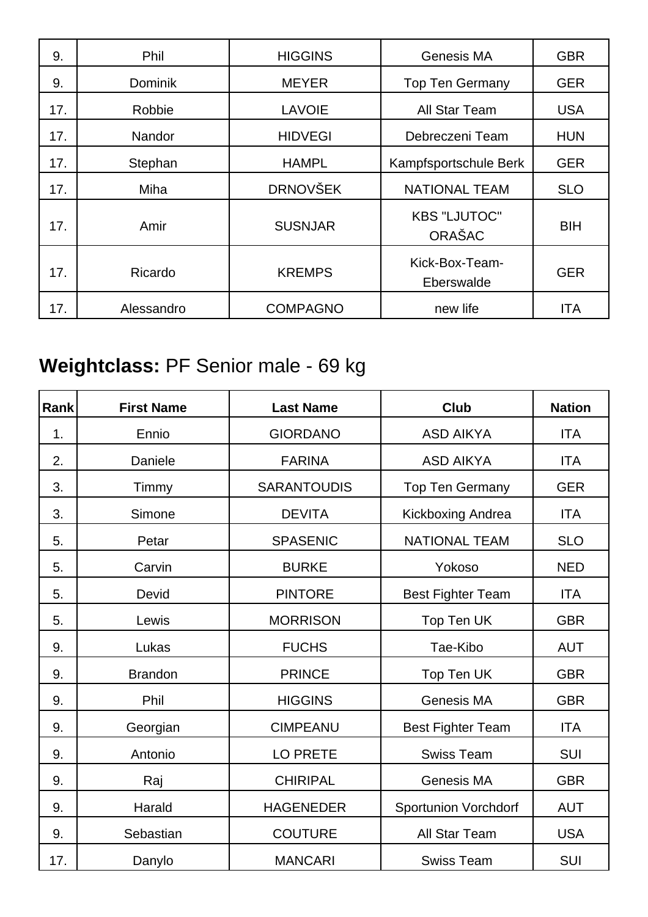| 9.  | <b>Phil</b>    | <b>HIGGINS</b>  | Genesis MA                    | <b>GBR</b> |
|-----|----------------|-----------------|-------------------------------|------------|
| 9.  | <b>Dominik</b> | <b>MEYER</b>    | <b>Top Ten Germany</b>        | <b>GER</b> |
| 17. | Robbie         | <b>LAVOIE</b>   | All Star Team                 | <b>USA</b> |
| 17. | Nandor         | <b>HIDVEGI</b>  | Debreczeni Team               | <b>HUN</b> |
| 17. | Stephan        | <b>HAMPL</b>    | Kampfsportschule Berk         | <b>GER</b> |
| 17. | <b>Miha</b>    | <b>DRNOVŠEK</b> | <b>NATIONAL TEAM</b>          | <b>SLO</b> |
| 17. | Amir           | <b>SUSNJAR</b>  | <b>KBS "LJUTOC"</b><br>ORAŠAC | <b>BIH</b> |
| 17. | Ricardo        | <b>KREMPS</b>   | Kick-Box-Team-<br>Eberswalde  | <b>GER</b> |
| 17. | Alessandro     | <b>COMPAGNO</b> | new life                      | <b>ITA</b> |

## **Weightclass:** PF Senior male - 69 kg

| Rank | <b>First Name</b> | <b>Last Name</b>   | <b>Club</b>                 | <b>Nation</b> |
|------|-------------------|--------------------|-----------------------------|---------------|
| 1.   | Ennio             | <b>GIORDANO</b>    | <b>ASD AIKYA</b>            | <b>ITA</b>    |
| 2.   | Daniele           | <b>FARINA</b>      | <b>ASD AIKYA</b>            | <b>ITA</b>    |
| 3.   | Timmy             | <b>SARANTOUDIS</b> | <b>Top Ten Germany</b>      | <b>GER</b>    |
| 3.   | Simone            | <b>DEVITA</b>      | Kickboxing Andrea           | <b>ITA</b>    |
| 5.   | Petar             | <b>SPASENIC</b>    | <b>NATIONAL TEAM</b>        | <b>SLO</b>    |
| 5.   | Carvin            | <b>BURKE</b>       | Yokoso                      | <b>NED</b>    |
| 5.   | Devid             | <b>PINTORE</b>     | <b>Best Fighter Team</b>    | <b>ITA</b>    |
| 5.   | Lewis             | <b>MORRISON</b>    | Top Ten UK                  | <b>GBR</b>    |
| 9.   | Lukas             | <b>FUCHS</b>       | Tae-Kibo                    | <b>AUT</b>    |
| 9.   | <b>Brandon</b>    | <b>PRINCE</b>      | Top Ten UK                  | <b>GBR</b>    |
| 9.   | Phil              | <b>HIGGINS</b>     | <b>Genesis MA</b>           | <b>GBR</b>    |
| 9.   | Georgian          | <b>CIMPEANU</b>    | <b>Best Fighter Team</b>    | <b>ITA</b>    |
| 9.   | Antonio           | <b>LO PRETE</b>    | <b>Swiss Team</b>           | <b>SUI</b>    |
| 9.   | Raj               | <b>CHIRIPAL</b>    | Genesis MA                  | <b>GBR</b>    |
| 9.   | Harald            | <b>HAGENEDER</b>   | <b>Sportunion Vorchdorf</b> | <b>AUT</b>    |
| 9.   | Sebastian         | <b>COUTURE</b>     | All Star Team               | <b>USA</b>    |
| 17.  | Danylo            | <b>MANCARI</b>     | <b>Swiss Team</b>           | SUI           |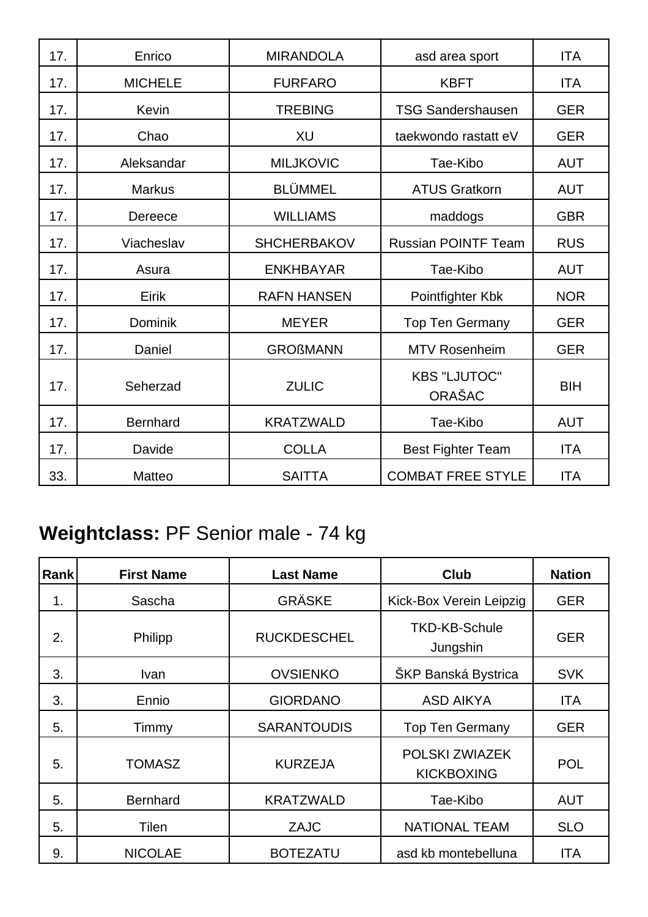| 17. | Enrico          | <b>MIRANDOLA</b>   | asd area sport                       | <b>ITA</b> |
|-----|-----------------|--------------------|--------------------------------------|------------|
| 17. | <b>MICHELE</b>  | <b>FURFARO</b>     | <b>KBFT</b>                          | <b>ITA</b> |
| 17. | Kevin           | <b>TREBING</b>     | <b>TSG Sandershausen</b>             | <b>GER</b> |
| 17. | Chao            | XU                 | taekwondo rastatt eV                 | <b>GER</b> |
| 17. | Aleksandar      | <b>MILJKOVIC</b>   | Tae-Kibo                             | <b>AUT</b> |
| 17. | <b>Markus</b>   | <b>BLÜMMEL</b>     | <b>ATUS Gratkorn</b>                 | <b>AUT</b> |
| 17. | Dereece         | <b>WILLIAMS</b>    | maddogs                              | <b>GBR</b> |
| 17. | Viacheslav      | <b>SHCHERBAKOV</b> | <b>Russian POINTF Team</b>           | <b>RUS</b> |
| 17. | Asura           | <b>ENKHBAYAR</b>   | Tae-Kibo                             | <b>AUT</b> |
| 17. | Eirik           | <b>RAFN HANSEN</b> | Pointfighter Kbk                     | <b>NOR</b> |
| 17. | <b>Dominik</b>  | <b>MEYER</b>       | <b>Top Ten Germany</b>               | <b>GER</b> |
| 17. | Daniel          | <b>GROßMANN</b>    | <b>MTV Rosenheim</b>                 | <b>GER</b> |
| 17. | Seherzad        | <b>ZULIC</b>       | <b>KBS "LJUTOC"</b><br><b>ORAŠAC</b> | <b>BIH</b> |
| 17. | <b>Bernhard</b> | <b>KRATZWALD</b>   | Tae-Kibo                             | <b>AUT</b> |
| 17. | Davide          | <b>COLLA</b>       | <b>Best Fighter Team</b>             | <b>ITA</b> |
| 33. | Matteo          | <b>SAITTA</b>      | <b>COMBAT FREE STYLE</b>             | <b>ITA</b> |

## **Weightclass:** PF Senior male - 74 kg

| Rank | <b>First Name</b> | <b>Last Name</b>   | <b>Club</b>                         | <b>Nation</b> |
|------|-------------------|--------------------|-------------------------------------|---------------|
| 1.   | Sascha            | <b>GRÄSKE</b>      | Kick-Box Verein Leipzig             | <b>GER</b>    |
| 2.   | Philipp           | <b>RUCKDESCHEL</b> | <b>TKD-KB-Schule</b><br>Jungshin    | <b>GER</b>    |
| 3.   | <b>Ivan</b>       | <b>OVSIENKO</b>    | ŠKP Banská Bystrica                 | <b>SVK</b>    |
| 3.   | Ennio             | <b>GIORDANO</b>    | <b>ASD AIKYA</b>                    | <b>ITA</b>    |
| 5.   | Timmy             | <b>SARANTOUDIS</b> | <b>Top Ten Germany</b>              | <b>GER</b>    |
| 5.   | <b>TOMASZ</b>     | <b>KURZEJA</b>     | POLSKI ZWIAZEK<br><b>KICKBOXING</b> | <b>POL</b>    |
| 5.   | <b>Bernhard</b>   | <b>KRATZWALD</b>   | Tae-Kibo                            | <b>AUT</b>    |
| 5.   | Tilen             | <b>ZAJC</b>        | <b>NATIONAL TEAM</b>                | <b>SLO</b>    |
| 9.   | <b>NICOLAE</b>    | <b>BOTEZATU</b>    | asd kb montebelluna                 | <b>ITA</b>    |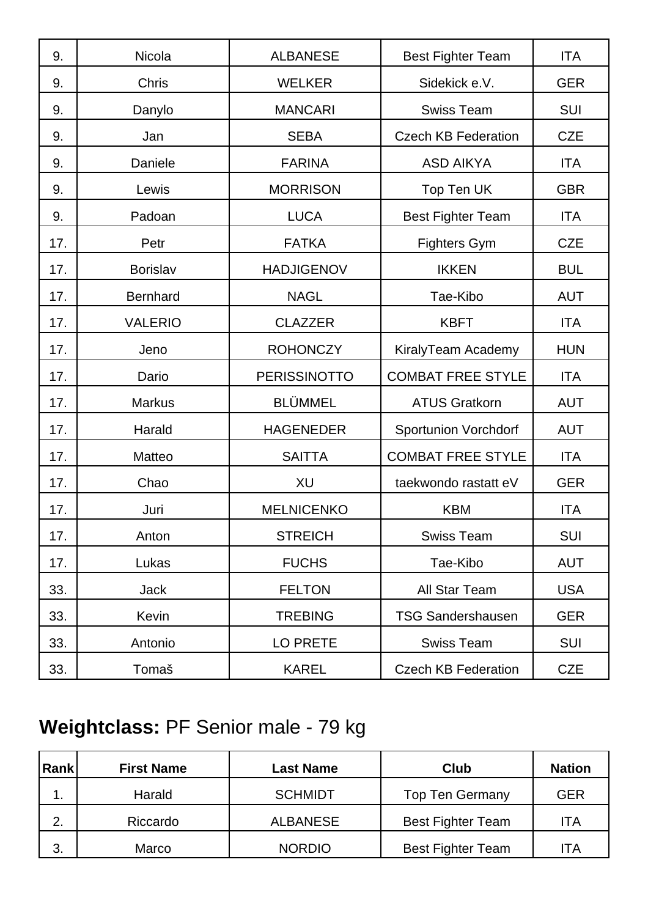| 9.  | Nicola          | <b>ALBANESE</b>     | <b>Best Fighter Team</b>    | <b>ITA</b> |
|-----|-----------------|---------------------|-----------------------------|------------|
| 9.  | <b>Chris</b>    | <b>WELKER</b>       | Sidekick e.V.               | <b>GER</b> |
| 9.  | Danylo          | <b>MANCARI</b>      | <b>Swiss Team</b>           | <b>SUI</b> |
| 9.  | Jan             | <b>SEBA</b>         | <b>Czech KB Federation</b>  | <b>CZE</b> |
| 9.  | Daniele         | <b>FARINA</b>       | <b>ASD AIKYA</b>            | <b>ITA</b> |
| 9.  | Lewis           | <b>MORRISON</b>     | Top Ten UK                  | <b>GBR</b> |
| 9.  | Padoan          | <b>LUCA</b>         | <b>Best Fighter Team</b>    | <b>ITA</b> |
| 17. | Petr            | <b>FATKA</b>        | <b>Fighters Gym</b>         | <b>CZE</b> |
| 17. | Borislav        | <b>HADJIGENOV</b>   | <b>IKKEN</b>                | <b>BUL</b> |
| 17. | <b>Bernhard</b> | <b>NAGL</b>         | Tae-Kibo                    | <b>AUT</b> |
| 17. | <b>VALERIO</b>  | <b>CLAZZER</b>      | <b>KBFT</b>                 | <b>ITA</b> |
| 17. | Jeno            | <b>ROHONCZY</b>     | KiralyTeam Academy          | <b>HUN</b> |
| 17. | Dario           | <b>PERISSINOTTO</b> | <b>COMBAT FREE STYLE</b>    | <b>ITA</b> |
| 17. | <b>Markus</b>   | <b>BLÜMMEL</b>      | <b>ATUS Gratkorn</b>        | <b>AUT</b> |
| 17. | Harald          | <b>HAGENEDER</b>    | <b>Sportunion Vorchdorf</b> | <b>AUT</b> |
| 17. | Matteo          | <b>SAITTA</b>       | <b>COMBAT FREE STYLE</b>    | <b>ITA</b> |
| 17. | Chao            | XU                  | taekwondo rastatt eV        | <b>GER</b> |
| 17. | Juri            | <b>MELNICENKO</b>   | <b>KBM</b>                  | <b>ITA</b> |
| 17. | Anton           | <b>STREICH</b>      | <b>Swiss Team</b>           | <b>SUI</b> |
| 17. | Lukas           | <b>FUCHS</b>        | Tae-Kibo                    | <b>AUT</b> |
| 33. | <b>Jack</b>     | <b>FELTON</b>       | All Star Team               | <b>USA</b> |
| 33. | Kevin           | <b>TREBING</b>      | <b>TSG Sandershausen</b>    | <b>GER</b> |
| 33. | Antonio         | LO PRETE            | <b>Swiss Team</b>           | <b>SUI</b> |
| 33. | Tomaš           | <b>KAREL</b>        | <b>Czech KB Federation</b>  | <b>CZE</b> |

# **Weightclass:** PF Senior male - 79 kg

| Rank | <b>First Name</b> | <b>Last Name</b> | Club                     | <b>Nation</b> |
|------|-------------------|------------------|--------------------------|---------------|
| . .  | Harald            | <b>SCHMIDT</b>   | <b>Top Ten Germany</b>   | <b>GER</b>    |
| 2.   | Riccardo          | <b>ALBANESE</b>  | <b>Best Fighter Team</b> | ITA           |
| 3.   | Marco             | <b>NORDIO</b>    | <b>Best Fighter Team</b> | ITA           |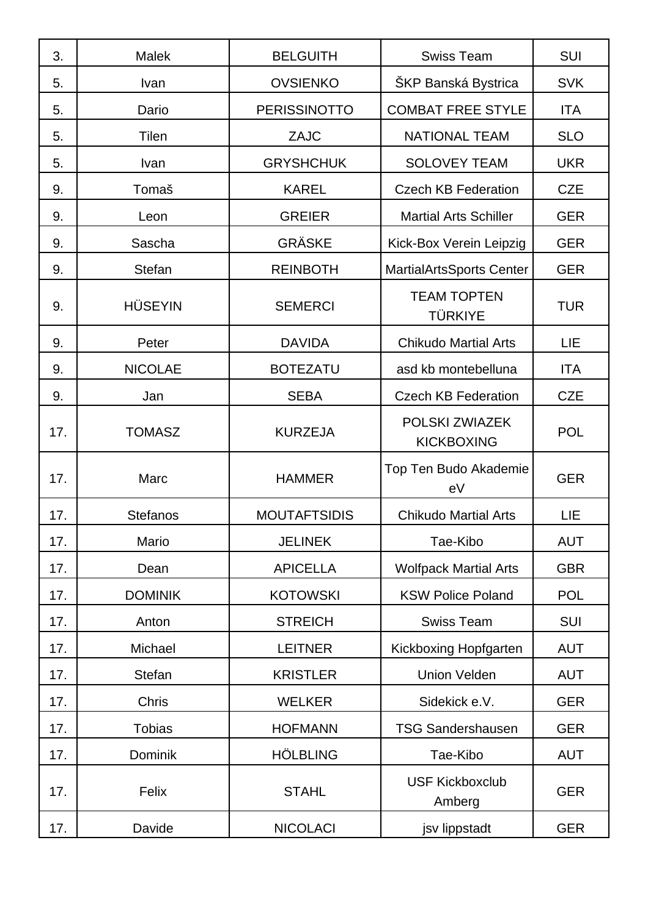| 3.  | <b>Malek</b>    | <b>BELGUITH</b>     | <b>Swiss Team</b>                    | SUI        |
|-----|-----------------|---------------------|--------------------------------------|------------|
| 5.  | Ivan            | <b>OVSIENKO</b>     | ŠKP Banská Bystrica                  | <b>SVK</b> |
| 5.  | Dario           | <b>PERISSINOTTO</b> | <b>COMBAT FREE STYLE</b>             | <b>ITA</b> |
| 5.  | Tilen           | <b>ZAJC</b>         | <b>NATIONAL TEAM</b>                 | <b>SLO</b> |
| 5.  | Ivan            | <b>GRYSHCHUK</b>    | <b>SOLOVEY TEAM</b>                  | <b>UKR</b> |
| 9.  | Tomaš           | <b>KAREL</b>        | <b>Czech KB Federation</b>           | <b>CZE</b> |
| 9.  | Leon            | <b>GREIER</b>       | <b>Martial Arts Schiller</b>         | <b>GER</b> |
| 9.  | Sascha          | <b>GRÄSKE</b>       | Kick-Box Verein Leipzig              | <b>GER</b> |
| 9.  | <b>Stefan</b>   | <b>REINBOTH</b>     | <b>MartialArtsSports Center</b>      | <b>GER</b> |
| 9.  | <b>HÜSEYIN</b>  | <b>SEMERCI</b>      | <b>TEAM TOPTEN</b><br><b>TÜRKIYE</b> | <b>TUR</b> |
| 9.  | Peter           | <b>DAVIDA</b>       | <b>Chikudo Martial Arts</b>          | LIE        |
| 9.  | <b>NICOLAE</b>  | <b>BOTEZATU</b>     | asd kb montebelluna                  | <b>ITA</b> |
| 9.  | Jan             | <b>SEBA</b>         | <b>Czech KB Federation</b>           | <b>CZE</b> |
| 17. | <b>TOMASZ</b>   | <b>KURZEJA</b>      | POLSKI ZWIAZEK<br><b>KICKBOXING</b>  | <b>POL</b> |
| 17. | Marc            | <b>HAMMER</b>       | Top Ten Budo Akademie<br>eV          | <b>GER</b> |
| 17. | <b>Stefanos</b> | <b>MOUTAFTSIDIS</b> | <b>Chikudo Martial Arts</b>          | LIE        |
| 17. | Mario           | <b>JELINEK</b>      | Tae-Kibo                             | <b>AUT</b> |
| 17. | Dean            | <b>APICELLA</b>     | <b>Wolfpack Martial Arts</b>         | <b>GBR</b> |
| 17. | <b>DOMINIK</b>  | <b>KOTOWSKI</b>     | <b>KSW Police Poland</b>             | <b>POL</b> |
| 17. | Anton           | <b>STREICH</b>      | <b>Swiss Team</b>                    | SUI        |
| 17. | Michael         | <b>LEITNER</b>      | <b>Kickboxing Hopfgarten</b>         | <b>AUT</b> |
| 17. | <b>Stefan</b>   | <b>KRISTLER</b>     | <b>Union Velden</b>                  | <b>AUT</b> |
| 17. | Chris           | <b>WELKER</b>       | Sidekick e.V.                        | <b>GER</b> |
| 17. | <b>Tobias</b>   | <b>HOFMANN</b>      | <b>TSG Sandershausen</b>             | <b>GER</b> |
| 17. | Dominik         | <b>HÖLBLING</b>     | Tae-Kibo                             | <b>AUT</b> |
| 17. | Felix           | <b>STAHL</b>        | <b>USF Kickboxclub</b><br>Amberg     | <b>GER</b> |
| 17. | Davide          | <b>NICOLACI</b>     | jsv lippstadt                        | <b>GER</b> |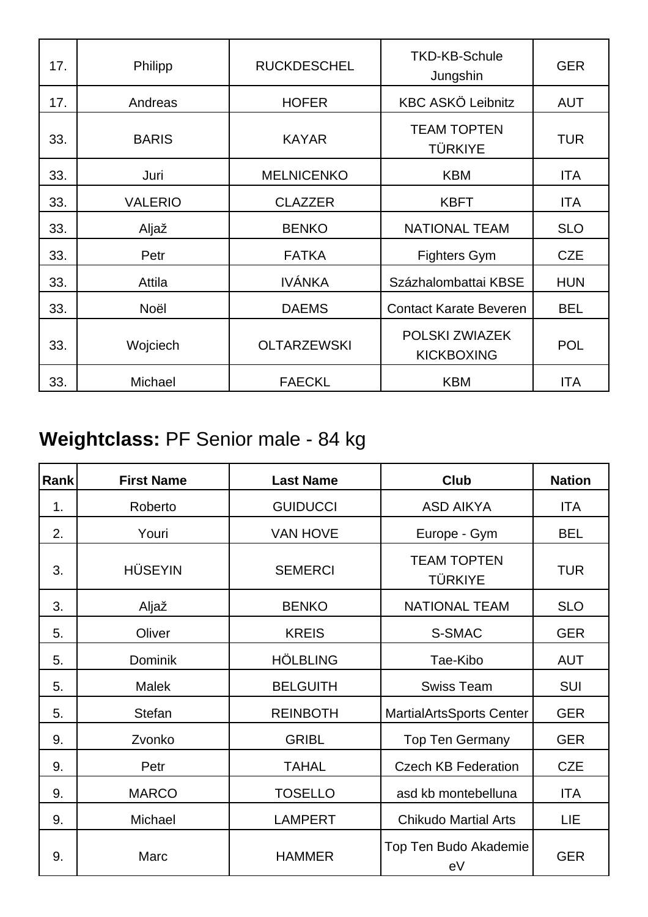| 17. | Philipp        | <b>RUCKDESCHEL</b> | <b>TKD-KB-Schule</b><br>Jungshin     | <b>GER</b> |
|-----|----------------|--------------------|--------------------------------------|------------|
| 17. | Andreas        | <b>HOFER</b>       | <b>KBC ASKÖ Leibnitz</b>             | <b>AUT</b> |
| 33. | <b>BARIS</b>   | <b>KAYAR</b>       | <b>TEAM TOPTEN</b><br><b>TÜRKIYE</b> | <b>TUR</b> |
| 33. | Juri           | <b>MELNICENKO</b>  | <b>KBM</b>                           | <b>ITA</b> |
| 33. | <b>VALERIO</b> | <b>CLAZZER</b>     | <b>KBFT</b>                          | <b>ITA</b> |
| 33. | Aljaž          | <b>BENKO</b>       | <b>NATIONAL TEAM</b>                 | <b>SLO</b> |
| 33. | Petr           | <b>FATKA</b>       | <b>Fighters Gym</b>                  | <b>CZE</b> |
| 33. | Attila         | <b>IVÁNKA</b>      | Százhalombattai KBSE                 | <b>HUN</b> |
| 33. | Noël           | <b>DAEMS</b>       | <b>Contact Karate Beveren</b>        | <b>BEL</b> |
| 33. | Wojciech       | <b>OLTARZEWSKI</b> | POLSKI ZWIAZEK<br><b>KICKBOXING</b>  | <b>POL</b> |
| 33. | Michael        | <b>FAECKL</b>      | <b>KBM</b>                           | <b>ITA</b> |

## **Weightclass:** PF Senior male - 84 kg

| <b>Rank</b> | <b>First Name</b> | <b>Last Name</b> | Club                                 | <b>Nation</b> |
|-------------|-------------------|------------------|--------------------------------------|---------------|
| 1.          | Roberto           | <b>GUIDUCCI</b>  | <b>ASD AIKYA</b>                     | <b>ITA</b>    |
| 2.          | Youri             | <b>VAN HOVE</b>  | Europe - Gym                         | <b>BEL</b>    |
| 3.          | <b>HÜSEYIN</b>    | <b>SEMERCI</b>   | <b>TEAM TOPTEN</b><br><b>TÜRKIYE</b> | <b>TUR</b>    |
| 3.          | Aljaž             | <b>BENKO</b>     | <b>NATIONAL TEAM</b>                 | <b>SLO</b>    |
| 5.          | Oliver            | <b>KREIS</b>     | S-SMAC                               | <b>GER</b>    |
| 5.          | Dominik           | <b>HÖLBLING</b>  | Tae-Kibo                             | <b>AUT</b>    |
| 5.          | <b>Malek</b>      | <b>BELGUITH</b>  | <b>Swiss Team</b>                    | <b>SUI</b>    |
| 5.          | <b>Stefan</b>     | <b>REINBOTH</b>  | <b>MartialArtsSports Center</b>      | <b>GER</b>    |
| 9.          | Zvonko            | <b>GRIBL</b>     | <b>Top Ten Germany</b>               | <b>GER</b>    |
| 9.          | Petr              | <b>TAHAL</b>     | <b>Czech KB Federation</b>           | <b>CZE</b>    |
| 9.          | <b>MARCO</b>      | <b>TOSELLO</b>   | asd kb montebelluna                  | <b>ITA</b>    |
| 9.          | Michael           | <b>LAMPERT</b>   | <b>Chikudo Martial Arts</b>          | LIE           |
| 9.          | Marc              | <b>HAMMER</b>    | Top Ten Budo Akademie<br>eV          | <b>GER</b>    |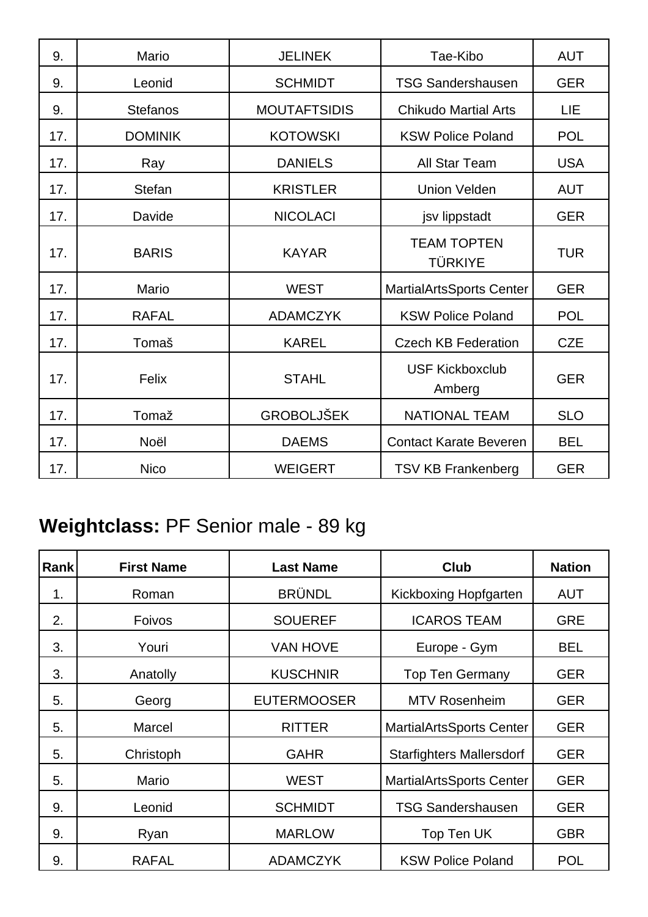| 9.  | Mario           | <b>JELINEK</b>      | Tae-Kibo                             | <b>AUT</b> |
|-----|-----------------|---------------------|--------------------------------------|------------|
| 9.  | Leonid          | <b>SCHMIDT</b>      | <b>TSG Sandershausen</b>             | <b>GER</b> |
| 9.  | <b>Stefanos</b> | <b>MOUTAFTSIDIS</b> | <b>Chikudo Martial Arts</b>          | LIE        |
| 17. | <b>DOMINIK</b>  | <b>KOTOWSKI</b>     | <b>KSW Police Poland</b>             | <b>POL</b> |
| 17. | Ray             | <b>DANIELS</b>      | All Star Team                        | <b>USA</b> |
| 17. | <b>Stefan</b>   | <b>KRISTLER</b>     | <b>Union Velden</b>                  | <b>AUT</b> |
| 17. | Davide          | <b>NICOLACI</b>     | jsv lippstadt                        | <b>GER</b> |
| 17. | <b>BARIS</b>    | <b>KAYAR</b>        | <b>TEAM TOPTEN</b><br><b>TÜRKIYE</b> | <b>TUR</b> |
| 17. | Mario           | <b>WEST</b>         | <b>MartialArtsSports Center</b>      | <b>GER</b> |
| 17. | <b>RAFAL</b>    | <b>ADAMCZYK</b>     | <b>KSW Police Poland</b>             | <b>POL</b> |
| 17. | Tomaš           | <b>KAREL</b>        | <b>Czech KB Federation</b>           | <b>CZE</b> |
| 17. | Felix           | <b>STAHL</b>        | <b>USF Kickboxclub</b><br>Amberg     | <b>GER</b> |
| 17. | Tomaž           | <b>GROBOLJŠEK</b>   | <b>NATIONAL TEAM</b>                 | <b>SLO</b> |
| 17. | Noël            | <b>DAEMS</b>        | <b>Contact Karate Beveren</b>        | <b>BEL</b> |
| 17. | <b>Nico</b>     | <b>WEIGERT</b>      | <b>TSV KB Frankenberg</b>            | <b>GER</b> |

## **Weightclass:** PF Senior male - 89 kg

| Rank | <b>First Name</b> | <b>Last Name</b>   | <b>Club</b>                     | <b>Nation</b> |
|------|-------------------|--------------------|---------------------------------|---------------|
| 1.   | Roman             | <b>BRÜNDL</b>      | Kickboxing Hopfgarten           | <b>AUT</b>    |
| 2.   | <b>Foivos</b>     | <b>SOUEREF</b>     | <b>ICAROS TEAM</b>              | <b>GRE</b>    |
| 3.   | Youri             | <b>VAN HOVE</b>    | Europe - Gym                    | <b>BEL</b>    |
| 3.   | Anatolly          | <b>KUSCHNIR</b>    | <b>Top Ten Germany</b>          | <b>GER</b>    |
| 5.   | Georg             | <b>EUTERMOOSER</b> | <b>MTV Rosenheim</b>            | <b>GER</b>    |
| 5.   | Marcel            | <b>RITTER</b>      | <b>MartialArtsSports Center</b> | <b>GER</b>    |
| 5.   | Christoph         | <b>GAHR</b>        | <b>Starfighters Mallersdorf</b> | <b>GER</b>    |
| 5.   | Mario             | <b>WEST</b>        | <b>MartialArtsSports Center</b> | <b>GER</b>    |
| 9.   | Leonid            | <b>SCHMIDT</b>     | <b>TSG Sandershausen</b>        | <b>GER</b>    |
| 9.   | Ryan              | <b>MARLOW</b>      | Top Ten UK                      | <b>GBR</b>    |
| 9.   | <b>RAFAL</b>      | <b>ADAMCZYK</b>    | <b>KSW Police Poland</b>        | <b>POL</b>    |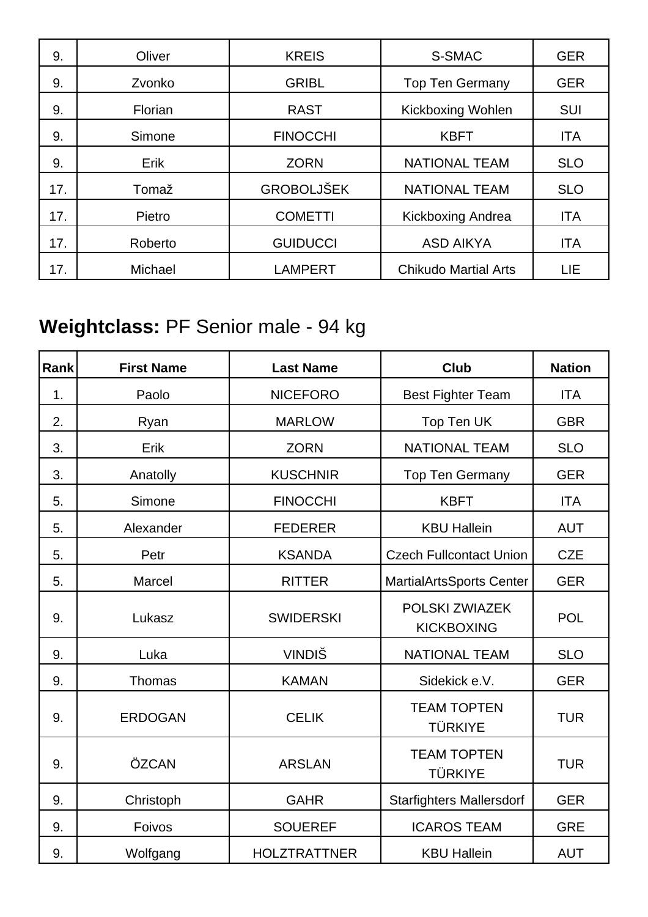| 9.  | Oliver  | <b>KREIS</b>      | S-SMAC                      | <b>GER</b> |
|-----|---------|-------------------|-----------------------------|------------|
| 9.  | Zvonko  | <b>GRIBL</b>      | <b>Top Ten Germany</b>      | <b>GER</b> |
| 9.  | Florian | <b>RAST</b>       | <b>Kickboxing Wohlen</b>    | <b>SUI</b> |
| 9.  | Simone  | <b>FINOCCHI</b>   | <b>KBFT</b>                 | <b>ITA</b> |
| 9.  | Erik    | <b>ZORN</b>       | <b>NATIONAL TEAM</b>        | <b>SLO</b> |
| 17. | Tomaž   | <b>GROBOLJŠEK</b> | <b>NATIONAL TEAM</b>        | <b>SLO</b> |
| 17. | Pietro  | <b>COMETTI</b>    | <b>Kickboxing Andrea</b>    | <b>ITA</b> |
| 17. | Roberto | <b>GUIDUCCI</b>   | <b>ASD AIKYA</b>            | <b>ITA</b> |
| 17. | Michael | <b>LAMPERT</b>    | <b>Chikudo Martial Arts</b> | LIE        |

## **Weightclass:** PF Senior male - 94 kg

| Rank | <b>First Name</b> | <b>Last Name</b>    | <b>Club</b>                          | <b>Nation</b> |
|------|-------------------|---------------------|--------------------------------------|---------------|
| 1.   | Paolo             | <b>NICEFORO</b>     | <b>Best Fighter Team</b>             | <b>ITA</b>    |
| 2.   | Ryan              | <b>MARLOW</b>       | Top Ten UK                           | <b>GBR</b>    |
| 3.   | Erik              | <b>ZORN</b>         | <b>NATIONAL TEAM</b>                 | <b>SLO</b>    |
| 3.   | Anatolly          | <b>KUSCHNIR</b>     | <b>Top Ten Germany</b>               | <b>GER</b>    |
| 5.   | Simone            | <b>FINOCCHI</b>     | <b>KBFT</b>                          | <b>ITA</b>    |
| 5.   | Alexander         | <b>FEDERER</b>      | <b>KBU Hallein</b>                   | <b>AUT</b>    |
| 5.   | Petr              | <b>KSANDA</b>       | <b>Czech Fullcontact Union</b>       | <b>CZE</b>    |
| 5.   | Marcel            | <b>RITTER</b>       | MartialArtsSports Center             | <b>GER</b>    |
| 9.   | Lukasz            | <b>SWIDERSKI</b>    | POLSKI ZWIAZEK<br><b>KICKBOXING</b>  | POL           |
| 9.   | Luka              | <b>VINDIŠ</b>       | <b>NATIONAL TEAM</b>                 | <b>SLO</b>    |
| 9.   | Thomas            | <b>KAMAN</b>        | Sidekick e.V.                        | <b>GER</b>    |
| 9.   | <b>ERDOGAN</b>    | <b>CELIK</b>        | <b>TEAM TOPTEN</b><br><b>TÜRKIYE</b> | <b>TUR</b>    |
| 9.   | ÖZCAN             | <b>ARSLAN</b>       | <b>TEAM TOPTEN</b><br><b>TÜRKIYE</b> | <b>TUR</b>    |
| 9.   | Christoph         | <b>GAHR</b>         | <b>Starfighters Mallersdorf</b>      | <b>GER</b>    |
| 9.   | Foivos            | <b>SOUEREF</b>      | <b>ICAROS TEAM</b>                   | <b>GRE</b>    |
| 9.   | Wolfgang          | <b>HOLZTRATTNER</b> | <b>KBU Hallein</b>                   | <b>AUT</b>    |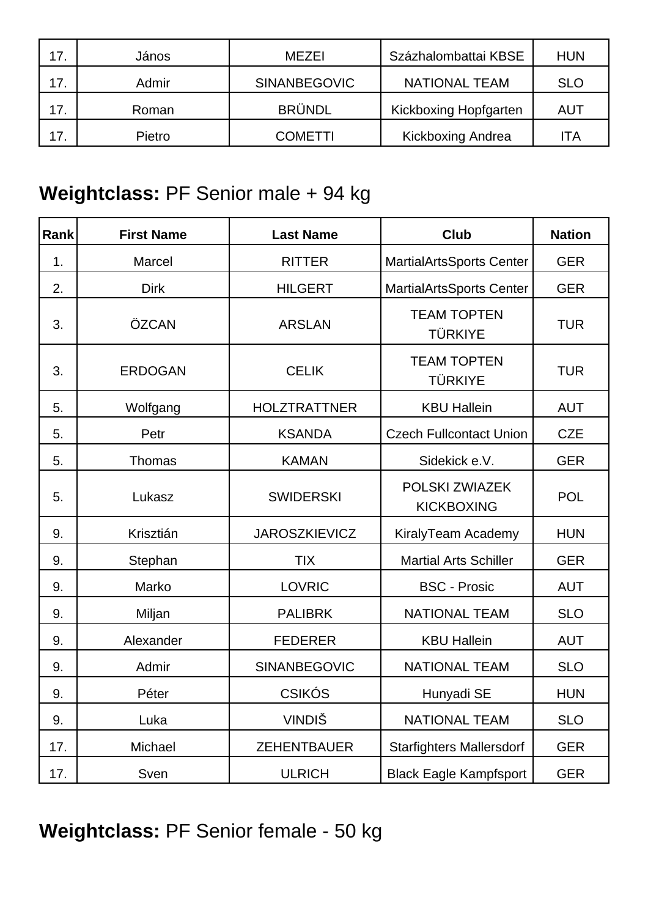| 17. | János  | <b>MEZEI</b>        | Százhalombattai KBSE     | <b>HUN</b> |
|-----|--------|---------------------|--------------------------|------------|
| 17. | Admir  | <b>SINANBEGOVIC</b> | <b>NATIONAL TEAM</b>     | <b>SLO</b> |
| 17. | Roman  | <b>BRÜNDL</b>       | Kickboxing Hopfgarten    | AUT        |
| 17. | Pietro | <b>COMETTI</b>      | <b>Kickboxing Andrea</b> | ١TA        |

### **Weightclass:** PF Senior male + 94 kg

| Rank | <b>First Name</b> | <b>Last Name</b>     | <b>Club</b>                          | <b>Nation</b> |
|------|-------------------|----------------------|--------------------------------------|---------------|
| 1.   | Marcel            | <b>RITTER</b>        | <b>MartialArtsSports Center</b>      | <b>GER</b>    |
| 2.   | <b>Dirk</b>       | <b>HILGERT</b>       | <b>MartialArtsSports Center</b>      | <b>GER</b>    |
| 3.   | ÖZCAN             | <b>ARSLAN</b>        | <b>TEAM TOPTEN</b><br><b>TÜRKIYE</b> | <b>TUR</b>    |
| 3.   | <b>ERDOGAN</b>    | <b>CELIK</b>         | <b>TEAM TOPTEN</b><br><b>TÜRKIYE</b> | <b>TUR</b>    |
| 5.   | Wolfgang          | <b>HOLZTRATTNER</b>  | <b>KBU Hallein</b>                   | <b>AUT</b>    |
| 5.   | Petr              | <b>KSANDA</b>        | <b>Czech Fullcontact Union</b>       | <b>CZE</b>    |
| 5.   | Thomas            | <b>KAMAN</b>         | Sidekick e.V.                        | <b>GER</b>    |
| 5.   | Lukasz            | <b>SWIDERSKI</b>     | POLSKI ZWIAZEK<br><b>KICKBOXING</b>  | <b>POL</b>    |
| 9.   | Krisztián         | <b>JAROSZKIEVICZ</b> | KiralyTeam Academy                   | <b>HUN</b>    |
| 9.   | Stephan           | <b>TIX</b>           | <b>Martial Arts Schiller</b>         | <b>GER</b>    |
| 9.   | Marko             | <b>LOVRIC</b>        | <b>BSC - Prosic</b>                  | <b>AUT</b>    |
| 9.   | Miljan            | <b>PALIBRK</b>       | <b>NATIONAL TEAM</b>                 | <b>SLO</b>    |
| 9.   | Alexander         | <b>FEDERER</b>       | <b>KBU Hallein</b>                   | <b>AUT</b>    |
| 9.   | Admir             | SINANBEGOVIC         | <b>NATIONAL TEAM</b>                 | <b>SLO</b>    |
| 9.   | Péter             | <b>CSIKÓS</b>        | Hunyadi SE                           | <b>HUN</b>    |
| 9.   | Luka              | <b>VINDIŠ</b>        | <b>NATIONAL TEAM</b>                 | <b>SLO</b>    |
| 17.  | Michael           | <b>ZEHENTBAUER</b>   | <b>Starfighters Mallersdorf</b>      | <b>GER</b>    |
| 17.  | Sven              | <b>ULRICH</b>        | <b>Black Eagle Kampfsport</b>        | <b>GER</b>    |

**Weightclass:** PF Senior female - 50 kg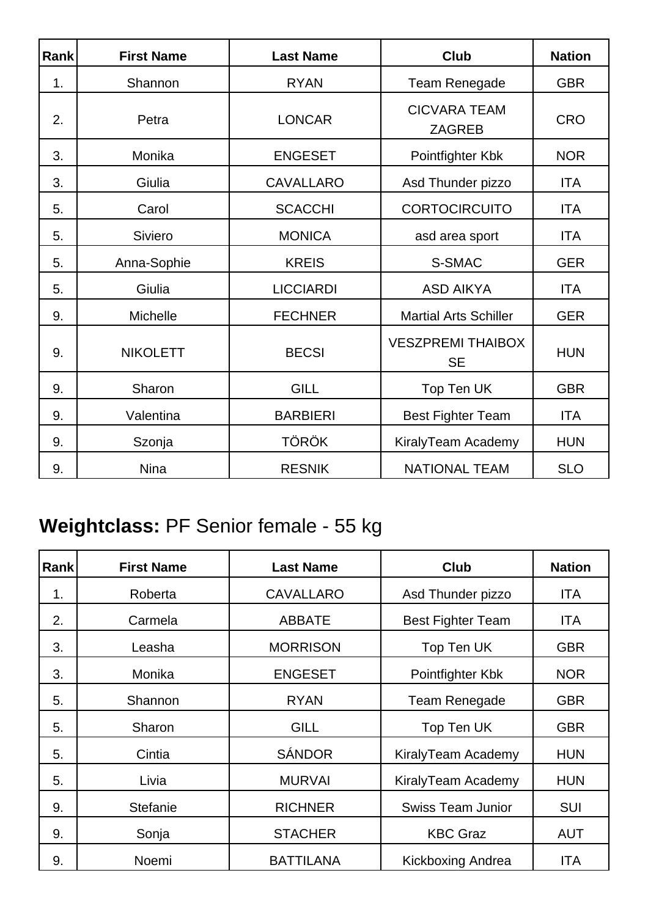| Rank | <b>First Name</b> | <b>Last Name</b> | <b>Club</b>                           | <b>Nation</b> |
|------|-------------------|------------------|---------------------------------------|---------------|
| 1.   | Shannon           | <b>RYAN</b>      | <b>Team Renegade</b>                  | <b>GBR</b>    |
| 2.   | Petra             | <b>LONCAR</b>    | <b>CICVARA TEAM</b><br><b>ZAGREB</b>  | <b>CRO</b>    |
| 3.   | Monika            | <b>ENGESET</b>   | Pointfighter Kbk                      | <b>NOR</b>    |
| 3.   | Giulia            | <b>CAVALLARO</b> | Asd Thunder pizzo                     | <b>ITA</b>    |
| 5.   | Carol             | <b>SCACCHI</b>   | <b>CORTOCIRCUITO</b>                  | <b>ITA</b>    |
| 5.   | Siviero           | <b>MONICA</b>    | asd area sport                        | <b>ITA</b>    |
| 5.   | Anna-Sophie       | <b>KREIS</b>     | S-SMAC                                | <b>GER</b>    |
| 5.   | Giulia            | <b>LICCIARDI</b> | <b>ASD AIKYA</b>                      | <b>ITA</b>    |
| 9.   | <b>Michelle</b>   | <b>FECHNER</b>   | <b>Martial Arts Schiller</b>          | <b>GER</b>    |
| 9.   | <b>NIKOLETT</b>   | <b>BECSI</b>     | <b>VESZPREMI THAIBOX</b><br><b>SE</b> | <b>HUN</b>    |
| 9.   | Sharon            | <b>GILL</b>      | Top Ten UK                            | <b>GBR</b>    |
| 9.   | Valentina         | <b>BARBIERI</b>  | <b>Best Fighter Team</b>              | <b>ITA</b>    |
| 9.   | Szonja            | <b>TÖRÖK</b>     | KiralyTeam Academy                    | <b>HUN</b>    |
| 9.   | <b>Nina</b>       | <b>RESNIK</b>    | <b>NATIONAL TEAM</b>                  | <b>SLO</b>    |

## **Weightclass:** PF Senior female - 55 kg

| Rank | <b>First Name</b> | <b>Last Name</b> | <b>Club</b>              | <b>Nation</b> |
|------|-------------------|------------------|--------------------------|---------------|
| 1.   | Roberta           | <b>CAVALLARO</b> | Asd Thunder pizzo        | ITA           |
| 2.   | Carmela           | <b>ABBATE</b>    | <b>Best Fighter Team</b> | ITA           |
| 3.   | Leasha            | <b>MORRISON</b>  | Top Ten UK               | <b>GBR</b>    |
| 3.   | Monika            | <b>ENGESET</b>   | Pointfighter Kbk         | <b>NOR</b>    |
| 5.   | Shannon           | <b>RYAN</b>      | Team Renegade            | <b>GBR</b>    |
| 5.   | Sharon            | <b>GILL</b>      | Top Ten UK               | <b>GBR</b>    |
| 5.   | Cintia            | <b>SÁNDOR</b>    | KiralyTeam Academy       | <b>HUN</b>    |
| 5.   | Livia             | <b>MURVAI</b>    | KiralyTeam Academy       | <b>HUN</b>    |
| 9.   | <b>Stefanie</b>   | <b>RICHNER</b>   | <b>Swiss Team Junior</b> | <b>SUI</b>    |
| 9.   | Sonja             | <b>STACHER</b>   | <b>KBC Graz</b>          | <b>AUT</b>    |
| 9.   | Noemi             | <b>BATTILANA</b> | <b>Kickboxing Andrea</b> | <b>ITA</b>    |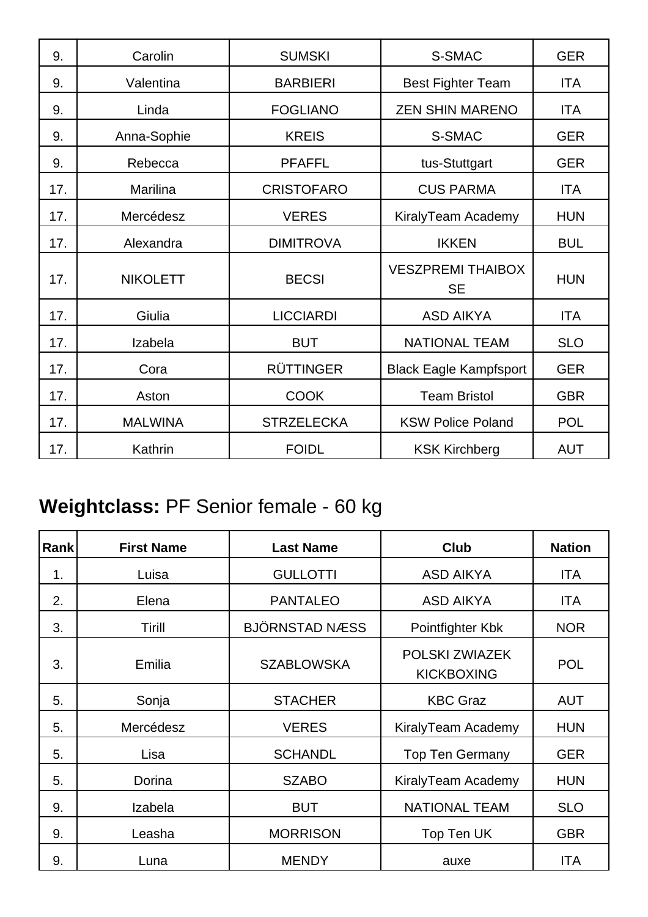| 9.  | Carolin         | <b>SUMSKI</b>     | S-SMAC                                | <b>GER</b> |
|-----|-----------------|-------------------|---------------------------------------|------------|
| 9.  | Valentina       | <b>BARBIERI</b>   | <b>Best Fighter Team</b>              | <b>ITA</b> |
| 9.  | Linda           | <b>FOGLIANO</b>   | <b>ZEN SHIN MARENO</b>                | <b>ITA</b> |
| 9.  | Anna-Sophie     | <b>KREIS</b>      | S-SMAC                                | <b>GER</b> |
| 9.  | Rebecca         | <b>PFAFFL</b>     | tus-Stuttgart                         | <b>GER</b> |
| 17. | Marilina        | <b>CRISTOFARO</b> | <b>CUS PARMA</b>                      | <b>ITA</b> |
| 17. | Mercédesz       | <b>VERES</b>      | KiralyTeam Academy                    | <b>HUN</b> |
| 17. | Alexandra       | <b>DIMITROVA</b>  | <b>IKKEN</b>                          | <b>BUL</b> |
| 17. | <b>NIKOLETT</b> | <b>BECSI</b>      | <b>VESZPREMI THAIBOX</b><br><b>SE</b> | <b>HUN</b> |
| 17. | Giulia          | <b>LICCIARDI</b>  | <b>ASD AIKYA</b>                      | <b>ITA</b> |
| 17. | Izabela         | <b>BUT</b>        | <b>NATIONAL TEAM</b>                  | <b>SLO</b> |
| 17. | Cora            | <b>RÜTTINGER</b>  | <b>Black Eagle Kampfsport</b>         | <b>GER</b> |
| 17. | Aston           | <b>COOK</b>       | <b>Team Bristol</b>                   | <b>GBR</b> |
| 17. | <b>MALWINA</b>  | <b>STRZELECKA</b> | <b>KSW Police Poland</b>              | <b>POL</b> |
| 17. | Kathrin         | <b>FOIDL</b>      | <b>KSK Kirchberg</b>                  | <b>AUT</b> |

# **Weightclass:** PF Senior female - 60 kg

| Rank | <b>First Name</b> | <b>Last Name</b>      | <b>Club</b>                         | <b>Nation</b> |
|------|-------------------|-----------------------|-------------------------------------|---------------|
| 1.   | Luisa             | <b>GULLOTTI</b>       | <b>ASD AIKYA</b>                    | <b>ITA</b>    |
| 2.   | Elena             | <b>PANTALEO</b>       | <b>ASD AIKYA</b>                    | <b>ITA</b>    |
| 3.   | <b>Tirill</b>     | <b>BJÖRNSTAD NÆSS</b> | Pointfighter Kbk                    | <b>NOR</b>    |
| 3.   | Emilia            | <b>SZABLOWSKA</b>     | POLSKI ZWIAZEK<br><b>KICKBOXING</b> | <b>POL</b>    |
| 5.   | Sonja             | <b>STACHER</b>        | <b>KBC Graz</b>                     | <b>AUT</b>    |
| 5.   | Mercédesz         | <b>VERES</b>          | KiralyTeam Academy                  | <b>HUN</b>    |
| 5.   | Lisa              | <b>SCHANDL</b>        | <b>Top Ten Germany</b>              | <b>GER</b>    |
| 5.   | Dorina            | <b>SZABO</b>          | KiralyTeam Academy                  | <b>HUN</b>    |
| 9.   | Izabela           | <b>BUT</b>            | <b>NATIONAL TEAM</b>                | <b>SLO</b>    |
| 9.   | Leasha            | <b>MORRISON</b>       | Top Ten UK                          | <b>GBR</b>    |
| 9.   | Luna              | <b>MENDY</b>          | auxe                                | <b>ITA</b>    |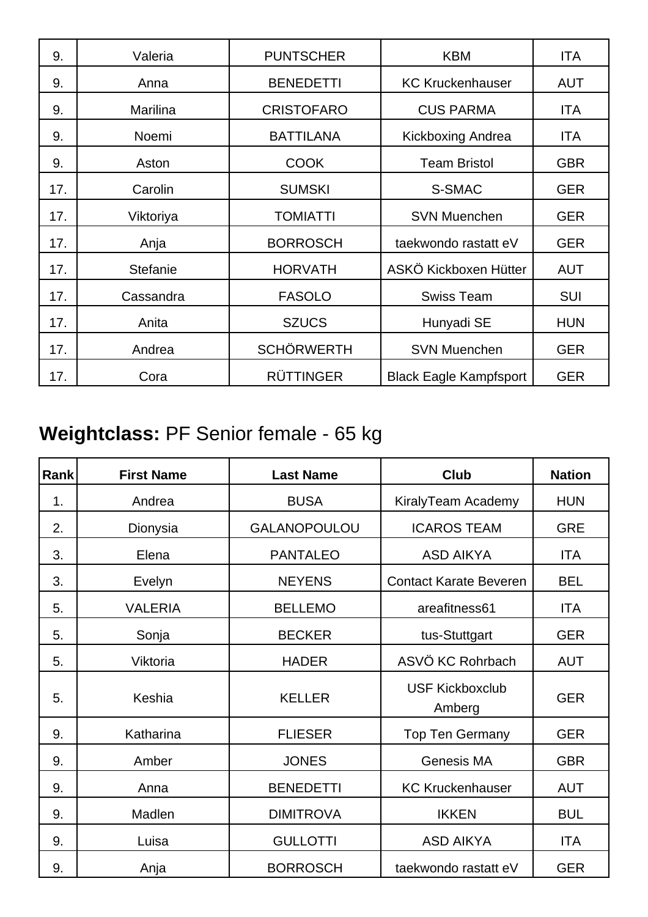| 9.  | Valeria   | <b>PUNTSCHER</b>  | <b>KBM</b>                    | <b>ITA</b> |
|-----|-----------|-------------------|-------------------------------|------------|
| 9.  | Anna      | <b>BENEDETTI</b>  | <b>KC Kruckenhauser</b>       | <b>AUT</b> |
| 9.  | Marilina  | <b>CRISTOFARO</b> | <b>CUS PARMA</b>              | ITA        |
| 9.  | Noemi     | <b>BATTILANA</b>  | Kickboxing Andrea             | ITA        |
| 9.  | Aston     | <b>COOK</b>       | <b>Team Bristol</b>           | <b>GBR</b> |
| 17. | Carolin   | <b>SUMSKI</b>     | S-SMAC                        | <b>GER</b> |
| 17. | Viktoriya | <b>TOMIATTI</b>   | <b>SVN Muenchen</b>           | <b>GER</b> |
| 17. | Anja      | <b>BORROSCH</b>   | taekwondo rastatt eV          | <b>GER</b> |
| 17. | Stefanie  | <b>HORVATH</b>    | ASKÖ Kickboxen Hütter         | <b>AUT</b> |
| 17. | Cassandra | <b>FASOLO</b>     | <b>Swiss Team</b>             | <b>SUI</b> |
| 17. | Anita     | <b>SZUCS</b>      | Hunyadi SE                    | <b>HUN</b> |
| 17. | Andrea    | <b>SCHÖRWERTH</b> | <b>SVN Muenchen</b>           | <b>GER</b> |
| 17. | Cora      | <b>RÜTTINGER</b>  | <b>Black Eagle Kampfsport</b> | <b>GER</b> |

## **Weightclass:** PF Senior female - 65 kg

| Rank | <b>First Name</b> | <b>Last Name</b>    | Club                             | <b>Nation</b> |
|------|-------------------|---------------------|----------------------------------|---------------|
| 1.   | Andrea            | <b>BUSA</b>         | KiralyTeam Academy               | <b>HUN</b>    |
| 2.   | Dionysia          | <b>GALANOPOULOU</b> | <b>ICAROS TEAM</b>               | <b>GRE</b>    |
| 3.   | Elena             | <b>PANTALEO</b>     | <b>ASD AIKYA</b>                 | <b>ITA</b>    |
| 3.   | Evelyn            | <b>NEYENS</b>       | <b>Contact Karate Beveren</b>    | <b>BEL</b>    |
| 5.   | <b>VALERIA</b>    | <b>BELLEMO</b>      | areafitness61                    | <b>ITA</b>    |
| 5.   | Sonja             | <b>BECKER</b>       | tus-Stuttgart                    | <b>GER</b>    |
| 5.   | Viktoria          | <b>HADER</b>        | ASVÖ KC Rohrbach                 | <b>AUT</b>    |
| 5.   | Keshia            | <b>KELLER</b>       | <b>USF Kickboxclub</b><br>Amberg | <b>GER</b>    |
| 9.   | Katharina         | <b>FLIESER</b>      | <b>Top Ten Germany</b>           | <b>GER</b>    |
| 9.   | Amber             | <b>JONES</b>        | Genesis MA                       | <b>GBR</b>    |
| 9.   | Anna              | <b>BENEDETTI</b>    | <b>KC Kruckenhauser</b>          | <b>AUT</b>    |
| 9.   | Madlen            | <b>DIMITROVA</b>    | <b>IKKEN</b>                     | <b>BUL</b>    |
| 9.   | Luisa             | <b>GULLOTTI</b>     | <b>ASD AIKYA</b>                 | <b>ITA</b>    |
| 9.   | Anja              | <b>BORROSCH</b>     | taekwondo rastatt eV             | <b>GER</b>    |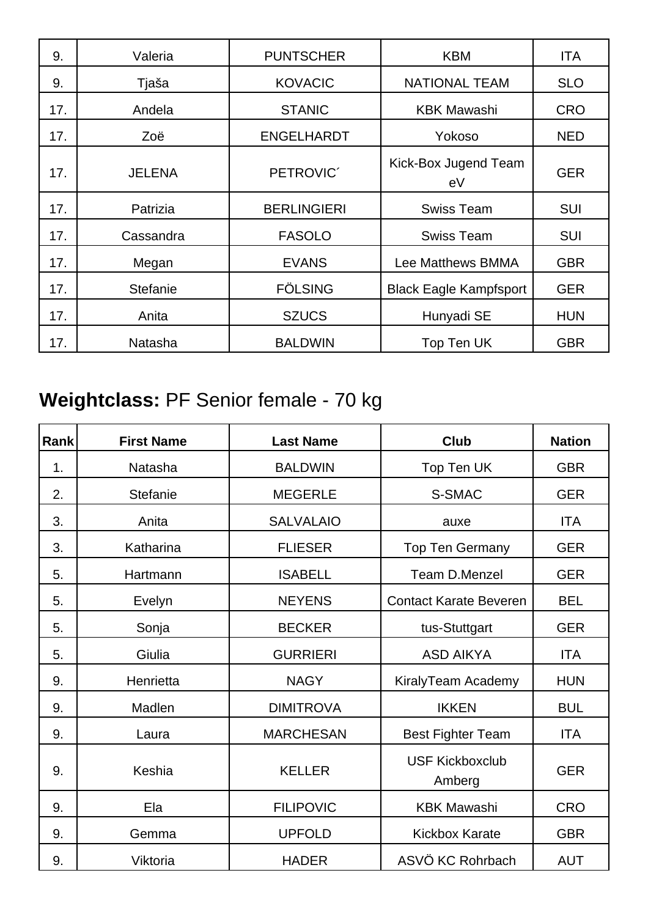| 9.  | Valeria       | <b>PUNTSCHER</b>   | <b>KBM</b>                    | <b>ITA</b> |
|-----|---------------|--------------------|-------------------------------|------------|
| 9.  | Tjaša         | <b>KOVACIC</b>     | <b>NATIONAL TEAM</b>          | <b>SLO</b> |
| 17. | Andela        | <b>STANIC</b>      | <b>KBK Mawashi</b>            | <b>CRO</b> |
| 17. | Zoë           | <b>ENGELHARDT</b>  | Yokoso                        | <b>NED</b> |
| 17. | <b>JELENA</b> | PETROVIC'          | Kick-Box Jugend Team<br>eV    | <b>GER</b> |
| 17. | Patrizia      | <b>BERLINGIERI</b> | <b>Swiss Team</b>             | SUI        |
| 17. | Cassandra     | <b>FASOLO</b>      | <b>Swiss Team</b>             | <b>SUI</b> |
| 17. | Megan         | <b>EVANS</b>       | <b>Lee Matthews BMMA</b>      | <b>GBR</b> |
| 17. | Stefanie      | <b>FÖLSING</b>     | <b>Black Eagle Kampfsport</b> | <b>GER</b> |
| 17. | Anita         | <b>SZUCS</b>       | Hunyadi SE                    | <b>HUN</b> |
| 17. | Natasha       | <b>BALDWIN</b>     | Top Ten UK                    | <b>GBR</b> |

## **Weightclass:** PF Senior female - 70 kg

| Rank | <b>First Name</b> | <b>Last Name</b> | <b>Club</b>                      | <b>Nation</b> |
|------|-------------------|------------------|----------------------------------|---------------|
| 1.   | Natasha           | <b>BALDWIN</b>   | Top Ten UK                       | <b>GBR</b>    |
| 2.   | <b>Stefanie</b>   | <b>MEGERLE</b>   | S-SMAC                           | <b>GER</b>    |
| 3.   | Anita             | <b>SALVALAIO</b> | auxe                             | <b>ITA</b>    |
| 3.   | Katharina         | <b>FLIESER</b>   | <b>Top Ten Germany</b>           | <b>GER</b>    |
| 5.   | Hartmann          | <b>ISABELL</b>   | Team D.Menzel                    | <b>GER</b>    |
| 5.   | Evelyn            | <b>NEYENS</b>    | <b>Contact Karate Beveren</b>    | <b>BEL</b>    |
| 5.   | Sonja             | <b>BECKER</b>    | tus-Stuttgart                    | <b>GER</b>    |
| 5.   | Giulia            | <b>GURRIERI</b>  | <b>ASD AIKYA</b>                 | <b>ITA</b>    |
| 9.   | Henrietta         | <b>NAGY</b>      | KiralyTeam Academy               | <b>HUN</b>    |
| 9.   | Madlen            | <b>DIMITROVA</b> | <b>IKKEN</b>                     | <b>BUL</b>    |
| 9.   | Laura             | <b>MARCHESAN</b> | <b>Best Fighter Team</b>         | <b>ITA</b>    |
| 9.   | Keshia            | <b>KELLER</b>    | <b>USF Kickboxclub</b><br>Amberg | <b>GER</b>    |
| 9.   | Ela               | <b>FILIPOVIC</b> | <b>KBK Mawashi</b>               | <b>CRO</b>    |
| 9.   | Gemma             | <b>UPFOLD</b>    | <b>Kickbox Karate</b>            | <b>GBR</b>    |
| 9.   | Viktoria          | <b>HADER</b>     | ASVÖ KC Rohrbach                 | <b>AUT</b>    |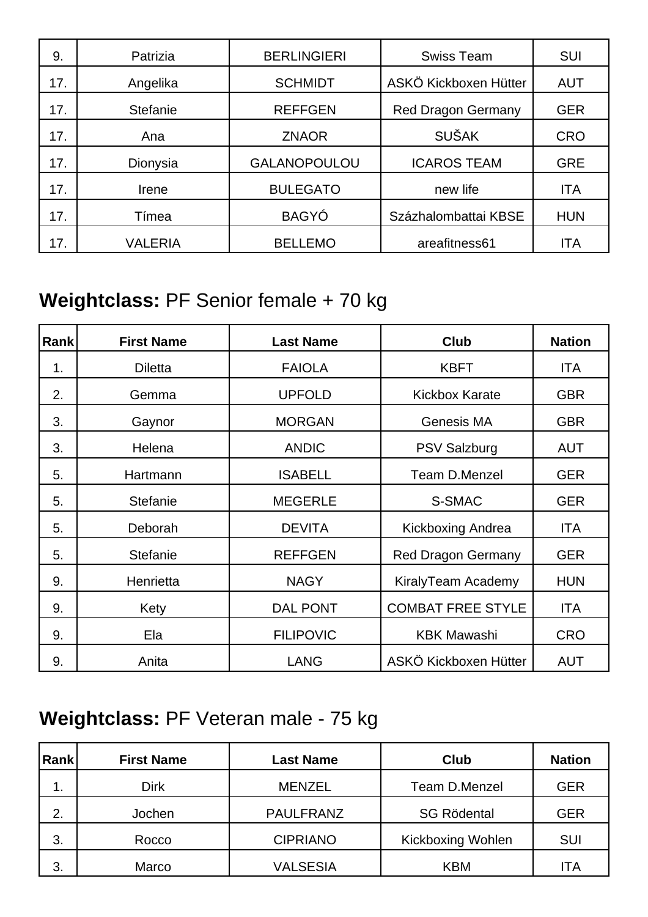| 9.  | Patrizia | <b>BERLINGIERI</b>  | <b>Swiss Team</b>         | SUI        |
|-----|----------|---------------------|---------------------------|------------|
| 17. | Angelika | <b>SCHMIDT</b>      | ASKÖ Kickboxen Hütter     | <b>AUT</b> |
| 17. | Stefanie | <b>REFFGEN</b>      | <b>Red Dragon Germany</b> | <b>GER</b> |
| 17. | Ana      | <b>ZNAOR</b>        | <b>SUŠAK</b>              | <b>CRO</b> |
| 17. | Dionysia | <b>GALANOPOULOU</b> | <b>ICAROS TEAM</b>        | <b>GRE</b> |
| 17. | Irene    | <b>BULEGATO</b>     | new life                  | <b>ITA</b> |
| 17. | Tímea    | <b>BAGYÓ</b>        | Százhalombattai KBSE      | <b>HUN</b> |
| 17. | VALERIA  | <b>BELLEMO</b>      | areafitness61             | ITA        |

### **Weightclass:** PF Senior female + 70 kg

| Rank | <b>First Name</b> | <b>Last Name</b> | <b>Club</b>               | <b>Nation</b> |
|------|-------------------|------------------|---------------------------|---------------|
| 1.   | <b>Diletta</b>    | <b>FAIOLA</b>    | <b>KBFT</b>               | ITA           |
| 2.   | Gemma             | <b>UPFOLD</b>    | <b>Kickbox Karate</b>     | <b>GBR</b>    |
| 3.   | Gaynor            | <b>MORGAN</b>    | <b>Genesis MA</b>         | <b>GBR</b>    |
| 3.   | Helena            | <b>ANDIC</b>     | <b>PSV Salzburg</b>       | <b>AUT</b>    |
| 5.   | Hartmann          | <b>ISABELL</b>   | <b>Team D.Menzel</b>      | <b>GER</b>    |
| 5.   | <b>Stefanie</b>   | <b>MEGERLE</b>   | S-SMAC                    | <b>GER</b>    |
| 5.   | Deborah           | <b>DEVITA</b>    | <b>Kickboxing Andrea</b>  | ITA           |
| 5.   | <b>Stefanie</b>   | <b>REFFGEN</b>   | <b>Red Dragon Germany</b> | <b>GER</b>    |
| 9.   | Henrietta         | <b>NAGY</b>      | KiralyTeam Academy        | <b>HUN</b>    |
| 9.   | Kety              | <b>DAL PONT</b>  | <b>COMBAT FREE STYLE</b>  | ITA           |
| 9.   | Ela               | <b>FILIPOVIC</b> | <b>KBK Mawashi</b>        | <b>CRO</b>    |
| 9.   | Anita             | <b>LANG</b>      | ASKÖ Kickboxen Hütter     | <b>AUT</b>    |

### **Weightclass:** PF Veteran male - 75 kg

| Rank | <b>First Name</b> | <b>Last Name</b> | <b>Club</b>              | <b>Nation</b> |
|------|-------------------|------------------|--------------------------|---------------|
| . .  | Dirk              | <b>MENZEL</b>    | Team D.Menzel            | <b>GER</b>    |
| 2.   | Jochen            | <b>PAULFRANZ</b> | <b>SG Rödental</b>       | <b>GER</b>    |
| 3.   | Rocco             | <b>CIPRIANO</b>  | <b>Kickboxing Wohlen</b> | <b>SUI</b>    |
| 3.   | Marco             | <b>VALSESIA</b>  | <b>KBM</b>               | <b>ITA</b>    |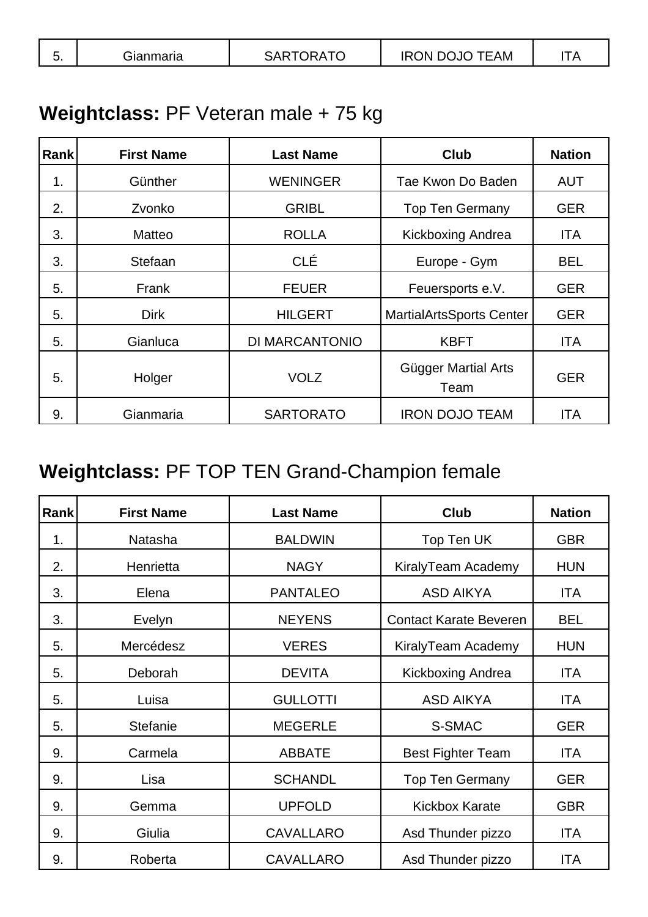| $-$<br>TEAM<br>AP-ہ<br>)N<br>Gianmaria<br>). IC<br>IK (<br>. .<br>v.<br>______ |  |  |  |  |
|--------------------------------------------------------------------------------|--|--|--|--|
|--------------------------------------------------------------------------------|--|--|--|--|

### **Weightclass:** PF Veteran male + 75 kg

| <b>Rank</b> | <b>First Name</b> | <b>Last Name</b> | <b>Club</b>                     | <b>Nation</b> |
|-------------|-------------------|------------------|---------------------------------|---------------|
| 1.          | Günther           | <b>WENINGER</b>  | Tae Kwon Do Baden               | <b>AUT</b>    |
| 2.          | Zvonko            | <b>GRIBL</b>     | <b>Top Ten Germany</b>          | <b>GER</b>    |
| 3.          | Matteo            | <b>ROLLA</b>     | Kickboxing Andrea               | <b>ITA</b>    |
| 3.          | Stefaan           | <b>CLÉ</b>       | Europe - Gym                    | <b>BEL</b>    |
| 5.          | Frank             | <b>FEUER</b>     | Feuersports e.V.                | <b>GER</b>    |
| 5.          | <b>Dirk</b>       | <b>HILGERT</b>   | <b>MartialArtsSports Center</b> | <b>GER</b>    |
| 5.          | Gianluca          | DI MARCANTONIO   | <b>KBFT</b>                     | <b>ITA</b>    |
| 5.          | Holger            | <b>VOLZ</b>      | Gügger Martial Arts<br>Team     | <b>GER</b>    |
| 9.          | Gianmaria         | <b>SARTORATO</b> | <b>IRON DOJO TEAM</b>           | <b>ITA</b>    |

## **Weightclass:** PF TOP TEN Grand-Champion female

| Rank           | <b>First Name</b> | <b>Last Name</b> | <b>Club</b>                   | <b>Nation</b> |
|----------------|-------------------|------------------|-------------------------------|---------------|
| 1 <sub>1</sub> | <b>Natasha</b>    | <b>BALDWIN</b>   | Top Ten UK                    | <b>GBR</b>    |
| 2.             | Henrietta         | <b>NAGY</b>      | KiralyTeam Academy            | <b>HUN</b>    |
| 3.             | Elena             | <b>PANTALEO</b>  | <b>ASD AIKYA</b>              | ITA           |
| 3.             | Evelyn            | <b>NEYENS</b>    | <b>Contact Karate Beveren</b> | <b>BEL</b>    |
| 5.             | Mercédesz         | <b>VERES</b>     | KiralyTeam Academy            | <b>HUN</b>    |
| 5.             | Deborah           | <b>DEVITA</b>    | Kickboxing Andrea             | <b>ITA</b>    |
| 5.             | Luisa             | <b>GULLOTTI</b>  | <b>ASD AIKYA</b>              | <b>ITA</b>    |
| 5.             | Stefanie          | <b>MEGERLE</b>   | S-SMAC                        | <b>GER</b>    |
| 9.             | Carmela           | <b>ABBATE</b>    | <b>Best Fighter Team</b>      | <b>ITA</b>    |
| 9.             | Lisa              | <b>SCHANDL</b>   | <b>Top Ten Germany</b>        | <b>GER</b>    |
| 9.             | Gemma             | <b>UPFOLD</b>    | <b>Kickbox Karate</b>         | <b>GBR</b>    |
| 9.             | Giulia            | <b>CAVALLARO</b> | Asd Thunder pizzo             | <b>ITA</b>    |
| 9.             | Roberta           | <b>CAVALLARO</b> | Asd Thunder pizzo             | <b>ITA</b>    |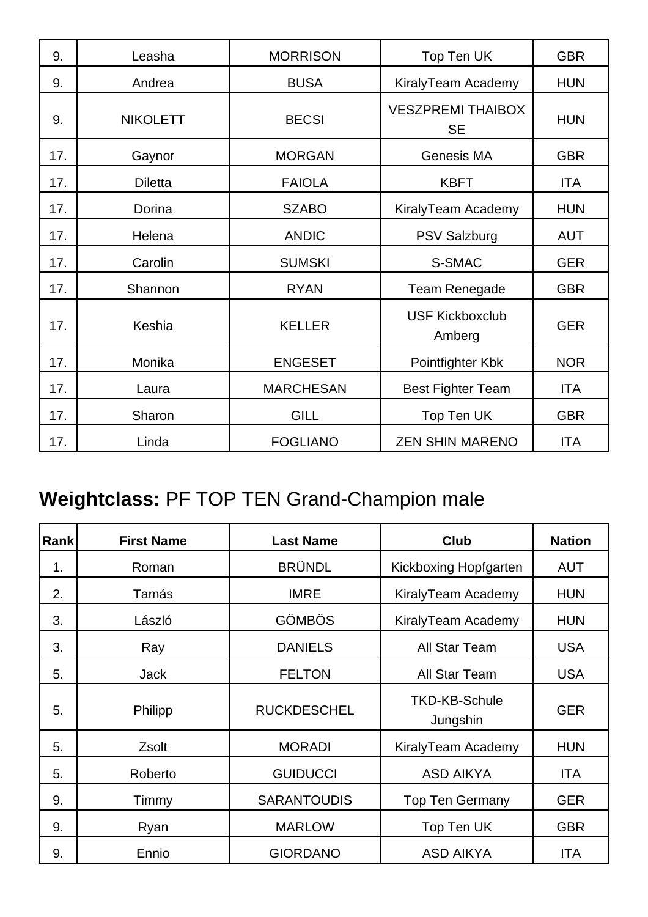| 9.  | Leasha          | <b>MORRISON</b>  | Top Ten UK                            | <b>GBR</b> |
|-----|-----------------|------------------|---------------------------------------|------------|
| 9.  | Andrea          | <b>BUSA</b>      | KiralyTeam Academy                    | <b>HUN</b> |
| 9.  | <b>NIKOLETT</b> | <b>BECSI</b>     | <b>VESZPREMI THAIBOX</b><br><b>SE</b> | <b>HUN</b> |
| 17. | Gaynor          | <b>MORGAN</b>    | Genesis MA                            | <b>GBR</b> |
| 17. | <b>Diletta</b>  | <b>FAIOLA</b>    | <b>KBFT</b>                           | <b>ITA</b> |
| 17. | Dorina          | <b>SZABO</b>     | KiralyTeam Academy                    | <b>HUN</b> |
| 17. | Helena          | <b>ANDIC</b>     | <b>PSV Salzburg</b>                   | <b>AUT</b> |
| 17. | Carolin         | <b>SUMSKI</b>    | S-SMAC                                | <b>GER</b> |
| 17. | Shannon         | <b>RYAN</b>      | Team Renegade                         | <b>GBR</b> |
| 17. | Keshia          | <b>KELLER</b>    | <b>USF Kickboxclub</b><br>Amberg      | <b>GER</b> |
| 17. | Monika          | <b>ENGESET</b>   | Pointfighter Kbk                      | <b>NOR</b> |
| 17. | Laura           | <b>MARCHESAN</b> | <b>Best Fighter Team</b>              | <b>ITA</b> |
| 17. | Sharon          | <b>GILL</b>      | Top Ten UK                            | <b>GBR</b> |
| 17. | Linda           | <b>FOGLIANO</b>  | <b>ZEN SHIN MARENO</b>                | <b>ITA</b> |

## **Weightclass:** PF TOP TEN Grand-Champion male

| Rank | <b>First Name</b> | <b>Last Name</b>   | <b>Club</b>                      | <b>Nation</b> |
|------|-------------------|--------------------|----------------------------------|---------------|
| 1.   | Roman             | <b>BRÜNDL</b>      | Kickboxing Hopfgarten            | <b>AUT</b>    |
| 2.   | Tamás             | <b>IMRE</b>        | KiralyTeam Academy               | <b>HUN</b>    |
| 3.   | László            | <b>GÖMBÖS</b>      | KiralyTeam Academy               | <b>HUN</b>    |
| 3.   | Ray               | <b>DANIELS</b>     | <b>All Star Team</b>             | <b>USA</b>    |
| 5.   | <b>Jack</b>       | <b>FELTON</b>      | All Star Team                    | <b>USA</b>    |
| 5.   | Philipp           | <b>RUCKDESCHEL</b> | <b>TKD-KB-Schule</b><br>Jungshin | <b>GER</b>    |
| 5.   | Zsolt             | <b>MORADI</b>      | KiralyTeam Academy               | <b>HUN</b>    |
| 5.   | Roberto           | <b>GUIDUCCI</b>    | <b>ASD AIKYA</b>                 | ITA           |
| 9.   | Timmy             | <b>SARANTOUDIS</b> | <b>Top Ten Germany</b>           | <b>GER</b>    |
| 9.   | Ryan              | <b>MARLOW</b>      | Top Ten UK                       | <b>GBR</b>    |
| 9.   | Ennio             | <b>GIORDANO</b>    | <b>ASD AIKYA</b>                 | <b>ITA</b>    |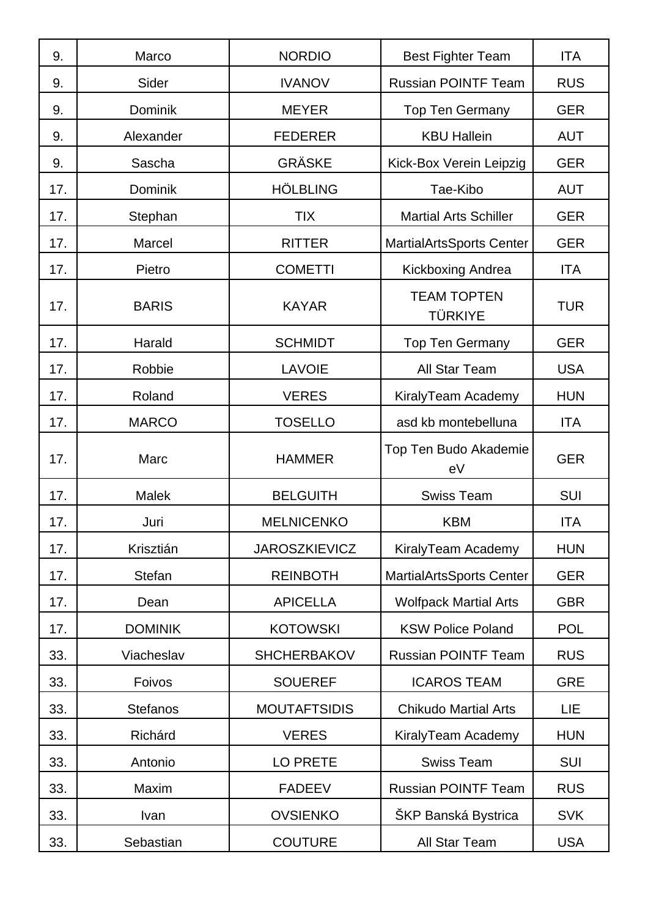| 9.  | Marco           | <b>NORDIO</b>        | <b>Best Fighter Team</b>             | <b>ITA</b> |
|-----|-----------------|----------------------|--------------------------------------|------------|
| 9.  | Sider           | <b>IVANOV</b>        | <b>Russian POINTF Team</b>           | <b>RUS</b> |
| 9.  | <b>Dominik</b>  | <b>MEYER</b>         | <b>Top Ten Germany</b>               | <b>GER</b> |
| 9.  | Alexander       | <b>FEDERER</b>       | <b>KBU Hallein</b>                   | <b>AUT</b> |
| 9.  | Sascha          | <b>GRÄSKE</b>        | Kick-Box Verein Leipzig              | <b>GER</b> |
| 17. | Dominik         | <b>HÖLBLING</b>      | Tae-Kibo                             | <b>AUT</b> |
| 17. | Stephan         | <b>TIX</b>           | <b>Martial Arts Schiller</b>         | <b>GER</b> |
| 17. | Marcel          | <b>RITTER</b>        | <b>MartialArtsSports Center</b>      | <b>GER</b> |
| 17. | Pietro          | <b>COMETTI</b>       | Kickboxing Andrea                    | <b>ITA</b> |
| 17. | <b>BARIS</b>    | <b>KAYAR</b>         | <b>TEAM TOPTEN</b><br><b>TÜRKIYE</b> | <b>TUR</b> |
| 17. | Harald          | <b>SCHMIDT</b>       | <b>Top Ten Germany</b>               | <b>GER</b> |
| 17. | Robbie          | <b>LAVOIE</b>        | All Star Team                        | <b>USA</b> |
| 17. | Roland          | <b>VERES</b>         | KiralyTeam Academy                   | <b>HUN</b> |
| 17. | <b>MARCO</b>    | <b>TOSELLO</b>       | asd kb montebelluna                  | <b>ITA</b> |
| 17. | Marc            | <b>HAMMER</b>        | Top Ten Budo Akademie<br>eV          | <b>GER</b> |
| 17. | <b>Malek</b>    | <b>BELGUITH</b>      | <b>Swiss Team</b>                    | SUI        |
| 17. | Juri            | <b>MELNICENKO</b>    | <b>KBM</b>                           | <b>ITA</b> |
| 17. | Krisztián       | <b>JAROSZKIEVICZ</b> | KiralyTeam Academy                   | <b>HUN</b> |
| 17. | Stefan          | <b>REINBOTH</b>      | MartialArtsSports Center             | <b>GER</b> |
| 17. | Dean            | <b>APICELLA</b>      | <b>Wolfpack Martial Arts</b>         | <b>GBR</b> |
| 17. | <b>DOMINIK</b>  | <b>KOTOWSKI</b>      | <b>KSW Police Poland</b>             | <b>POL</b> |
| 33. | Viacheslav      | <b>SHCHERBAKOV</b>   | <b>Russian POINTF Team</b>           | <b>RUS</b> |
| 33. | Foivos          | <b>SOUEREF</b>       | <b>ICAROS TEAM</b>                   | <b>GRE</b> |
| 33. | <b>Stefanos</b> | <b>MOUTAFTSIDIS</b>  | <b>Chikudo Martial Arts</b>          | LIE        |
| 33. | Richárd         | <b>VERES</b>         | KiralyTeam Academy                   | <b>HUN</b> |
| 33. | Antonio         | LO PRETE             | <b>Swiss Team</b>                    | <b>SUI</b> |
| 33. | Maxim           | <b>FADEEV</b>        | <b>Russian POINTF Team</b>           | <b>RUS</b> |
| 33. | Ivan            | <b>OVSIENKO</b>      | ŠKP Banská Bystrica                  | <b>SVK</b> |
| 33. | Sebastian       | <b>COUTURE</b>       | All Star Team                        | <b>USA</b> |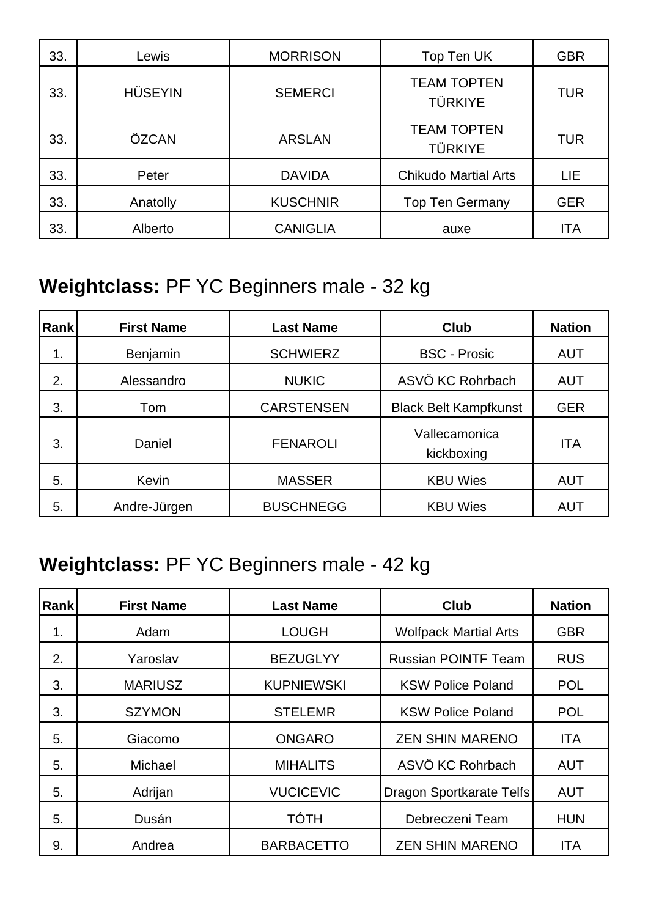| 33. | Lewis          | <b>MORRISON</b> | Top Ten UK                           | <b>GBR</b> |
|-----|----------------|-----------------|--------------------------------------|------------|
| 33. | <b>HÜSEYIN</b> | <b>SEMERCI</b>  | <b>TEAM TOPTEN</b><br><b>TÜRKIYE</b> | <b>TUR</b> |
| 33. | ÖZCAN          | <b>ARSLAN</b>   | <b>TEAM TOPTEN</b><br><b>TÜRKIYE</b> | <b>TUR</b> |
| 33. | Peter          | <b>DAVIDA</b>   | <b>Chikudo Martial Arts</b>          | LIE.       |
| 33. | Anatolly       | <b>KUSCHNIR</b> | <b>Top Ten Germany</b>               | <b>GER</b> |
| 33. | Alberto        | <b>CANIGLIA</b> | auxe                                 | <b>ITA</b> |

### **Weightclass:** PF YC Beginners male - 32 kg

| Rank | <b>First Name</b> | <b>Last Name</b>  | <b>Club</b>                  | <b>Nation</b> |
|------|-------------------|-------------------|------------------------------|---------------|
| 1.   | Benjamin          | <b>SCHWIERZ</b>   | <b>BSC - Prosic</b>          | <b>AUT</b>    |
| 2.   | Alessandro        | <b>NUKIC</b>      | ASVÖ KC Rohrbach             | <b>AUT</b>    |
| 3.   | Tom               | <b>CARSTENSEN</b> | <b>Black Belt Kampfkunst</b> | <b>GER</b>    |
| 3.   | Daniel            | <b>FENAROLI</b>   | Vallecamonica<br>kickboxing  | <b>ITA</b>    |
| 5.   | Kevin             | <b>MASSER</b>     | <b>KBU Wies</b>              | <b>AUT</b>    |
| 5.   | Andre-Jürgen      | <b>BUSCHNEGG</b>  | <b>KBU Wies</b>              | <b>AUT</b>    |

### **Weightclass:** PF YC Beginners male - 42 kg

| <b>Rank</b> | <b>First Name</b> | <b>Last Name</b>  | <b>Club</b>                     | <b>Nation</b> |
|-------------|-------------------|-------------------|---------------------------------|---------------|
| 1.          | Adam              | <b>LOUGH</b>      | <b>Wolfpack Martial Arts</b>    | <b>GBR</b>    |
| 2.          | Yaroslav          | <b>BEZUGLYY</b>   | <b>Russian POINTF Team</b>      | <b>RUS</b>    |
| 3.          | <b>MARIUSZ</b>    | <b>KUPNIEWSKI</b> | <b>KSW Police Poland</b>        | <b>POL</b>    |
| 3.          | <b>SZYMON</b>     | <b>STELEMR</b>    | <b>KSW Police Poland</b>        | <b>POL</b>    |
| 5.          | Giacomo           | <b>ONGARO</b>     | <b>ZEN SHIN MARENO</b>          | <b>ITA</b>    |
| 5.          | Michael           | <b>MIHALITS</b>   | ASVÖ KC Rohrbach                | <b>AUT</b>    |
| 5.          | Adrijan           | <b>VUCICEVIC</b>  | <b>Dragon Sportkarate Telfs</b> | <b>AUT</b>    |
| 5.          | Dusán             | <b>TÓTH</b>       | Debreczeni Team                 | <b>HUN</b>    |
| 9.          | Andrea            | <b>BARBACETTO</b> | <b>ZEN SHIN MARENO</b>          | <b>ITA</b>    |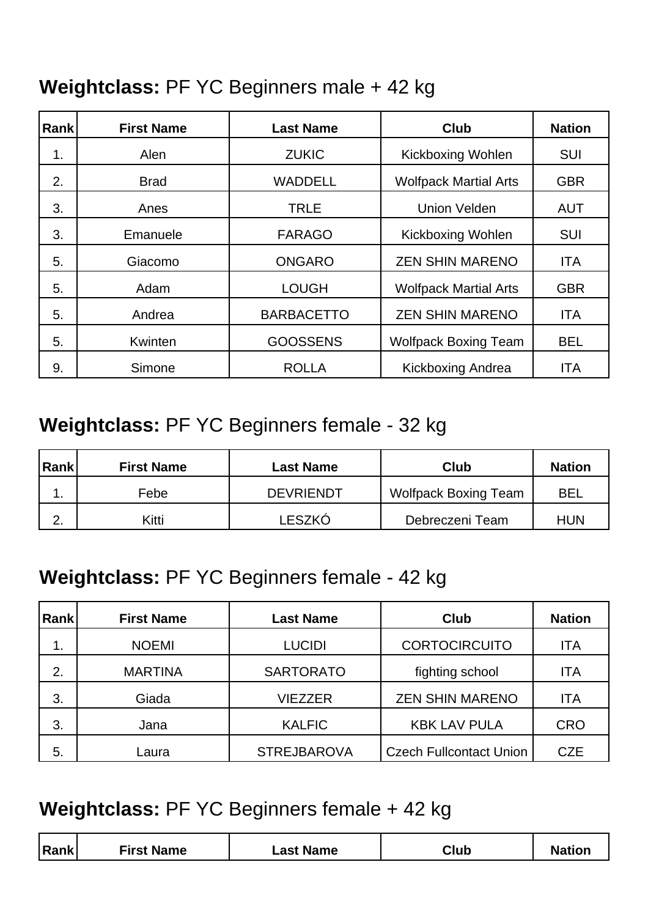#### **Weightclass:** PF YC Beginners male + 42 kg

| Rank | <b>First Name</b> | <b>Last Name</b>  | <b>Club</b>                  | <b>Nation</b> |
|------|-------------------|-------------------|------------------------------|---------------|
| 1.   | Alen              | <b>ZUKIC</b>      | <b>Kickboxing Wohlen</b>     | <b>SUI</b>    |
| 2.   | <b>Brad</b>       | <b>WADDELL</b>    | <b>Wolfpack Martial Arts</b> | <b>GBR</b>    |
| 3.   | Anes              | <b>TRLE</b>       | <b>Union Velden</b>          | <b>AUT</b>    |
| 3.   | Emanuele          | <b>FARAGO</b>     | <b>Kickboxing Wohlen</b>     | <b>SUI</b>    |
| 5.   | Giacomo           | <b>ONGARO</b>     | <b>ZEN SHIN MARENO</b>       | <b>ITA</b>    |
| 5.   | Adam              | <b>LOUGH</b>      | <b>Wolfpack Martial Arts</b> | <b>GBR</b>    |
| 5.   | Andrea            | <b>BARBACETTO</b> | <b>ZEN SHIN MARENO</b>       | <b>ITA</b>    |
| 5.   | Kwinten           | <b>GOOSSENS</b>   | <b>Wolfpack Boxing Team</b>  | <b>BEL</b>    |
| 9.   | Simone            | <b>ROLLA</b>      | Kickboxing Andrea            | <b>ITA</b>    |

### **Weightclass:** PF YC Beginners female - 32 kg

| <b>Rank</b> | <b>First Name</b> | Last Name        | Club                 | <b>Nation</b> |
|-------------|-------------------|------------------|----------------------|---------------|
|             | Febe              | <b>DEVRIENDT</b> | Wolfpack Boxing Team | <b>BEL</b>    |
| <u>.</u>    | Kitti             | LESZKÓ           | Debreczeni Team      | <b>HUN</b>    |

#### **Weightclass:** PF YC Beginners female - 42 kg

| <b>Rank</b> | <b>First Name</b> | <b>Last Name</b>   | Club                           | <b>Nation</b> |
|-------------|-------------------|--------------------|--------------------------------|---------------|
| 1.          | <b>NOEMI</b>      | <b>LUCIDI</b>      | <b>CORTOCIRCUITO</b>           | <b>ITA</b>    |
| 2.          | <b>MARTINA</b>    | <b>SARTORATO</b>   | fighting school                | ITA           |
| 3.          | Giada             | <b>VIEZZER</b>     | <b>ZEN SHIN MARENO</b>         | <b>ITA</b>    |
| 3.          | Jana              | <b>KALFIC</b>      | <b>KBK LAV PULA</b>            | <b>CRO</b>    |
| 5.          | Laura             | <b>STREJBAROVA</b> | <b>Czech Fullcontact Union</b> | <b>CZE</b>    |

#### **Weightclass:** PF YC Beginners female + 42 kg

| <b>First Name</b><br><b>Rank</b><br>Club<br><b>Nation</b><br><sub>-</sub> ast Name |
|------------------------------------------------------------------------------------|
|------------------------------------------------------------------------------------|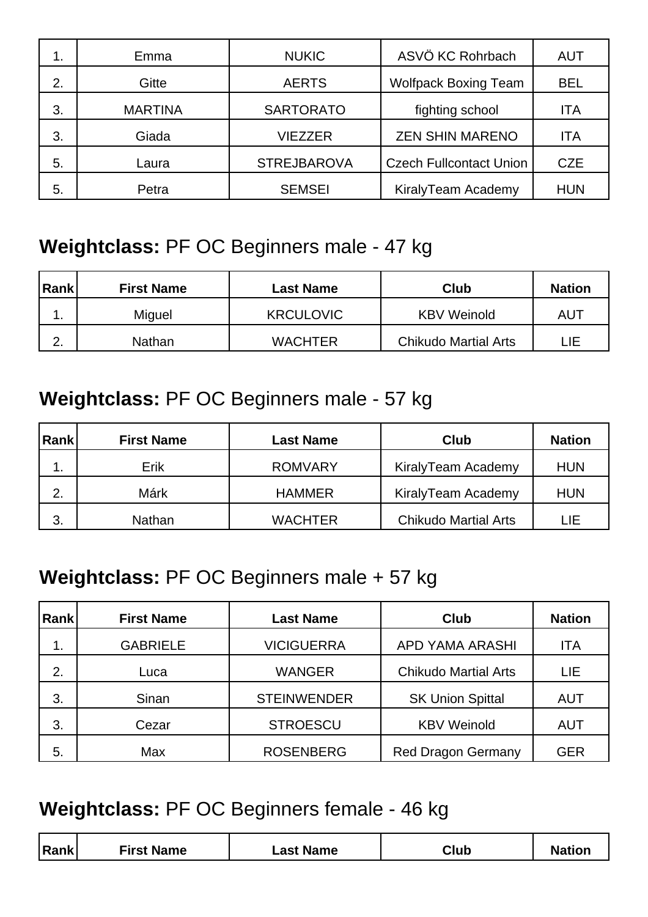| 1. | Emma           | <b>NUKIC</b>       | ASVÖ KC Rohrbach               | <b>AUT</b> |
|----|----------------|--------------------|--------------------------------|------------|
| 2. | Gitte          | <b>AERTS</b>       | <b>Wolfpack Boxing Team</b>    | <b>BEL</b> |
| 3. | <b>MARTINA</b> | <b>SARTORATO</b>   | fighting school                | <b>ITA</b> |
| 3. | Giada          | <b>VIEZZER</b>     | <b>ZEN SHIN MARENO</b>         | <b>ITA</b> |
| 5. | Laura          | <b>STREJBAROVA</b> | <b>Czech Fullcontact Union</b> | <b>CZE</b> |
| 5. | Petra          | <b>SEMSEI</b>      | KiralyTeam Academy             | <b>HUN</b> |

#### **Weightclass:** PF OC Beginners male - 47 kg

| Rank          | <b>First Name</b> | Last Name        | Club                        | <b>Nation</b> |
|---------------|-------------------|------------------|-----------------------------|---------------|
| . .           | Miguel            | <b>KRCULOVIC</b> | <b>KBV Weinold</b>          | AUT           |
| ⌒<br><u>.</u> | <b>Nathan</b>     | <b>WACHTER</b>   | <b>Chikudo Martial Arts</b> | LIE.          |

### **Weightclass:** PF OC Beginners male - 57 kg

| Rank | <b>First Name</b> | Last Name      | <b>Club</b>                 | <b>Nation</b> |
|------|-------------------|----------------|-----------------------------|---------------|
| . .  | Erik              | <b>ROMVARY</b> | KiralyTeam Academy          | <b>HUN</b>    |
| 2.   | Márk              | <b>HAMMER</b>  | KiralyTeam Academy          | <b>HUN</b>    |
| 3.   | Nathan            | <b>WACHTER</b> | <b>Chikudo Martial Arts</b> | LIE           |

### **Weightclass:** PF OC Beginners male + 57 kg

| <b>Rank</b> | <b>First Name</b> | <b>Last Name</b>   | Club                        | <b>Nation</b> |
|-------------|-------------------|--------------------|-----------------------------|---------------|
| 1.          | <b>GABRIELE</b>   | <b>VICIGUERRA</b>  | APD YAMA ARASHI             | <b>ITA</b>    |
| 2.          | Luca              | <b>WANGER</b>      | <b>Chikudo Martial Arts</b> | LIE           |
| 3.          | Sinan             | <b>STEINWENDER</b> | <b>SK Union Spittal</b>     | <b>AUT</b>    |
| 3.          | Cezar             | <b>STROESCU</b>    | <b>KBV Weinold</b>          | <b>AUT</b>    |
| 5.          | Max               | <b>ROSENBERG</b>   | <b>Red Dragon Germany</b>   | <b>GER</b>    |

#### **Weightclass:** PF OC Beginners female - 46 kg

| <b>Rank</b><br><b>First Name</b><br>Club<br><sub>–</sub> ast Name |
|-------------------------------------------------------------------|
|-------------------------------------------------------------------|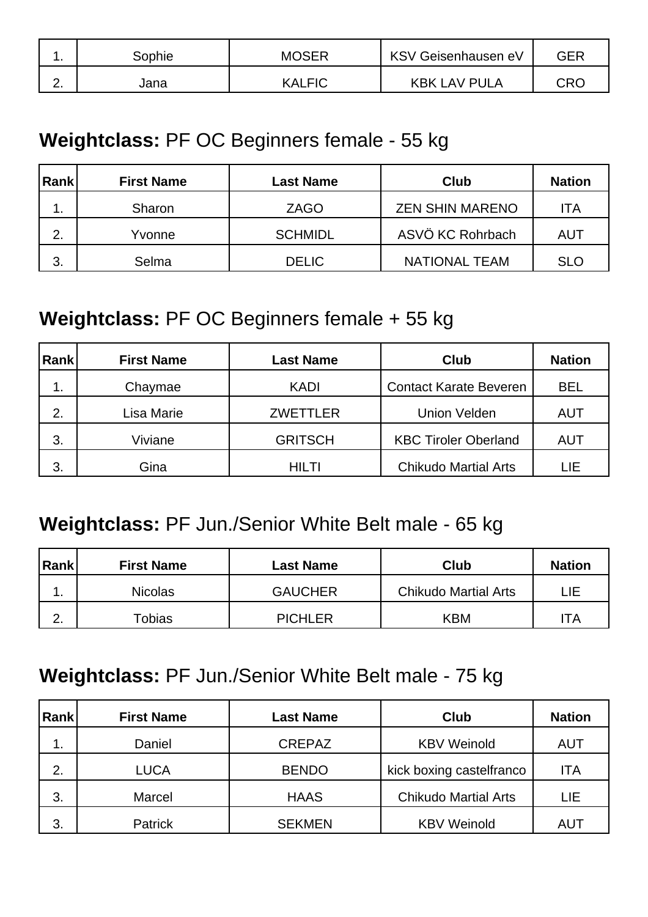| . . | Sophie | <b>MOSER</b>  | KSV Geisenhausen eV | <b>GEF</b> |
|-----|--------|---------------|---------------------|------------|
|     | Jana   | <b>KALFIC</b> | <b>KBK LAV PULA</b> | CRC        |

#### **Weightclass:** PF OC Beginners female - 55 kg

| Rank | <b>First Name</b> | Last Name      | <b>Club</b>            | <b>Nation</b> |
|------|-------------------|----------------|------------------------|---------------|
| . .  | Sharon            | <b>ZAGO</b>    | <b>ZEN SHIN MARENO</b> | ITA           |
| 2.   | Yvonne            | <b>SCHMIDL</b> | ASVÖ KC Rohrbach       | AUT           |
| 3.   | Selma             | <b>DELIC</b>   | <b>NATIONAL TEAM</b>   | <b>SLO</b>    |

#### **Weightclass:** PF OC Beginners female + 55 kg

| Rank | <b>First Name</b> | <b>Last Name</b> | Club                          | <b>Nation</b> |
|------|-------------------|------------------|-------------------------------|---------------|
| 1.   | Chaymae           | <b>KADI</b>      | <b>Contact Karate Beveren</b> | <b>BEL</b>    |
| 2.   | Lisa Marie        | <b>ZWETTLER</b>  | <b>Union Velden</b>           | <b>AUT</b>    |
| 3.   | Viviane           | <b>GRITSCH</b>   | <b>KBC Tiroler Oberland</b>   | AUT           |
| 3.   | Gina              | HILTI            | <b>Chikudo Martial Arts</b>   | LIE           |

#### **Weightclass:** PF Jun./Senior White Belt male - 65 kg

| Rank             | <b>First Name</b> | Last Name      | Club                        | <b>Nation</b> |
|------------------|-------------------|----------------|-----------------------------|---------------|
|                  | <b>Nicolas</b>    | <b>GAUCHER</b> | <b>Chikudo Martial Arts</b> | LIE.          |
| ⌒<br><u>. . </u> | Tobias            | <b>PICHLER</b> | <b>KBM</b>                  | ТA            |

#### **Weightclass:** PF Jun./Senior White Belt male - 75 kg

| Rank | <b>First Name</b> | <b>Last Name</b> | Club                        | <b>Nation</b> |
|------|-------------------|------------------|-----------------------------|---------------|
| ι.   | Daniel            | <b>CREPAZ</b>    | <b>KBV Weinold</b>          | AUT           |
| 2.   | <b>LUCA</b>       | <b>BENDO</b>     | kick boxing castelfranco    | ITA           |
| 3.   | Marcel            | <b>HAAS</b>      | <b>Chikudo Martial Arts</b> | LIE           |
| 3.   | <b>Patrick</b>    | <b>SEKMEN</b>    | <b>KBV Weinold</b>          | AUT           |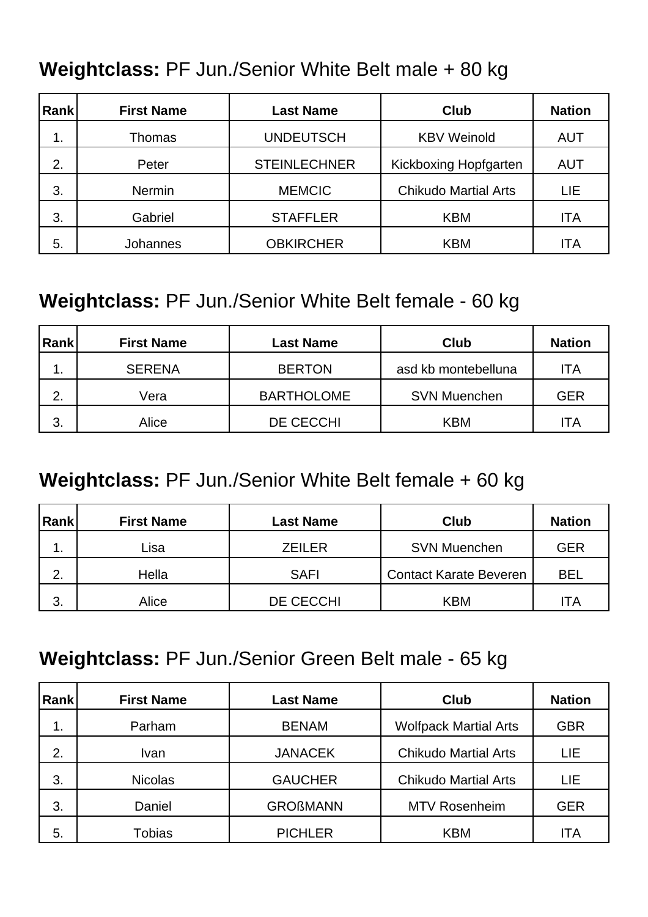#### **Weightclass:** PF Jun./Senior White Belt male + 80 kg

| Rank | <b>First Name</b> | <b>Last Name</b>    | <b>Club</b>                 | <b>Nation</b> |
|------|-------------------|---------------------|-----------------------------|---------------|
| 1.   | Thomas            | <b>UNDEUTSCH</b>    | <b>KBV Weinold</b>          | <b>AUT</b>    |
| 2.   | Peter             | <b>STEINLECHNER</b> | Kickboxing Hopfgarten       | <b>AUT</b>    |
| 3.   | <b>Nermin</b>     | <b>MEMCIC</b>       | <b>Chikudo Martial Arts</b> | LIE.          |
| 3.   | Gabriel           | <b>STAFFLER</b>     | <b>KBM</b>                  | <b>ITA</b>    |
| 5.   | <b>Johannes</b>   | <b>OBKIRCHER</b>    | <b>KBM</b>                  | ITA           |

#### **Weightclass:** PF Jun./Senior White Belt female - 60 kg

| Rank | <b>First Name</b> | <b>Last Name</b>  | Club                | <b>Nation</b> |
|------|-------------------|-------------------|---------------------|---------------|
| . .  | <b>SERENA</b>     | <b>BERTON</b>     | asd kb montebelluna | ITA           |
| 2.   | Vera              | <b>BARTHOLOME</b> | <b>SVN Muenchen</b> | <b>GER</b>    |
| 3.   | Alice             | DE CECCHI         | <b>KBM</b>          | ITA           |

#### **Weightclass:** PF Jun./Senior White Belt female + 60 kg

| Rank | <b>First Name</b> | <b>Last Name</b> | <b>Club</b>                   | <b>Nation</b> |
|------|-------------------|------------------|-------------------------------|---------------|
| . .  | Lisa              | <b>ZEILER</b>    | <b>SVN Muenchen</b>           | <b>GER</b>    |
| 2.   | Hella             | <b>SAFI</b>      | <b>Contact Karate Beveren</b> | BEL           |
| 3.   | Alice             | DE CECCHI        | <b>KBM</b>                    | ITA           |

#### **Weightclass:** PF Jun./Senior Green Belt male - 65 kg

| Rank | <b>First Name</b> | <b>Last Name</b> | Club                         | <b>Nation</b> |
|------|-------------------|------------------|------------------------------|---------------|
| 1.   | Parham            | <b>BENAM</b>     | <b>Wolfpack Martial Arts</b> | <b>GBR</b>    |
| 2.   | Ivan              | <b>JANACEK</b>   | <b>Chikudo Martial Arts</b>  | LIE           |
| 3.   | <b>Nicolas</b>    | <b>GAUCHER</b>   | <b>Chikudo Martial Arts</b>  | LIE           |
| 3.   | Daniel            | <b>GROßMANN</b>  | <b>MTV Rosenheim</b>         | <b>GER</b>    |
| 5.   | Tobias            | <b>PICHLER</b>   | <b>KBM</b>                   | ITA           |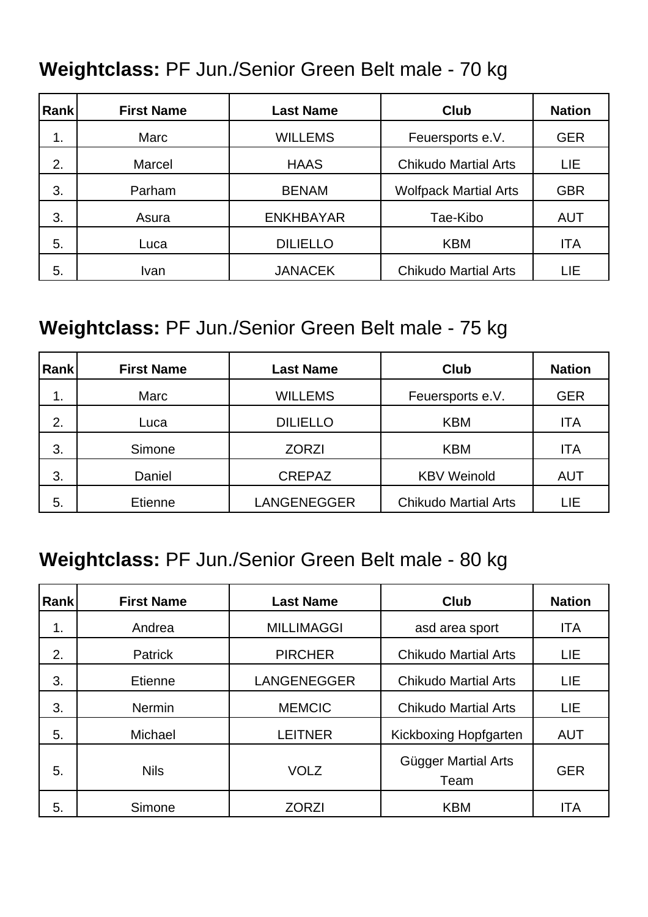### **Weightclass:** PF Jun./Senior Green Belt male - 70 kg

| Rank | <b>First Name</b> | <b>Last Name</b> | Club                         | <b>Nation</b> |
|------|-------------------|------------------|------------------------------|---------------|
| 1.   | Marc              | <b>WILLEMS</b>   | Feuersports e.V.             | <b>GER</b>    |
| 2.   | Marcel            | <b>HAAS</b>      | <b>Chikudo Martial Arts</b>  | LIE           |
| 3.   | Parham            | <b>BENAM</b>     | <b>Wolfpack Martial Arts</b> | <b>GBR</b>    |
| 3.   | Asura             | <b>ENKHBAYAR</b> | Tae-Kibo                     | <b>AUT</b>    |
| 5.   | Luca              | <b>DILIELLO</b>  | <b>KBM</b>                   | <b>ITA</b>    |
| 5.   | Ivan              | <b>JANACEK</b>   | <b>Chikudo Martial Arts</b>  | LIE           |

### **Weightclass:** PF Jun./Senior Green Belt male - 75 kg

| Rank | <b>First Name</b> | <b>Last Name</b>   | Club                        | <b>Nation</b> |
|------|-------------------|--------------------|-----------------------------|---------------|
| 1.   | Marc              | <b>WILLEMS</b>     | Feuersports e.V.            | <b>GER</b>    |
| 2.   | Luca              | <b>DILIELLO</b>    | <b>KBM</b>                  | <b>ITA</b>    |
| 3.   | Simone            | <b>ZORZI</b>       | <b>KBM</b>                  | ITA           |
| 3.   | Daniel            | <b>CREPAZ</b>      | <b>KBV Weinold</b>          | <b>AUT</b>    |
| 5.   | Etienne           | <b>LANGENEGGER</b> | <b>Chikudo Martial Arts</b> | LIE           |

#### **Weightclass:** PF Jun./Senior Green Belt male - 80 kg

| <b>Rank</b> | <b>First Name</b> | <b>Last Name</b>   | <b>Club</b>                 | <b>Nation</b> |
|-------------|-------------------|--------------------|-----------------------------|---------------|
| 1.          | Andrea            | <b>MILLIMAGGI</b>  | asd area sport              | <b>ITA</b>    |
| 2.          | <b>Patrick</b>    | <b>PIRCHER</b>     | <b>Chikudo Martial Arts</b> | LIE.          |
| 3.          | Etienne           | <b>LANGENEGGER</b> | <b>Chikudo Martial Arts</b> | <b>LIE</b>    |
| 3.          | <b>Nermin</b>     | <b>MEMCIC</b>      | <b>Chikudo Martial Arts</b> | LIE           |
| 5.          | Michael           | <b>LEITNER</b>     | Kickboxing Hopfgarten       | <b>AUT</b>    |
| 5.          | <b>Nils</b>       | <b>VOLZ</b>        | Gügger Martial Arts<br>Team | <b>GER</b>    |
| 5.          | Simone            | <b>ZORZI</b>       | <b>KBM</b>                  | <b>ITA</b>    |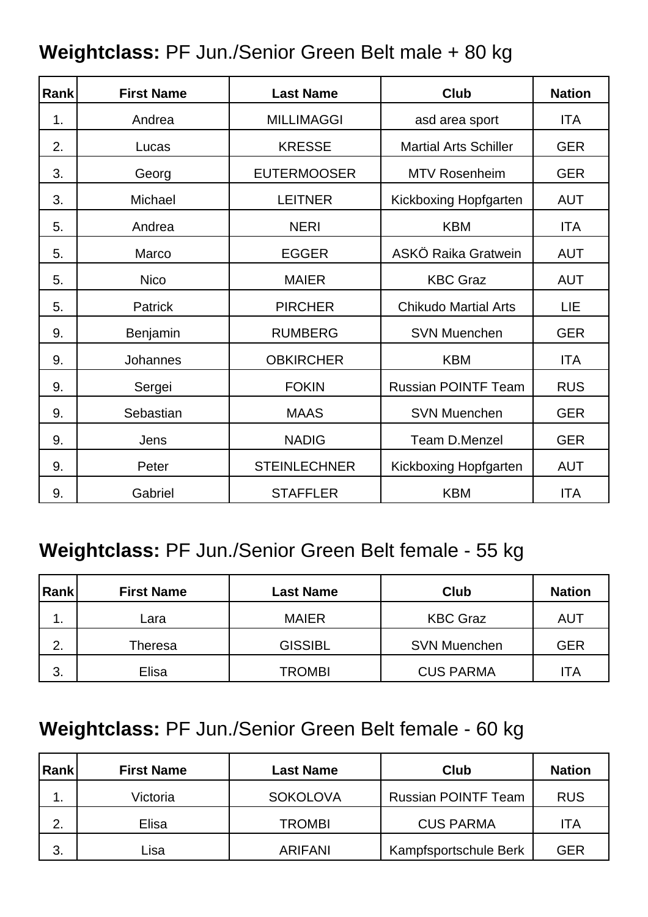| <b>Rank</b> | <b>First Name</b> | <b>Last Name</b>    | <b>Club</b>                  | <b>Nation</b> |
|-------------|-------------------|---------------------|------------------------------|---------------|
| 1.          | Andrea            | <b>MILLIMAGGI</b>   | asd area sport               | <b>ITA</b>    |
| 2.          | Lucas             | <b>KRESSE</b>       | <b>Martial Arts Schiller</b> | <b>GER</b>    |
| 3.          | Georg             | <b>EUTERMOOSER</b>  | <b>MTV Rosenheim</b>         | <b>GER</b>    |
| 3.          | Michael           | <b>LEITNER</b>      | Kickboxing Hopfgarten        | <b>AUT</b>    |
| 5.          | Andrea            | <b>NERI</b>         | <b>KBM</b>                   | <b>ITA</b>    |
| 5.          | Marco             | <b>EGGER</b>        | ASKÖ Raika Gratwein          | <b>AUT</b>    |
| 5.          | <b>Nico</b>       | <b>MAIER</b>        | <b>KBC Graz</b>              | <b>AUT</b>    |
| 5.          | <b>Patrick</b>    | <b>PIRCHER</b>      | <b>Chikudo Martial Arts</b>  | LIE           |
| 9.          | Benjamin          | <b>RUMBERG</b>      | <b>SVN Muenchen</b>          | <b>GER</b>    |
| 9.          | Johannes          | <b>OBKIRCHER</b>    | <b>KBM</b>                   | <b>ITA</b>    |
| 9.          | Sergei            | <b>FOKIN</b>        | <b>Russian POINTF Team</b>   | <b>RUS</b>    |
| 9.          | Sebastian         | <b>MAAS</b>         | <b>SVN Muenchen</b>          | <b>GER</b>    |
| 9.          | Jens              | <b>NADIG</b>        | Team D.Menzel                | <b>GER</b>    |
| 9.          | Peter             | <b>STEINLECHNER</b> | Kickboxing Hopfgarten        | <b>AUT</b>    |
| 9.          | Gabriel           | <b>STAFFLER</b>     | <b>KBM</b>                   | <b>ITA</b>    |

#### **Weightclass:** PF Jun./Senior Green Belt male + 80 kg

### **Weightclass:** PF Jun./Senior Green Belt female - 55 kg

| Rank | <b>First Name</b> | Last Name      | <b>Club</b>         | <b>Nation</b> |
|------|-------------------|----------------|---------------------|---------------|
| . .  | Lara              | <b>MAIER</b>   | <b>KBC Graz</b>     | AUT           |
| 2.   | Theresa           | <b>GISSIBL</b> | <b>SVN Muenchen</b> | <b>GER</b>    |
| 3.   | Elisa             | <b>TROMBI</b>  | <b>CUS PARMA</b>    | ITA           |

### **Weightclass:** PF Jun./Senior Green Belt female - 60 kg

| Rank | <b>First Name</b> | <b>Last Name</b> | Club                       | <b>Nation</b> |
|------|-------------------|------------------|----------------------------|---------------|
| . .  | Victoria          | <b>SOKOLOVA</b>  | <b>Russian POINTF Team</b> | <b>RUS</b>    |
| 2.   | Elisa             | <b>TROMBI</b>    | <b>CUS PARMA</b>           | ITA           |
| 3.   | ∟isa              | <b>ARIFANI</b>   | Kampfsportschule Berk      | GER           |